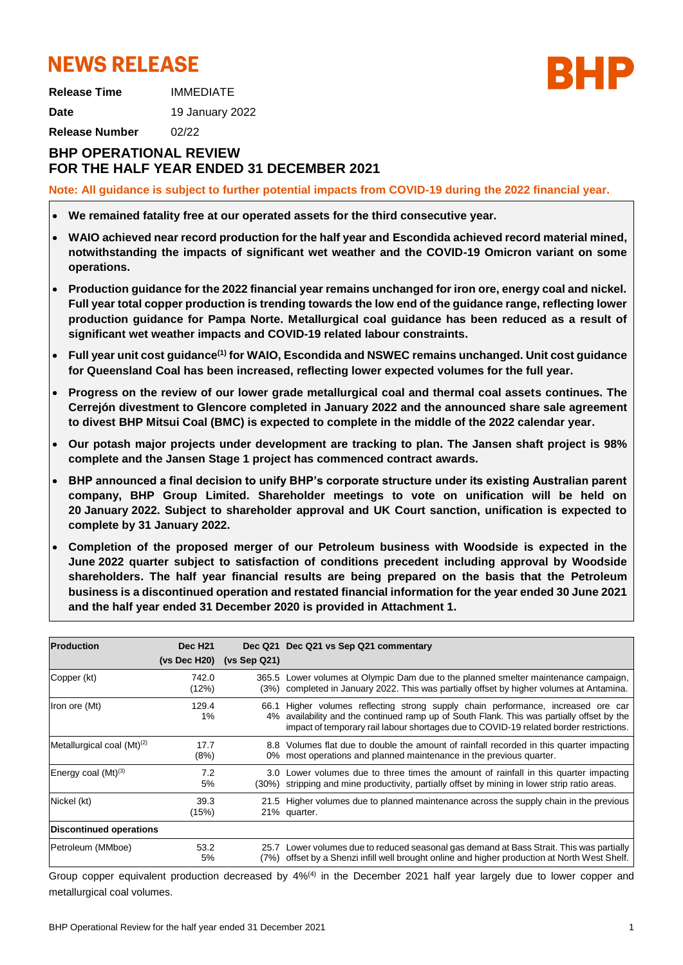# **NEWS RELEASE**

**Release Time** IMMEDIATE **Date** 19 January 2022



**Release Number** 02/22

# **BHP OPERATIONAL REVIEW FOR THE HALF YEAR ENDED 31 DECEMBER 2021**

**Note: All guidance is subject to further potential impacts from COVID-19 during the 2022 financial year.**

- **We remained fatality free at our operated assets for the third consecutive year.**
- **WAIO achieved near record production for the half year and Escondida achieved record material mined, notwithstanding the impacts of significant wet weather and the COVID-19 Omicron variant on some operations.**
- **Production guidance for the 2022 financial year remains unchanged for iron ore, energy coal and nickel. Full year total copper production is trending towards the low end of the guidance range, reflecting lower production guidance for Pampa Norte. Metallurgical coal guidance has been reduced as a result of significant wet weather impacts and COVID-19 related labour constraints.**
- **Full year unit cost guidance(1) for WAIO, Escondida and NSWEC remains unchanged. Unit cost guidance for Queensland Coal has been increased, reflecting lower expected volumes for the full year.**
- **Progress on the review of our lower grade metallurgical coal and thermal coal assets continues. The Cerrejón divestment to Glencore completed in January 2022 and the announced share sale agreement to divest BHP Mitsui Coal (BMC) is expected to complete in the middle of the 2022 calendar year.**
- **Our potash major projects under development are tracking to plan. The Jansen shaft project is 98% complete and the Jansen Stage 1 project has commenced contract awards.**
- **BHP announced a final decision to unify BHP's corporate structure under its existing Australian parent company, BHP Group Limited. Shareholder meetings to vote on unification will be held on 20 January 2022. Subject to shareholder approval and UK Court sanction, unification is expected to complete by 31 January 2022.**
- **Completion of the proposed merger of our Petroleum business with Woodside is expected in the June 2022 quarter subject to satisfaction of conditions precedent including approval by Woodside shareholders. The half year financial results are being prepared on the basis that the Petroleum business is a discontinued operation and restated financial information for the year ended 30 June 2021 and the half year ended 31 December 2020 is provided in Attachment 1.**

| <b>Production</b>                      | Dec H21        |                | Dec Q21 Dec Q21 vs Sep Q21 commentary                                                                                                                                                                                                                             |
|----------------------------------------|----------------|----------------|-------------------------------------------------------------------------------------------------------------------------------------------------------------------------------------------------------------------------------------------------------------------|
|                                        | (vs Dec H20)   | $(vs$ Sep Q21) |                                                                                                                                                                                                                                                                   |
| Copper (kt)                            | 742.0<br>(12%) | 365.5<br>(3%)  | Lower volumes at Olympic Dam due to the planned smelter maintenance campaign,<br>completed in January 2022. This was partially offset by higher volumes at Antamina.                                                                                              |
| Iron ore (Mt)                          | 129.4<br>1%    | 66.1<br>4%     | Higher volumes reflecting strong supply chain performance, increased ore car<br>availability and the continued ramp up of South Flank. This was partially offset by the<br>impact of temporary rail labour shortages due to COVID-19 related border restrictions. |
| Metallurgical coal (Mt) <sup>(2)</sup> | 17.7<br>(8%)   | 0%             | 8.8 Volumes flat due to double the amount of rainfall recorded in this quarter impacting<br>most operations and planned maintenance in the previous quarter.                                                                                                      |
| Energy coal (Mt) <sup>(3)</sup>        | 7.2<br>5%      | 3.0<br>(30%)   | Lower volumes due to three times the amount of rainfall in this quarter impacting<br>stripping and mine productivity, partially offset by mining in lower strip ratio areas.                                                                                      |
| Nickel (kt)                            | 39.3<br>(15%)  |                | 21.5 Higher volumes due to planned maintenance across the supply chain in the previous<br>21% quarter.                                                                                                                                                            |
| <b>Discontinued operations</b>         |                |                |                                                                                                                                                                                                                                                                   |
| Petroleum (MMboe)                      | 53.2<br>5%     | 25.7<br>(7%)   | Lower volumes due to reduced seasonal gas demand at Bass Strait. This was partially<br>offset by a Shenzi infill well brought online and higher production at North West Shelf.                                                                                   |

Group copper equivalent production decreased by 4%<sup>(4)</sup> in the December 2021 half year largely due to lower copper and metallurgical coal volumes.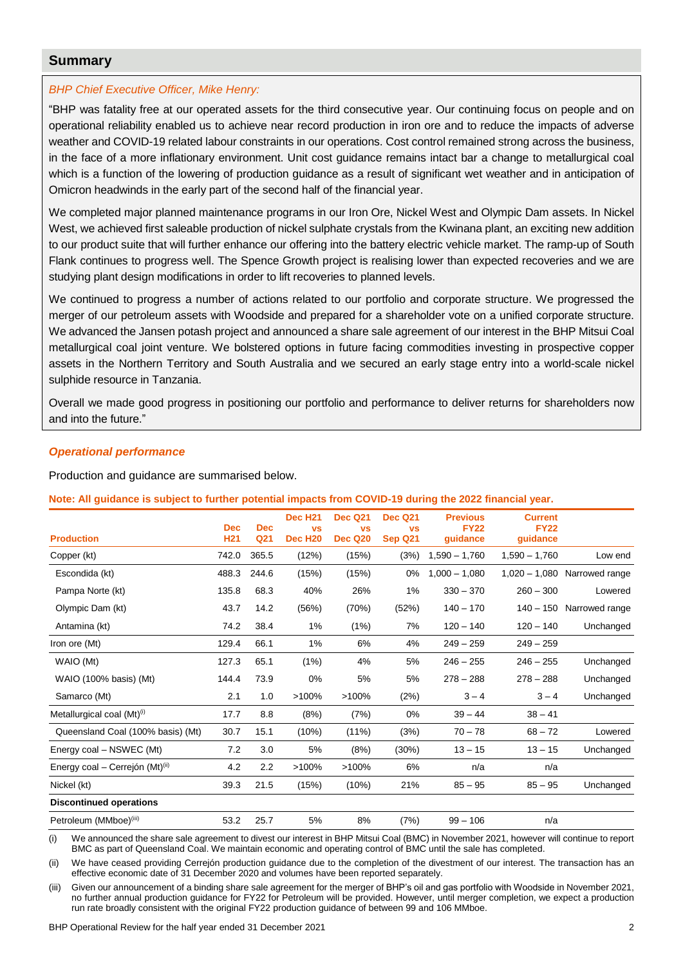# **Summary**

#### *BHP Chief Executive Officer, Mike Henry:*

"BHP was fatality free at our operated assets for the third consecutive year. Our continuing focus on people and on operational reliability enabled us to achieve near record production in iron ore and to reduce the impacts of adverse weather and COVID-19 related labour constraints in our operations. Cost control remained strong across the business, in the face of a more inflationary environment. Unit cost guidance remains intact bar a change to metallurgical coal which is a function of the lowering of production guidance as a result of significant wet weather and in anticipation of Omicron headwinds in the early part of the second half of the financial year.

We completed major planned maintenance programs in our Iron Ore, Nickel West and Olympic Dam assets. In Nickel West, we achieved first saleable production of nickel sulphate crystals from the Kwinana plant, an exciting new addition to our product suite that will further enhance our offering into the battery electric vehicle market. The ramp-up of South Flank continues to progress well. The Spence Growth project is realising lower than expected recoveries and we are studying plant design modifications in order to lift recoveries to planned levels.

We continued to progress a number of actions related to our portfolio and corporate structure. We progressed the merger of our petroleum assets with Woodside and prepared for a shareholder vote on a unified corporate structure. We advanced the Jansen potash project and announced a share sale agreement of our interest in the BHP Mitsui Coal metallurgical coal joint venture. We bolstered options in future facing commodities investing in prospective copper assets in the Northern Territory and South Australia and we secured an early stage entry into a world-scale nickel sulphide resource in Tanzania.

Overall we made good progress in positioning our portfolio and performance to deliver returns for shareholders now and into the future."

#### *Operational performance*

Production and guidance are summarised below.

#### **Note: All guidance is subject to further potential impacts from COVID-19 during the 2022 financial year.**

|                                      | <b>Dec</b>      | <b>Dec</b> | Dec H <sub>21</sub><br><b>VS</b> | <b>Dec Q21</b><br><b>VS</b> | <b>Dec Q21</b><br><b>VS</b> | <b>Previous</b><br><b>FY22</b> | <b>Current</b><br><b>FY22</b> |                |
|--------------------------------------|-----------------|------------|----------------------------------|-----------------------------|-----------------------------|--------------------------------|-------------------------------|----------------|
| <b>Production</b>                    | H <sub>21</sub> | Q21        | Dec H <sub>20</sub>              | <b>Dec Q20</b>              | Sep Q21                     | quidance                       | guidance                      |                |
| Copper (kt)                          | 742.0           | 365.5      | (12%)                            | (15%)                       | (3%)                        | $1,590 - 1,760$                | $1,590 - 1,760$               | Low end        |
| Escondida (kt)                       | 488.3           | 244.6      | (15%)                            | (15%)                       | 0%                          | $1.000 - 1.080$                | $1,020 - 1,080$               | Narrowed range |
| Pampa Norte (kt)                     | 135.8           | 68.3       | 40%                              | 26%                         | $1\%$                       | $330 - 370$                    | $260 - 300$                   | Lowered        |
| Olympic Dam (kt)                     | 43.7            | 14.2       | (56%)                            | (70%)                       | (52%)                       | $140 - 170$                    | $140 - 150$                   | Narrowed range |
| Antamina (kt)                        | 74.2            | 38.4       | 1%                               | (1%)                        | 7%                          | $120 - 140$                    | $120 - 140$                   | Unchanged      |
| Iron ore (Mt)                        | 129.4           | 66.1       | 1%                               | 6%                          | 4%                          | $249 - 259$                    | $249 - 259$                   |                |
| WAIO (Mt)                            | 127.3           | 65.1       | (1%)                             | 4%                          | 5%                          | $246 - 255$                    | $246 - 255$                   | Unchanged      |
| WAIO (100% basis) (Mt)               | 144.4           | 73.9       | 0%                               | 5%                          | 5%                          | $278 - 288$                    | $278 - 288$                   | Unchanged      |
| Samarco (Mt)                         | 2.1             | 1.0        | >100%                            | $>100\%$                    | (2%)                        | $3 - 4$                        | $3 - 4$                       | Unchanged      |
| Metallurgical coal $(Mt)^{(i)}$      | 17.7            | 8.8        | (8%)                             | (7%)                        | 0%                          | $39 - 44$                      | $38 - 41$                     |                |
| Queensland Coal (100% basis) (Mt)    | 30.7            | 15.1       | (10%)                            | $(11\%)$                    | (3%)                        | $70 - 78$                      | $68 - 72$                     | Lowered        |
| Energy coal – NSWEC (Mt)             | 7.2             | 3.0        | 5%                               | (8%)                        | (30%)                       | $13 - 15$                      | $13 - 15$                     | Unchanged      |
| Energy coal – Cerrejón $(Mt)^{(ii)}$ | 4.2             | 2.2        | >100%                            | >100%                       | 6%                          | n/a                            | n/a                           |                |
| Nickel (kt)                          | 39.3            | 21.5       | (15%)                            | (10%)                       | 21%                         | $85 - 95$                      | $85 - 95$                     | Unchanged      |
| <b>Discontinued operations</b>       |                 |            |                                  |                             |                             |                                |                               |                |
| Petroleum (MMboe) <sup>(iii)</sup>   | 53.2            | 25.7       | 5%                               | 8%                          | (7%)                        | $99 - 106$                     | n/a                           |                |

(i) We announced the share sale agreement to divest our interest in BHP Mitsui Coal (BMC) in November 2021, however will continue to report BMC as part of Queensland Coal. We maintain economic and operating control of BMC until the sale has completed.

(ii) We have ceased providing Cerrejón production guidance due to the completion of the divestment of our interest. The transaction has an effective economic date of 31 December 2020 and volumes have been reported separately.

(iii) Given our announcement of a binding share sale agreement for the merger of BHP's oil and gas portfolio with Woodside in November 2021, no further annual production guidance for FY22 for Petroleum will be provided. However, until merger completion, we expect a production run rate broadly consistent with the original FY22 production guidance of between 99 and 106 MMboe.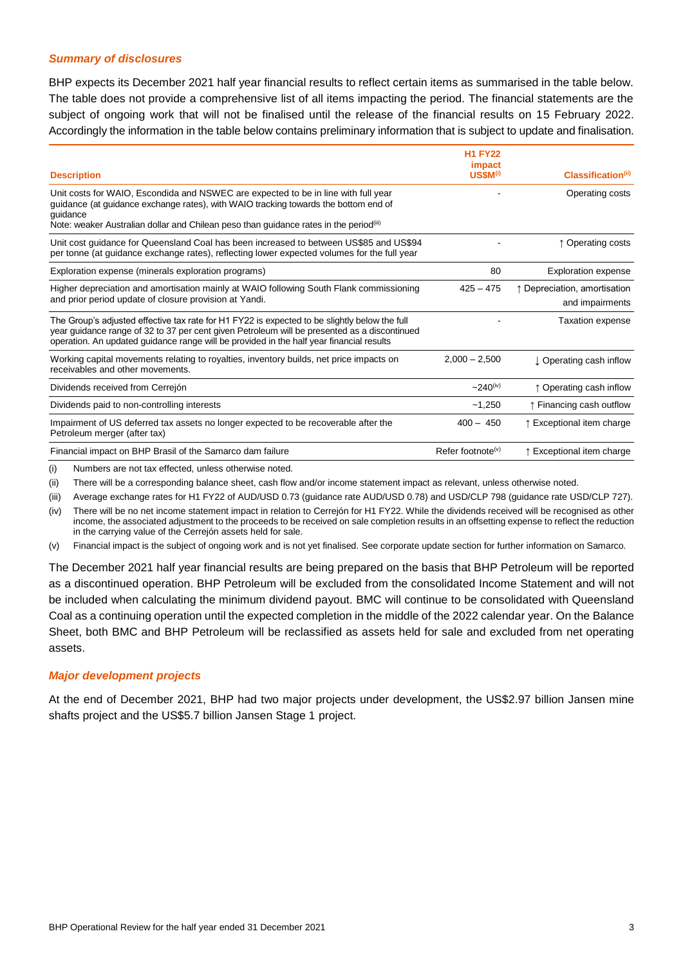#### *Summary of disclosures*

BHP expects its December 2021 half year financial results to reflect certain items as summarised in the table below. The table does not provide a comprehensive list of all items impacting the period. The financial statements are the subject of ongoing work that will not be finalised until the release of the financial results on 15 February 2022. Accordingly the information in the table below contains preliminary information that is subject to update and finalisation.

| <b>Description</b>                                                                                                                                                                                                                                                                          | <b>H1 FY22</b><br>impact<br>USSM <sup>(i)</sup> | Classification <sup>(ii)</sup>                  |
|---------------------------------------------------------------------------------------------------------------------------------------------------------------------------------------------------------------------------------------------------------------------------------------------|-------------------------------------------------|-------------------------------------------------|
| Unit costs for WAIO, Escondida and NSWEC are expected to be in line with full year<br>guidance (at guidance exchange rates), with WAIO tracking towards the bottom end of<br>quidance<br>Note: weaker Australian dollar and Chilean peso than guidance rates in the period <sup>(iii)</sup> |                                                 | Operating costs                                 |
| Unit cost guidance for Queensland Coal has been increased to between US\$85 and US\$94<br>per tonne (at guidance exchange rates), reflecting lower expected volumes for the full year                                                                                                       |                                                 | Operating costs                                 |
| Exploration expense (minerals exploration programs)                                                                                                                                                                                                                                         | 80                                              | <b>Exploration expense</b>                      |
| Higher depreciation and amortisation mainly at WAIO following South Flank commissioning<br>and prior period update of closure provision at Yandi.                                                                                                                                           | $425 - 475$                                     | ↑ Depreciation, amortisation<br>and impairments |
| The Group's adjusted effective tax rate for H1 FY22 is expected to be slightly below the full<br>year guidance range of 32 to 37 per cent given Petroleum will be presented as a discontinued<br>operation. An updated guidance range will be provided in the half year financial results   |                                                 | <b>Taxation expense</b>                         |
| Working capital movements relating to royalties, inventory builds, net price impacts on<br>receivables and other movements.                                                                                                                                                                 | $2.000 - 2.500$                                 | L Operating cash inflow                         |
| Dividends received from Cerrejón                                                                                                                                                                                                                                                            | $-240^{(iv)}$                                   | ↑ Operating cash inflow                         |
| Dividends paid to non-controlling interests                                                                                                                                                                                                                                                 | $-1,250$                                        | ↑ Financing cash outflow                        |
| Impairment of US deferred tax assets no longer expected to be recoverable after the<br>Petroleum merger (after tax)                                                                                                                                                                         | $400 - 450$                                     | ↑ Exceptional item charge                       |
| Financial impact on BHP Brasil of the Samarco dam failure                                                                                                                                                                                                                                   | Refer footnote $(v)$                            | ↑ Exceptional item charge                       |

(i) Numbers are not tax effected, unless otherwise noted.

(ii) There will be a corresponding balance sheet, cash flow and/or income statement impact as relevant, unless otherwise noted.

(iii) Average exchange rates for H1 FY22 of AUD/USD 0.73 (guidance rate AUD/USD 0.78) and USD/CLP 798 (guidance rate USD/CLP 727). (iv) There will be no net income statement impact in relation to Cerrejón for H1 FY22. While the dividends received will be recognised as other income, the associated adjustment to the proceeds to be received on sale completion results in an offsetting expense to reflect the reduction in the carrying value of the Cerrejón assets held for sale.

(v) Financial impact is the subject of ongoing work and is not yet finalised. See corporate update section for further information on Samarco.

The December 2021 half year financial results are being prepared on the basis that BHP Petroleum will be reported as a discontinued operation. BHP Petroleum will be excluded from the consolidated Income Statement and will not be included when calculating the minimum dividend payout. BMC will continue to be consolidated with Queensland Coal as a continuing operation until the expected completion in the middle of the 2022 calendar year. On the Balance Sheet, both BMC and BHP Petroleum will be reclassified as assets held for sale and excluded from net operating assets.

#### *Major development projects*

At the end of December 2021, BHP had two major projects under development, the US\$2.97 billion Jansen mine shafts project and the US\$5.7 billion Jansen Stage 1 project.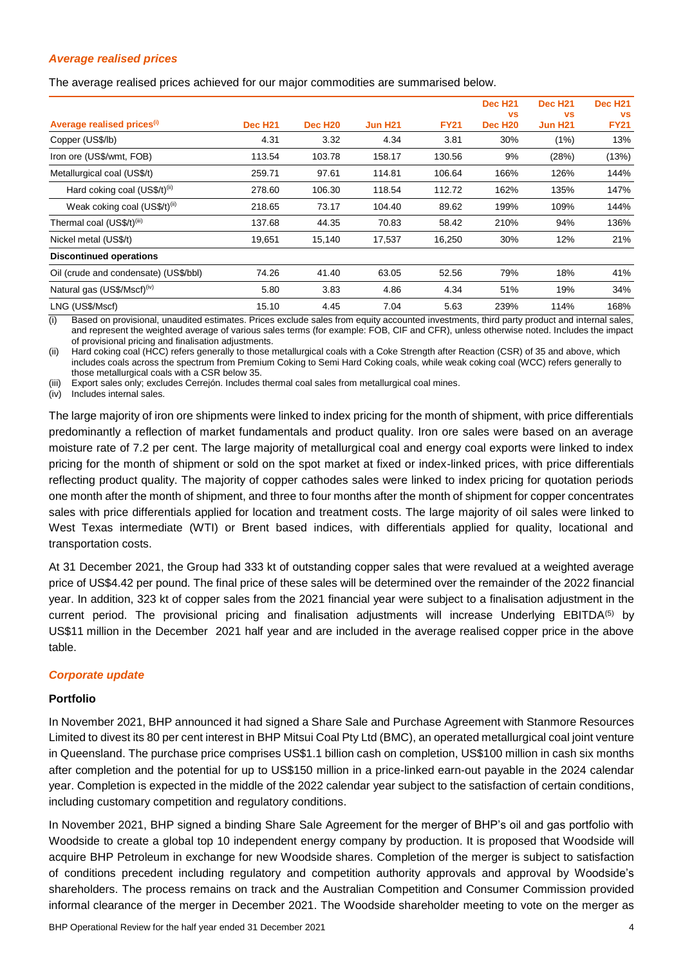#### *Average realised prices*

The average realised prices achieved for our major commodities are summarised below.

|                                           |                     |                     |                     |             | Dec H <sub>21</sub>              | Dec H <sub>21</sub>         | Dec H <sub>21</sub>      |
|-------------------------------------------|---------------------|---------------------|---------------------|-------------|----------------------------------|-----------------------------|--------------------------|
| Average realised prices <sup>(i)</sup>    | Dec H <sub>21</sub> | Dec H <sub>20</sub> | Jun H <sub>21</sub> | <b>FY21</b> | <b>VS</b><br>Dec H <sub>20</sub> | <b>VS</b><br><b>Jun H21</b> | <b>VS</b><br><b>FY21</b> |
| Copper (US\$/lb)                          | 4.31                | 3.32                | 4.34                | 3.81        | 30%                              | (1%)                        | 13%                      |
| Iron ore (US\$/wmt, FOB)                  | 113.54              | 103.78              | 158.17              | 130.56      | 9%                               | (28%)                       | (13%)                    |
| Metallurgical coal (US\$/t)               | 259.71              | 97.61               | 114.81              | 106.64      | 166%                             | 126%                        | 144%                     |
| Hard coking coal (US\$/t) <sup>(ii)</sup> | 278.60              | 106.30              | 118.54              | 112.72      | 162%                             | 135%                        | 147%                     |
| Weak coking coal (US\$/t) <sup>(ii)</sup> | 218.65              | 73.17               | 104.40              | 89.62       | 199%                             | 109%                        | 144%                     |
| Thermal coal (US\$/t) <sup>(iii)</sup>    | 137.68              | 44.35               | 70.83               | 58.42       | 210%                             | 94%                         | 136%                     |
| Nickel metal (US\$/t)                     | 19,651              | 15,140              | 17,537              | 16,250      | 30%                              | 12%                         | 21%                      |
| <b>Discontinued operations</b>            |                     |                     |                     |             |                                  |                             |                          |
| Oil (crude and condensate) (US\$/bbl)     | 74.26               | 41.40               | 63.05               | 52.56       | 79%                              | 18%                         | 41%                      |
| Natural gas (US\$/Mscf) <sup>(iv)</sup>   | 5.80                | 3.83                | 4.86                | 4.34        | 51%                              | 19%                         | 34%                      |
| LNG (US\$/Mscf)                           | 15.10               | 4.45                | 7.04                | 5.63        | 239%                             | 114%                        | 168%                     |

(i) Based on provisional, unaudited estimates. Prices exclude sales from equity accounted investments, third party product and internal sales, and represent the weighted average of various sales terms (for example: FOB, CIF and CFR), unless otherwise noted. Includes the impact of provisional pricing and finalisation adjustments.

(ii) Hard coking coal (HCC) refers generally to those metallurgical coals with a Coke Strength after Reaction (CSR) of 35 and above, which includes coals across the spectrum from Premium Coking to Semi Hard Coking coals, while weak coking coal (WCC) refers generally to those metallurgical coals with a CSR below 35.

(iii) Export sales only; excludes Cerrejón. Includes thermal coal sales from metallurgical coal mines.

(iv) Includes internal sales.

The large majority of iron ore shipments were linked to index pricing for the month of shipment, with price differentials predominantly a reflection of market fundamentals and product quality. Iron ore sales were based on an average moisture rate of 7.2 per cent. The large majority of metallurgical coal and energy coal exports were linked to index pricing for the month of shipment or sold on the spot market at fixed or index-linked prices, with price differentials reflecting product quality. The majority of copper cathodes sales were linked to index pricing for quotation periods one month after the month of shipment, and three to four months after the month of shipment for copper concentrates sales with price differentials applied for location and treatment costs. The large majority of oil sales were linked to West Texas intermediate (WTI) or Brent based indices, with differentials applied for quality, locational and transportation costs.

At 31 December 2021, the Group had 333 kt of outstanding copper sales that were revalued at a weighted average price of US\$4.42 per pound. The final price of these sales will be determined over the remainder of the 2022 financial year. In addition, 323 kt of copper sales from the 2021 financial year were subject to a finalisation adjustment in the current period. The provisional pricing and finalisation adjustments will increase Underlying EBITDA(5) by US\$11 million in the December 2021 half year and are included in the average realised copper price in the above table.

#### *Corporate update*

#### **Portfolio**

In November 2021, BHP announced it had signed a Share Sale and Purchase Agreement with Stanmore Resources Limited to divest its 80 per cent interest in BHP Mitsui Coal Pty Ltd (BMC), an operated metallurgical coal joint venture in Queensland. The purchase price comprises US\$1.1 billion cash on completion, US\$100 million in cash six months after completion and the potential for up to US\$150 million in a price-linked earn-out payable in the 2024 calendar year. Completion is expected in the middle of the 2022 calendar year subject to the satisfaction of certain conditions, including customary competition and regulatory conditions.

In November 2021, BHP signed a binding Share Sale Agreement for the merger of BHP's oil and gas portfolio with Woodside to create a global top 10 independent energy company by production. It is proposed that Woodside will acquire BHP Petroleum in exchange for new Woodside shares. Completion of the merger is subject to satisfaction of conditions precedent including regulatory and competition authority approvals and approval by Woodside's shareholders. The process remains on track and the Australian Competition and Consumer Commission provided informal clearance of the merger in December 2021. The Woodside shareholder meeting to vote on the merger as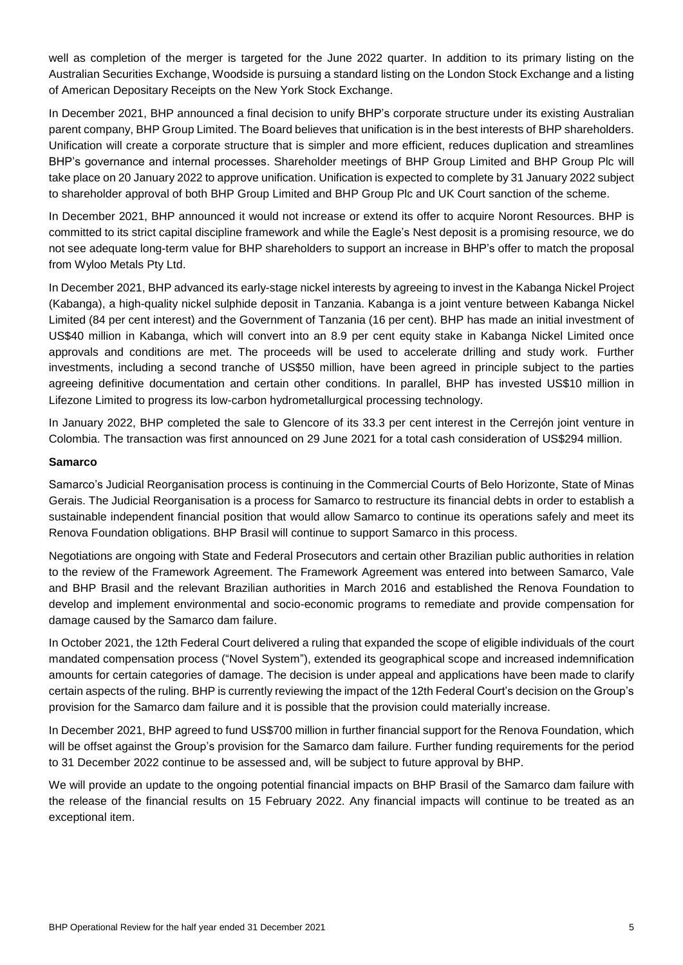well as completion of the merger is targeted for the June 2022 quarter. In addition to its primary listing on the Australian Securities Exchange, Woodside is pursuing a standard listing on the London Stock Exchange and a listing of American Depositary Receipts on the New York Stock Exchange.

In December 2021, BHP announced a final decision to unify BHP's corporate structure under its existing Australian parent company, BHP Group Limited. The Board believes that unification is in the best interests of BHP shareholders. Unification will create a corporate structure that is simpler and more efficient, reduces duplication and streamlines BHP's governance and internal processes. Shareholder meetings of BHP Group Limited and BHP Group Plc will take place on 20 January 2022 to approve unification. Unification is expected to complete by 31 January 2022 subject to shareholder approval of both BHP Group Limited and BHP Group Plc and UK Court sanction of the scheme.

In December 2021, BHP announced it would not increase or extend its offer to acquire Noront Resources. BHP is committed to its strict capital discipline framework and while the Eagle's Nest deposit is a promising resource, we do not see adequate long-term value for BHP shareholders to support an increase in BHP's offer to match the proposal from Wyloo Metals Pty Ltd.

In December 2021, BHP advanced its early-stage nickel interests by agreeing to invest in the Kabanga Nickel Project (Kabanga), a high-quality nickel sulphide deposit in Tanzania. Kabanga is a joint venture between Kabanga Nickel Limited (84 per cent interest) and the Government of Tanzania (16 per cent). BHP has made an initial investment of US\$40 million in Kabanga, which will convert into an 8.9 per cent equity stake in Kabanga Nickel Limited once approvals and conditions are met. The proceeds will be used to accelerate drilling and study work. Further investments, including a second tranche of US\$50 million, have been agreed in principle subject to the parties agreeing definitive documentation and certain other conditions. In parallel, BHP has invested US\$10 million in Lifezone Limited to progress its low-carbon hydrometallurgical processing technology.

In January 2022, BHP completed the sale to Glencore of its 33.3 per cent interest in the Cerrejón joint venture in Colombia. The transaction was first announced on 29 June 2021 for a total cash consideration of US\$294 million.

#### **Samarco**

Samarco's Judicial Reorganisation process is continuing in the Commercial Courts of Belo Horizonte, State of Minas Gerais. The Judicial Reorganisation is a process for Samarco to restructure its financial debts in order to establish a sustainable independent financial position that would allow Samarco to continue its operations safely and meet its Renova Foundation obligations. BHP Brasil will continue to support Samarco in this process.

Negotiations are ongoing with State and Federal Prosecutors and certain other Brazilian public authorities in relation to the review of the Framework Agreement. The Framework Agreement was entered into between Samarco, Vale and BHP Brasil and the relevant Brazilian authorities in March 2016 and established the Renova Foundation to develop and implement environmental and socio-economic programs to remediate and provide compensation for damage caused by the Samarco dam failure.

In October 2021, the 12th Federal Court delivered a ruling that expanded the scope of eligible individuals of the court mandated compensation process ("Novel System"), extended its geographical scope and increased indemnification amounts for certain categories of damage. The decision is under appeal and applications have been made to clarify certain aspects of the ruling. BHP is currently reviewing the impact of the 12th Federal Court's decision on the Group's provision for the Samarco dam failure and it is possible that the provision could materially increase.

In December 2021, BHP agreed to fund US\$700 million in further financial support for the Renova Foundation, which will be offset against the Group's provision for the Samarco dam failure. Further funding requirements for the period to 31 December 2022 continue to be assessed and, will be subject to future approval by BHP.

We will provide an update to the ongoing potential financial impacts on BHP Brasil of the Samarco dam failure with the release of the financial results on 15 February 2022. Any financial impacts will continue to be treated as an exceptional item.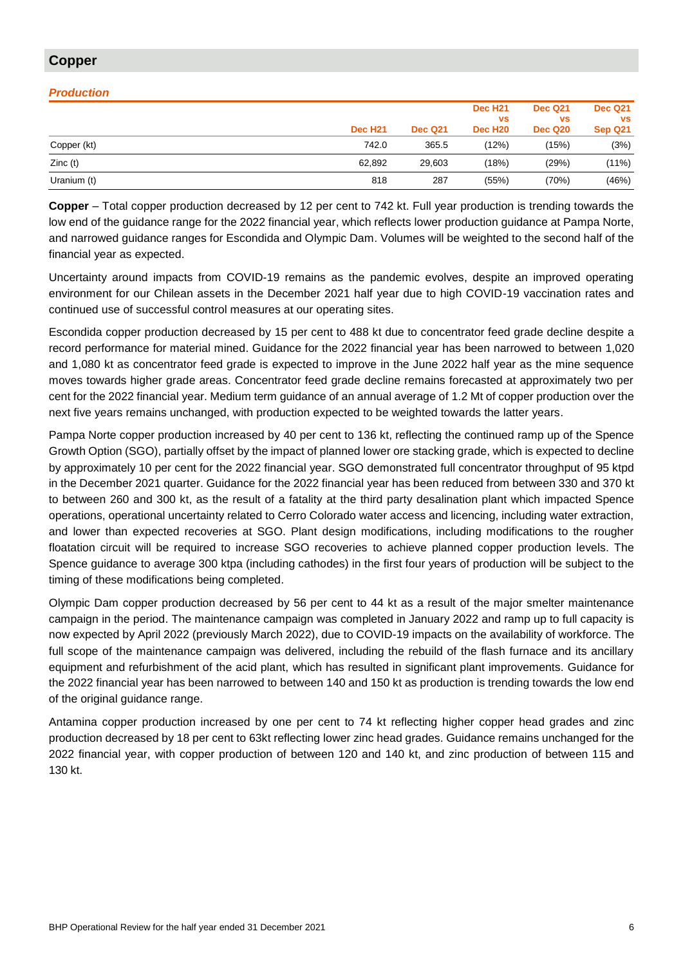# **Copper**

#### *Production*

|             |                     |                | Dec H <sub>21</sub><br><b>VS</b> | <b>Dec Q21</b><br><b>VS</b> | <b>Dec Q21</b><br><b>VS</b> |
|-------------|---------------------|----------------|----------------------------------|-----------------------------|-----------------------------|
|             | Dec H <sub>21</sub> | <b>Dec Q21</b> | Dec H <sub>20</sub>              | <b>Dec Q20</b>              | Sep Q21                     |
| Copper (kt) | 742.0               | 365.5          | (12%)                            | (15%)                       | (3%)                        |
| Zinc(t)     | 62,892              | 29,603         | (18%)                            | (29%)                       | $(11\%)$                    |
| Uranium (t) | 818                 | 287            | (55%)                            | (70%)                       | (46%)                       |

**Copper** – Total copper production decreased by 12 per cent to 742 kt. Full year production is trending towards the low end of the guidance range for the 2022 financial year, which reflects lower production guidance at Pampa Norte, and narrowed guidance ranges for Escondida and Olympic Dam. Volumes will be weighted to the second half of the financial year as expected.

Uncertainty around impacts from COVID-19 remains as the pandemic evolves, despite an improved operating environment for our Chilean assets in the December 2021 half year due to high COVID-19 vaccination rates and continued use of successful control measures at our operating sites.

Escondida copper production decreased by 15 per cent to 488 kt due to concentrator feed grade decline despite a record performance for material mined. Guidance for the 2022 financial year has been narrowed to between 1,020 and 1,080 kt as concentrator feed grade is expected to improve in the June 2022 half year as the mine sequence moves towards higher grade areas. Concentrator feed grade decline remains forecasted at approximately two per cent for the 2022 financial year. Medium term guidance of an annual average of 1.2 Mt of copper production over the next five years remains unchanged, with production expected to be weighted towards the latter years.

Pampa Norte copper production increased by 40 per cent to 136 kt, reflecting the continued ramp up of the Spence Growth Option (SGO), partially offset by the impact of planned lower ore stacking grade, which is expected to decline by approximately 10 per cent for the 2022 financial year. SGO demonstrated full concentrator throughput of 95 ktpd in the December 2021 quarter. Guidance for the 2022 financial year has been reduced from between 330 and 370 kt to between 260 and 300 kt, as the result of a fatality at the third party desalination plant which impacted Spence operations, operational uncertainty related to Cerro Colorado water access and licencing, including water extraction, and lower than expected recoveries at SGO. Plant design modifications, including modifications to the rougher floatation circuit will be required to increase SGO recoveries to achieve planned copper production levels. The Spence guidance to average 300 ktpa (including cathodes) in the first four years of production will be subject to the timing of these modifications being completed.

Olympic Dam copper production decreased by 56 per cent to 44 kt as a result of the major smelter maintenance campaign in the period. The maintenance campaign was completed in January 2022 and ramp up to full capacity is now expected by April 2022 (previously March 2022), due to COVID-19 impacts on the availability of workforce. The full scope of the maintenance campaign was delivered, including the rebuild of the flash furnace and its ancillary equipment and refurbishment of the acid plant, which has resulted in significant plant improvements. Guidance for the 2022 financial year has been narrowed to between 140 and 150 kt as production is trending towards the low end of the original guidance range.

Antamina copper production increased by one per cent to 74 kt reflecting higher copper head grades and zinc production decreased by 18 per cent to 63kt reflecting lower zinc head grades. Guidance remains unchanged for the 2022 financial year, with copper production of between 120 and 140 kt, and zinc production of between 115 and 130 kt.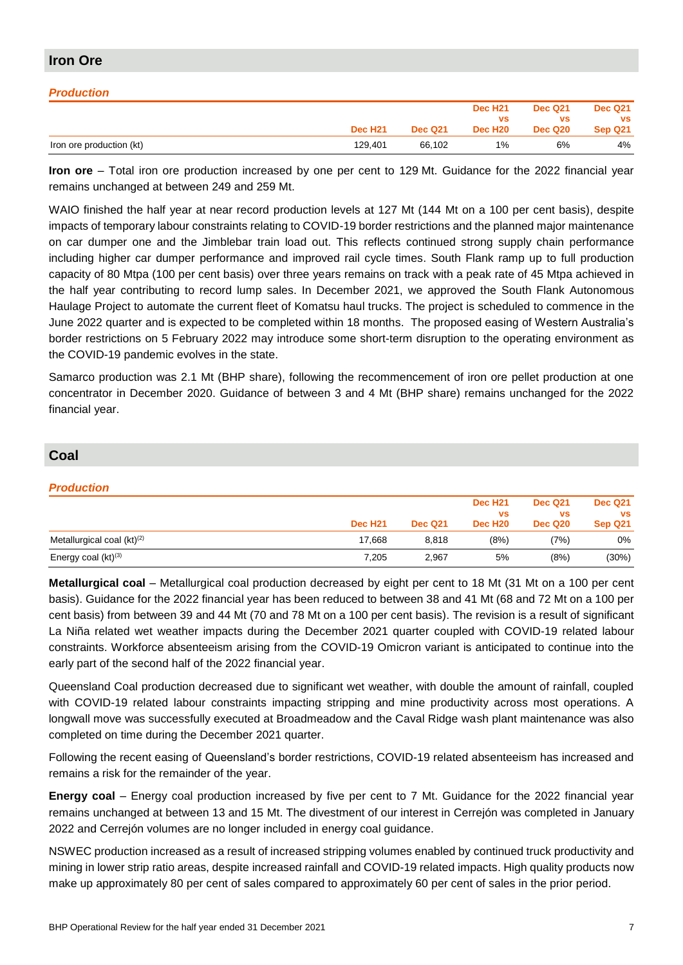| <b>Iron Ore</b>          |                     |                |                                  |                             |                             |
|--------------------------|---------------------|----------------|----------------------------------|-----------------------------|-----------------------------|
| <b>Production</b>        |                     |                |                                  |                             |                             |
|                          |                     |                | Dec H <sub>21</sub><br><b>VS</b> | <b>Dec Q21</b><br><b>VS</b> | <b>Dec Q21</b><br><b>VS</b> |
|                          | Dec H <sub>21</sub> | <b>Dec Q21</b> | Dec H <sub>20</sub>              | <b>Dec Q20</b>              | Sep Q21                     |
| Iron ore production (kt) | 129,401             | 66,102         | $1\%$                            | 6%                          | 4%                          |

**Iron ore** – Total iron ore production increased by one per cent to 129 Mt. Guidance for the 2022 financial year remains unchanged at between 249 and 259 Mt.

WAIO finished the half year at near record production levels at 127 Mt (144 Mt on a 100 per cent basis), despite impacts of temporary labour constraints relating to COVID-19 border restrictions and the planned major maintenance on car dumper one and the Jimblebar train load out. This reflects continued strong supply chain performance including higher car dumper performance and improved rail cycle times. South Flank ramp up to full production capacity of 80 Mtpa (100 per cent basis) over three years remains on track with a peak rate of 45 Mtpa achieved in the half year contributing to record lump sales. In December 2021, we approved the South Flank Autonomous Haulage Project to automate the current fleet of Komatsu haul trucks. The project is scheduled to commence in the June 2022 quarter and is expected to be completed within 18 months. The proposed easing of Western Australia's border restrictions on 5 February 2022 may introduce some short-term disruption to the operating environment as the COVID-19 pandemic evolves in the state.

Samarco production was 2.1 Mt (BHP share), following the recommencement of iron ore pellet production at one concentrator in December 2020. Guidance of between 3 and 4 Mt (BHP share) remains unchanged for the 2022 financial year.

# **Coal**

| <b>Production</b>                      |                     |                |                     |                |                |
|----------------------------------------|---------------------|----------------|---------------------|----------------|----------------|
|                                        |                     |                | Dec H <sub>21</sub> | <b>Dec Q21</b> | <b>Dec Q21</b> |
|                                        |                     |                | vs                  | <b>VS</b>      | <b>VS</b>      |
|                                        | Dec H <sub>21</sub> | <b>Dec Q21</b> | Dec H <sub>20</sub> | <b>Dec Q20</b> | Sep Q21        |
| Metallurgical coal (kt) <sup>(2)</sup> | 17.668              | 8,818          | (8%)                | (7%)           | $0\%$          |
| Energy coal $(kt)^{(3)}$               | 7.205               | 2.967          | 5%                  | (8%)           | (30%)          |

**Metallurgical coal** – Metallurgical coal production decreased by eight per cent to 18 Mt (31 Mt on a 100 per cent basis). Guidance for the 2022 financial year has been reduced to between 38 and 41 Mt (68 and 72 Mt on a 100 per cent basis) from between 39 and 44 Mt (70 and 78 Mt on a 100 per cent basis). The revision is a result of significant La Niña related wet weather impacts during the December 2021 quarter coupled with COVID-19 related labour constraints. Workforce absenteeism arising from the COVID-19 Omicron variant is anticipated to continue into the early part of the second half of the 2022 financial year.

Queensland Coal production decreased due to significant wet weather, with double the amount of rainfall, coupled with COVID-19 related labour constraints impacting stripping and mine productivity across most operations. A longwall move was successfully executed at Broadmeadow and the Caval Ridge wash plant maintenance was also completed on time during the December 2021 quarter.

Following the recent easing of Queensland's border restrictions, COVID-19 related absenteeism has increased and remains a risk for the remainder of the year.

**Energy coal** – Energy coal production increased by five per cent to 7 Mt. Guidance for the 2022 financial year remains unchanged at between 13 and 15 Mt. The divestment of our interest in Cerrejón was completed in January 2022 and Cerrejón volumes are no longer included in energy coal guidance.

NSWEC production increased as a result of increased stripping volumes enabled by continued truck productivity and mining in lower strip ratio areas, despite increased rainfall and COVID-19 related impacts. High quality products now make up approximately 80 per cent of sales compared to approximately 60 per cent of sales in the prior period.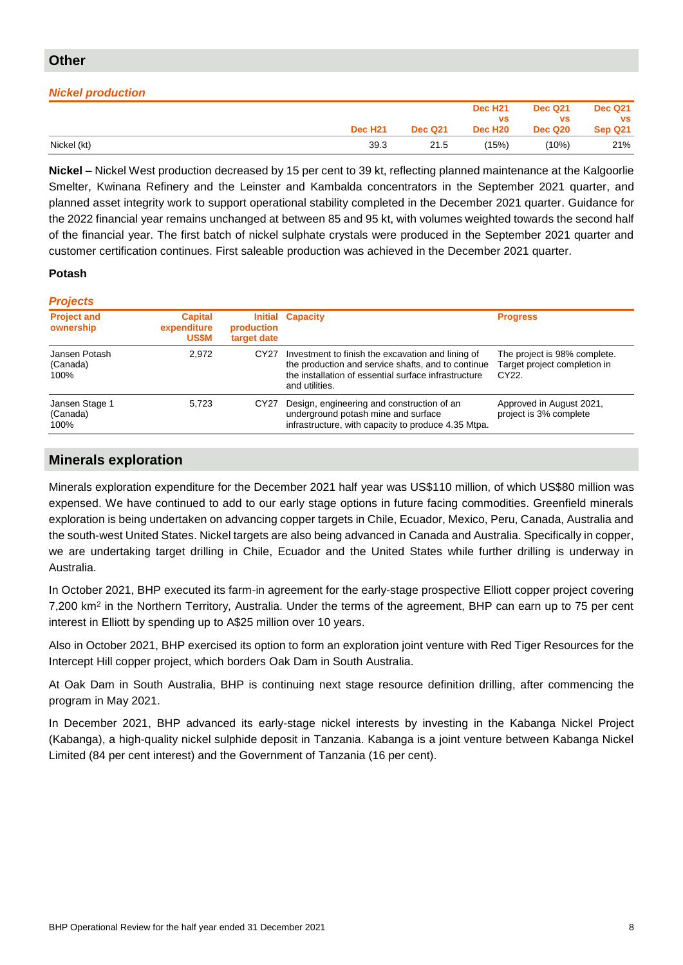# **Other**

# *Nickel production*

|                                                  |                     |                | Dec H <sub>21</sub> | <b>Dec Q21</b> | <b>Dec Q21</b> |
|--------------------------------------------------|---------------------|----------------|---------------------|----------------|----------------|
|                                                  |                     |                | <b>VS</b>           | vs             | <b>VS</b>      |
|                                                  | Dec H <sub>21</sub> | <b>Dec Q21</b> | Dec H <sub>20</sub> | <b>Dec Q20</b> | Sep Q21        |
| Nickel (kt)<br>the control of the control of the | 39.3                | 21.5           | (15%)               | (10%)          | 21%            |

**Nickel** – Nickel West production decreased by 15 per cent to 39 kt, reflecting planned maintenance at the Kalgoorlie Smelter, Kwinana Refinery and the Leinster and Kambalda concentrators in the September 2021 quarter, and planned asset integrity work to support operational stability completed in the December 2021 quarter. Guidance for the 2022 financial year remains unchanged at between 85 and 95 kt, with volumes weighted towards the second half of the financial year. The first batch of nickel sulphate crystals were produced in the September 2021 quarter and customer certification continues. First saleable production was achieved in the December 2021 quarter.

#### **Potash**

| <b>Projects</b>                    |                                               |                           |                                                                                                                                                                                   |                                                                       |
|------------------------------------|-----------------------------------------------|---------------------------|-----------------------------------------------------------------------------------------------------------------------------------------------------------------------------------|-----------------------------------------------------------------------|
| <b>Project and</b><br>ownership    | <b>Capital</b><br>expenditure<br><b>US\$M</b> | production<br>target date | <b>Initial Capacity</b>                                                                                                                                                           | <b>Progress</b>                                                       |
| Jansen Potash<br>(Canada)<br>100%  | 2.972                                         | CY27                      | Investment to finish the excavation and lining of<br>the production and service shafts, and to continue<br>the installation of essential surface infrastructure<br>and utilities. | The project is 98% complete.<br>Target project completion in<br>CY22. |
| Jansen Stage 1<br>(Canada)<br>100% | 5.723                                         | CY27                      | Design, engineering and construction of an<br>underground potash mine and surface<br>infrastructure, with capacity to produce 4.35 Mtpa.                                          | Approved in August 2021,<br>project is 3% complete                    |

# **Minerals exploration**

Minerals exploration expenditure for the December 2021 half year was US\$110 million, of which US\$80 million was expensed. We have continued to add to our early stage options in future facing commodities. Greenfield minerals exploration is being undertaken on advancing copper targets in Chile, Ecuador, Mexico, Peru, Canada, Australia and the south-west United States. Nickel targets are also being advanced in Canada and Australia. Specifically in copper, we are undertaking target drilling in Chile, Ecuador and the United States while further drilling is underway in Australia.

In October 2021, BHP executed its farm-in agreement for the early-stage prospective Elliott copper project covering 7,200 km<sup>2</sup> in the Northern Territory, Australia. Under the terms of the agreement, BHP can earn up to 75 per cent interest in Elliott by spending up to A\$25 million over 10 years.

Also in October 2021, BHP exercised its option to form an exploration joint venture with Red Tiger Resources for the Intercept Hill copper project, which borders Oak Dam in South Australia.

At Oak Dam in South Australia, BHP is continuing next stage resource definition drilling, after commencing the program in May 2021.

In December 2021, BHP advanced its early-stage nickel interests by investing in the Kabanga Nickel Project (Kabanga), a high-quality nickel sulphide deposit in Tanzania. Kabanga is a joint venture between Kabanga Nickel Limited (84 per cent interest) and the Government of Tanzania (16 per cent).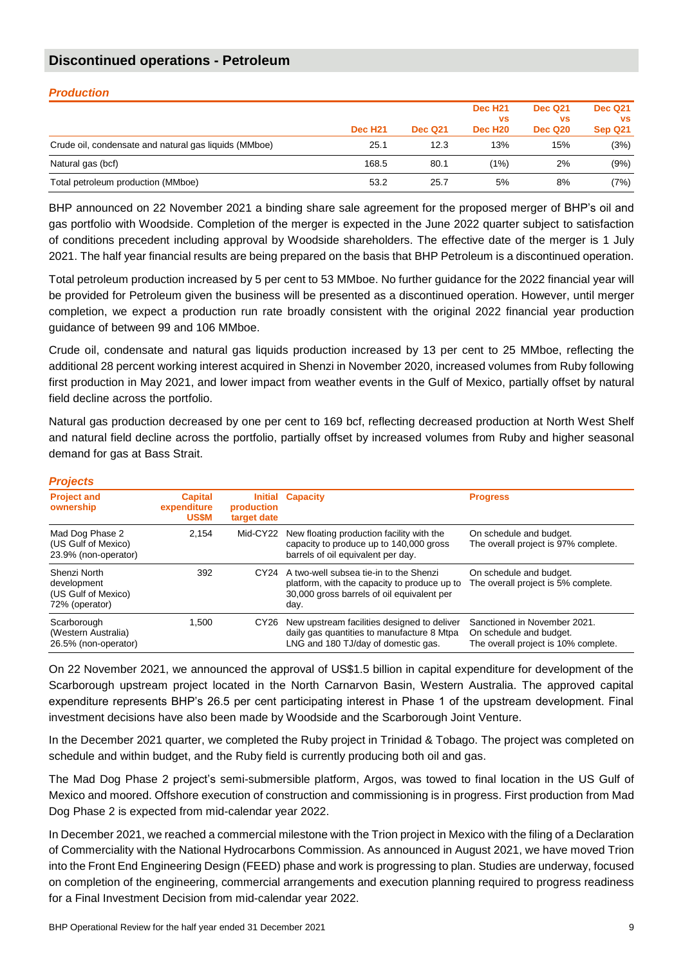# **Discontinued operations - Petroleum**

| <b>Production</b>                                     |                |                |                                                    |                                               |                                        |
|-------------------------------------------------------|----------------|----------------|----------------------------------------------------|-----------------------------------------------|----------------------------------------|
|                                                       | <b>Dec H21</b> | <b>Dec Q21</b> | Dec H <sub>21</sub><br><b>VS</b><br><b>Dec H20</b> | <b>Dec Q21</b><br><b>VS</b><br><b>Dec Q20</b> | <b>Dec Q21</b><br><b>VS</b><br>Sep Q21 |
| Crude oil, condensate and natural gas liquids (MMboe) | 25.1           | 12.3           | 13%                                                | 15%                                           | (3%)                                   |
| Natural gas (bcf)                                     | 168.5          | 80.1           | (1%)                                               | 2%                                            | (9%)                                   |
| Total petroleum production (MMboe)                    | 53.2           | 25.7           | 5%                                                 | 8%                                            | (7%)                                   |

BHP announced on 22 November 2021 a binding share sale agreement for the proposed merger of BHP's oil and gas portfolio with Woodside. Completion of the merger is expected in the June 2022 quarter subject to satisfaction of conditions precedent including approval by Woodside shareholders. The effective date of the merger is 1 July 2021. The half year financial results are being prepared on the basis that BHP Petroleum is a discontinued operation.

Total petroleum production increased by 5 per cent to 53 MMboe. No further guidance for the 2022 financial year will be provided for Petroleum given the business will be presented as a discontinued operation. However, until merger completion, we expect a production run rate broadly consistent with the original 2022 financial year production guidance of between 99 and 106 MMboe.

Crude oil, condensate and natural gas liquids production increased by 13 per cent to 25 MMboe, reflecting the additional 28 percent working interest acquired in Shenzi in November 2020, increased volumes from Ruby following first production in May 2021, and lower impact from weather events in the Gulf of Mexico, partially offset by natural field decline across the portfolio.

Natural gas production decreased by one per cent to 169 bcf, reflecting decreased production at North West Shelf and natural field decline across the portfolio, partially offset by increased volumes from Ruby and higher seasonal demand for gas at Bass Strait.

| <b>Projects</b>                                                      |                                               |                           |                                                                                                                                              |                                                                                                 |
|----------------------------------------------------------------------|-----------------------------------------------|---------------------------|----------------------------------------------------------------------------------------------------------------------------------------------|-------------------------------------------------------------------------------------------------|
| <b>Project and</b><br>ownership                                      | <b>Capital</b><br>expenditure<br><b>US\$M</b> | production<br>target date | <b>Initial Capacity</b>                                                                                                                      | <b>Progress</b>                                                                                 |
| Mad Dog Phase 2<br>(US Gulf of Mexico)<br>23.9% (non-operator)       | 2.154                                         | Mid-CY22                  | New floating production facility with the<br>capacity to produce up to 140,000 gross<br>barrels of oil equivalent per day.                   | On schedule and budget.<br>The overall project is 97% complete.                                 |
| Shenzi North<br>development<br>(US Gulf of Mexico)<br>72% (operator) | 392                                           | CY24                      | A two-well subsea tie-in to the Shenzi<br>platform, with the capacity to produce up to<br>30,000 gross barrels of oil equivalent per<br>day. | On schedule and budget.<br>The overall project is 5% complete.                                  |
| Scarborough<br>(Western Australia)<br>26.5% (non-operator)           | 1.500                                         | CY <sub>26</sub>          | New upstream facilities designed to deliver<br>daily gas quantities to manufacture 8 Mtpa<br>LNG and 180 TJ/day of domestic gas.             | Sanctioned in November 2021.<br>On schedule and budget.<br>The overall project is 10% complete. |

On 22 November 2021, we announced the approval of US\$1.5 billion in capital expenditure for development of the Scarborough upstream project located in the North Carnarvon Basin, Western Australia. The approved capital expenditure represents BHP's 26.5 per cent participating interest in Phase 1 of the upstream development. Final investment decisions have also been made by Woodside and the Scarborough Joint Venture.

In the December 2021 quarter, we completed the Ruby project in Trinidad & Tobago. The project was completed on schedule and within budget, and the Ruby field is currently producing both oil and gas.

The Mad Dog Phase 2 project's semi-submersible platform, Argos, was towed to final location in the US Gulf of Mexico and moored. Offshore execution of construction and commissioning is in progress. First production from Mad Dog Phase 2 is expected from mid-calendar year 2022.

In December 2021, we reached a commercial milestone with the Trion project in Mexico with the filing of a Declaration of Commerciality with the National Hydrocarbons Commission. As announced in August 2021, we have moved Trion into the Front End Engineering Design (FEED) phase and work is progressing to plan. Studies are underway, focused on completion of the engineering, commercial arrangements and execution planning required to progress readiness for a Final Investment Decision from mid-calendar year 2022.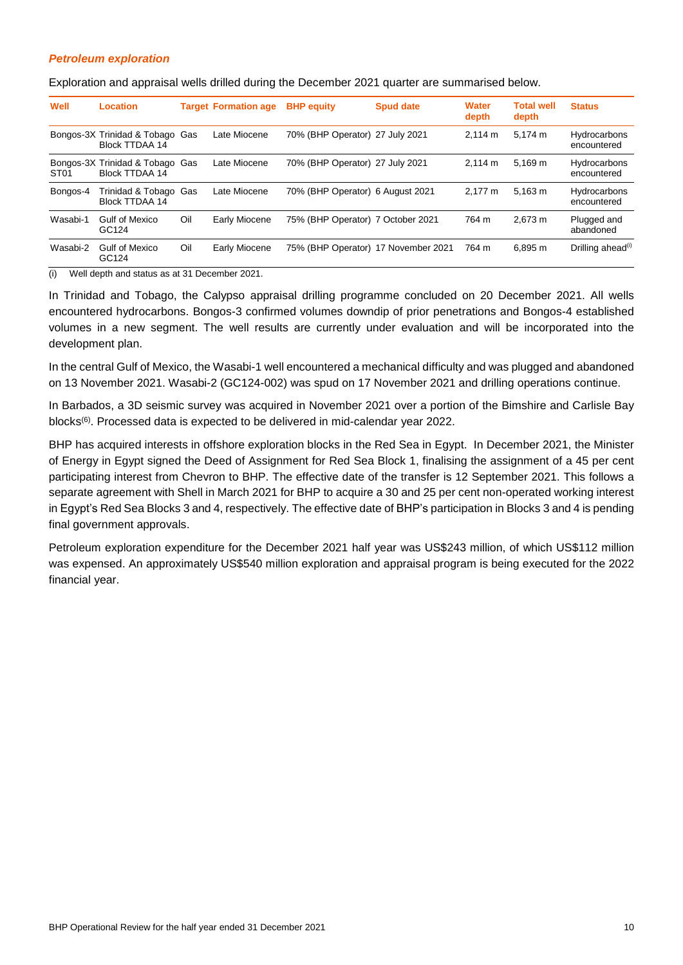#### *Petroleum exploration*

Exploration and appraisal wells drilled during the December 2021 quarter are summarised below.

| Well             | Location                                                 |     | <b>Target Formation age</b> | <b>BHP</b> equity                   | <b>Spud date</b> | <b>Water</b><br>depth | <b>Total well</b><br>depth | <b>Status</b>                 |
|------------------|----------------------------------------------------------|-----|-----------------------------|-------------------------------------|------------------|-----------------------|----------------------------|-------------------------------|
|                  | Bongos-3X Trinidad & Tobago Gas<br><b>Block TTDAA 14</b> |     | Late Miocene                | 70% (BHP Operator) 27 July 2021     |                  | 2.114 m               | 5.174 m                    | Hydrocarbons<br>encountered   |
| ST <sub>01</sub> | Bongos-3X Trinidad & Tobago<br>Block TTDAA 14            | Gas | Late Miocene                | 70% (BHP Operator) 27 July 2021     |                  | 2.114 m               | 5.169 m                    | Hydrocarbons<br>encountered   |
| Bongos-4         | Trinidad & Tobago<br><b>Block TTDAA 14</b>               | Gas | Late Miocene                | 70% (BHP Operator) 6 August 2021    |                  | $2.177 \text{ m}$     | $5.163 \text{ m}$          | Hydrocarbons<br>encountered   |
| Wasabi-1         | Gulf of Mexico<br>GC124                                  | Oil | Early Miocene               | 75% (BHP Operator) 7 October 2021   |                  | 764 m                 | 2.673 m                    | Plugged and<br>abandoned      |
| Wasabi-2         | <b>Gulf of Mexico</b><br>GC124                           | Oil | Early Miocene               | 75% (BHP Operator) 17 November 2021 |                  | 764 m                 | 6.895 m                    | Drilling ahead <sup>(i)</sup> |

(i) Well depth and status as at 31 December 2021.

In Trinidad and Tobago, the Calypso appraisal drilling programme concluded on 20 December 2021. All wells encountered hydrocarbons. Bongos-3 confirmed volumes downdip of prior penetrations and Bongos-4 established volumes in a new segment. The well results are currently under evaluation and will be incorporated into the development plan.

In the central Gulf of Mexico, the Wasabi-1 well encountered a mechanical difficulty and was plugged and abandoned on 13 November 2021. Wasabi-2 (GC124-002) was spud on 17 November 2021 and drilling operations continue.

In Barbados, a 3D seismic survey was acquired in November 2021 over a portion of the Bimshire and Carlisle Bay blocks<sup>(6)</sup>. Processed data is expected to be delivered in mid-calendar year 2022.

BHP has acquired interests in offshore exploration blocks in the Red Sea in Egypt. In December 2021, the Minister of Energy in Egypt signed the Deed of Assignment for Red Sea Block 1, finalising the assignment of a 45 per cent participating interest from Chevron to BHP. The effective date of the transfer is 12 September 2021. This follows a separate agreement with Shell in March 2021 for BHP to acquire a 30 and 25 per cent non-operated working interest in Egypt's Red Sea Blocks 3 and 4, respectively. The effective date of BHP's participation in Blocks 3 and 4 is pending final government approvals.

Petroleum exploration expenditure for the December 2021 half year was US\$243 million, of which US\$112 million was expensed. An approximately US\$540 million exploration and appraisal program is being executed for the 2022 financial year.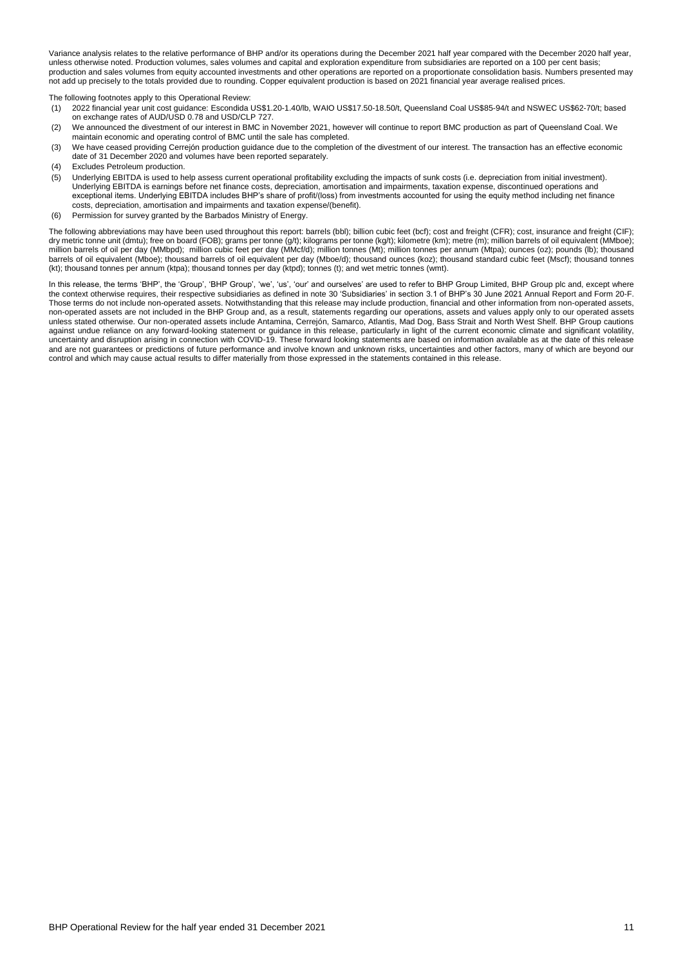Variance analysis relates to the relative performance of BHP and/or its operations during the December 2021 half year compared with the December 2020 half year, unless otherwise noted. Production volumes, sales volumes and capital and exploration expenditure from subsidiaries are reported on a 100 per cent basis; production and sales volumes from equity accounted investments and other operations are reported on a proportionate consolidation basis. Numbers presented may not add up precisely to the totals provided due to rounding. Copper equivalent production is based on 2021 financial year average realised prices.

The following footnotes apply to this Operational Review:

- (1) 2022 financial year unit cost guidance: Escondida US\$1.20-1.40/lb, WAIO US\$17.50-18.50/t, Queensland Coal US\$85-94/t and NSWEC US\$62-70/t; based on exchange rates of AUD/USD 0.78 and USD/CLP 727.
- (2) We announced the divestment of our interest in BMC in November 2021, however will continue to report BMC production as part of Queensland Coal. We maintain economic and operating control of BMC until the sale has completed.
- (3) We have ceased providing Cerrejón production guidance due to the completion of the divestment of our interest. The transaction has an effective economic date of 31 December 2020 and volumes have been reported separately.
- (4) Excludes Petroleum production.
- (5) Underlying EBITDA is used to help assess current operational profitability excluding the impacts of sunk costs (i.e. depreciation from initial investment). Underlying EBITDA is earnings before net finance costs, depreciation, amortisation and impairments, taxation expense, discontinued operations and exceptional items. Underlying EBITDA includes BHP's share of profit/(loss) from investments accounted for using the equity method including net finance costs, depreciation, amortisation and impairments and taxation expense/(benefit).
- (6) Permission for survey granted by the Barbados Ministry of Energy.

The following abbreviations may have been used throughout this report: barrels (bbl); billion cubic feet (bcf); cost and freight (CFR); cost, insurance and freight (CIF); dry metric tonne unit (dmtu); free on board (FOB); grams per tonne (g/t); kilograms per tonne (kg/t); kilometre (km); metre (m); million barrels of oil equivalent (MMboe); million barrels of oil per day (MMbpd); million cubic feet per day (MMcf/d); million tonnes (Mt); million tonnes per annum (Mtpa); ounces (oz); pounds (lb); thousand barrels of oil equivalent (Mboe); thousand barrels of oil equivalent per day (Mboe/d); thousand ounces (koz); thousand standard cubic feet (Mscf); thousand tonnes (kt); thousand tonnes per annum (ktpa); thousand tonnes per day (ktpd); tonnes (t); and wet metric tonnes (wmt).

In this release, the terms 'BHP', the 'Group', 'BHP Group', 'we', 'us', 'our' and ourselves' are used to refer to BHP Group Limited, BHP Group plc and, except where the context otherwise requires, their respective subsidiaries as defined in note 30 'Subsidiaries' in section 3.1 of BHP's 30 June 2021 Annual Report and Form 20-F. Those terms do not include non-operated assets. Notwithstanding that this release may include production, financial and other information from non-operated assets, non-operated assets are not included in the BHP Group and, as a result, statements regarding our operations, assets and values apply only to our operated assets unless stated otherwise. Our non-operated assets include Antamina, Cerrejón, Samarco, Atlantis, Mad Dog, Bass Strait and North West Shelf. BHP Group cautions against undue reliance on any forward-looking statement or guidance in this release, particularly in light of the current economic climate and significant volatility, uncertainty and disruption arising in connection with COVID-19. These forward looking statements are based on information available as at the date of this release and are not guarantees or predictions of future performance and involve known and unknown risks, uncertainties and other factors, many of which are beyond our control and which may cause actual results to differ materially from those expressed in the statements contained in this release.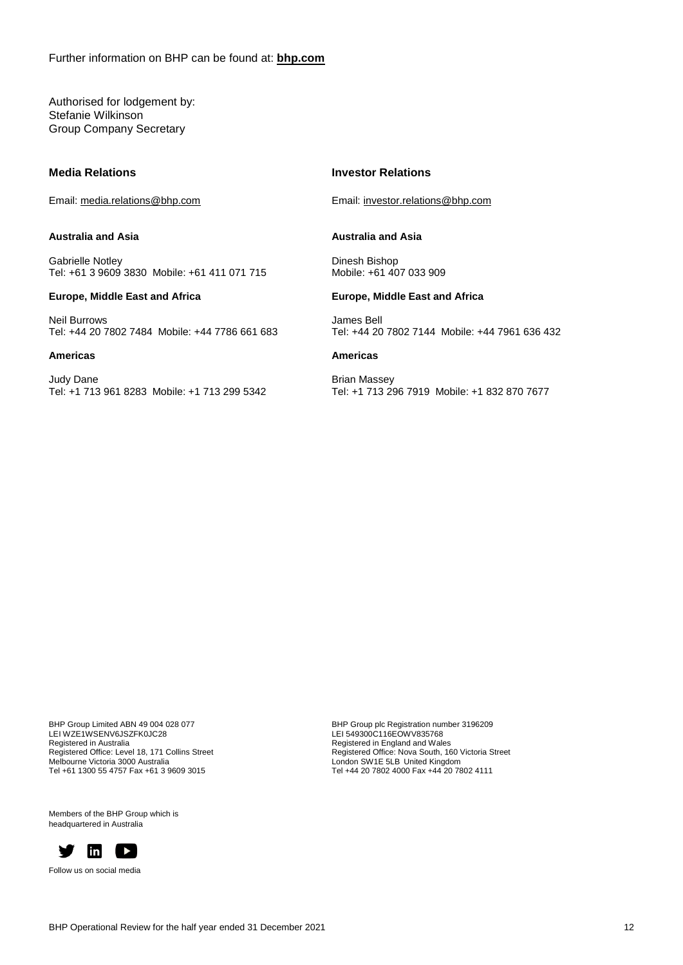Further information on BHP can be found at: **[bhp.com](http://www.bhp.com/)**

Authorised for lodgement by: Stefanie Wilkinson Group Company Secretary

#### **Media Relations**

Email: media.relations@bhp.com

#### **Australia and Asia**

Gabrielle Notley Tel: +61 3 9609 3830 Mobile: +61 411 071 715

#### **Europe, Middle East and Africa**

Neil Burrows Tel: +44 20 7802 7484 Mobile: +44 7786 661 683

#### **Americas**

Judy Dane Tel: +1 713 961 8283 Mobile: +1 713 299 5342

#### **Investor Relations**

Email: investor.relations@bhp.com

#### **Australia and Asia**

Dinesh Bishop Mobile: +61 407 033 909

#### **Europe, Middle East and Africa**

James Bell Tel: +44 20 7802 7144 Mobile: +44 7961 636 432

#### **Americas**

Brian Massey Tel: +1 713 296 7919 Mobile: +1 832 870 7677

BHP Group Limited ABN 49 004 028 077 LEI WZE1WSENV6JSZFK0JC28 Registered in Australia Registered Office: Level 18, 171 Collins Street Melbourne Victoria 3000 Australia Tel +61 1300 55 4757 Fax +61 3 9609 3015

Members of the BHP Group which is headquartered in Australia



Follow us on social media

BHP Group plc Registration number 3196209 LEI 549300C116EOWV835768 Registered in England and Wales Registered Office: Nova South, 160 Victoria Street London SW1E 5LB United Kingdom Tel +44 20 7802 4000 Fax +44 20 7802 4111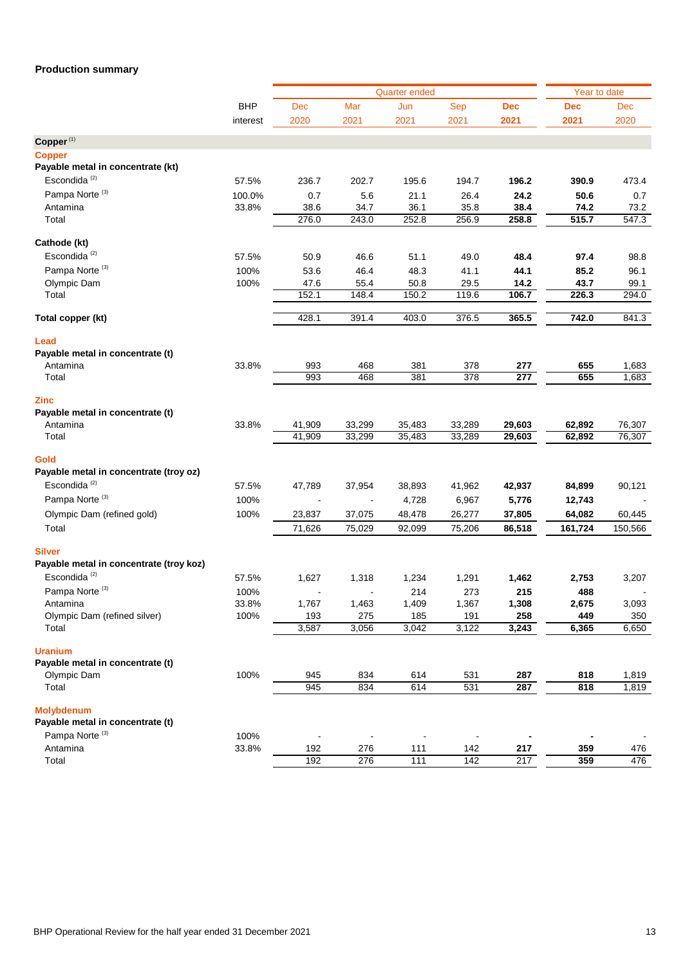# **Production summary**

|                                         |            |            |        | <b>Quarter ended</b> |        |            | Year to date |            |
|-----------------------------------------|------------|------------|--------|----------------------|--------|------------|--------------|------------|
|                                         | <b>BHP</b> | <b>Dec</b> | Mar    | Jun                  | Sep    | <b>Dec</b> | <b>Dec</b>   | <b>Dec</b> |
|                                         | interest   | 2020       | 2021   | 2021                 | 2021   | 2021       | 2021         | 2020       |
| Copper <sup>(1)</sup>                   |            |            |        |                      |        |            |              |            |
| <b>Copper</b>                           |            |            |        |                      |        |            |              |            |
| Payable metal in concentrate (kt)       |            |            |        |                      |        |            |              |            |
| Escondida <sup>(2)</sup>                | 57.5%      | 236.7      | 202.7  | 195.6                | 194.7  | 196.2      | 390.9        | 473.4      |
| Pampa Norte <sup>(3)</sup>              | 100.0%     | 0.7        | 5.6    | 21.1                 | 26.4   | 24.2       | 50.6         | 0.7        |
| Antamina                                | 33.8%      | 38.6       | 34.7   | 36.1                 | 35.8   | 38.4       | 74.2         | 73.2       |
| Total                                   |            | 276.0      | 243.0  | 252.8                | 256.9  | 258.8      | 515.7        | 547.3      |
| Cathode (kt)                            |            |            |        |                      |        |            |              |            |
| Escondida <sup>(2)</sup>                | 57.5%      | 50.9       | 46.6   | 51.1                 | 49.0   | 48.4       | 97.4         | 98.8       |
| Pampa Norte <sup>(3)</sup>              | 100%       | 53.6       | 46.4   | 48.3                 | 41.1   | 44.1       | 85.2         | 96.1       |
| Olympic Dam                             | 100%       | 47.6       | 55.4   | 50.8                 | 29.5   | 14.2       | 43.7         | 99.1       |
| Total                                   |            | 152.1      | 148.4  | 150.2                | 119.6  | 106.7      | 226.3        | 294.0      |
| Total copper (kt)                       |            | 428.1      | 391.4  | 403.0                | 376.5  | 365.5      | 742.0        | 841.3      |
| Lead                                    |            |            |        |                      |        |            |              |            |
| Payable metal in concentrate (t)        |            |            |        |                      |        |            |              |            |
| Antamina                                | 33.8%      | 993        | 468    | 381                  | 378    | 277        | 655          | 1,683      |
| Total                                   |            | 993        | 468    | 381                  | 378    | 277        | 655          | 1,683      |
| <b>Zinc</b>                             |            |            |        |                      |        |            |              |            |
| Payable metal in concentrate (t)        |            |            |        |                      |        |            |              |            |
| Antamina                                | 33.8%      | 41,909     | 33,299 | 35,483               | 33,289 | 29,603     | 62,892       | 76,307     |
| Total                                   |            | 41,909     | 33,299 | 35,483               | 33,289 | 29,603     | 62,892       | 76,307     |
| Gold                                    |            |            |        |                      |        |            |              |            |
| Payable metal in concentrate (troy oz)  |            |            |        |                      |        |            |              |            |
| Escondida <sup>(2)</sup>                | 57.5%      | 47,789     | 37,954 | 38,893               | 41,962 | 42,937     | 84,899       | 90,121     |
| Pampa Norte <sup>(3)</sup>              | 100%       |            |        | 4,728                | 6,967  | 5,776      | 12,743       |            |
| Olympic Dam (refined gold)              | 100%       | 23,837     | 37,075 | 48,478               | 26,277 | 37,805     | 64,082       | 60,445     |
| Total                                   |            | 71,626     | 75,029 | 92,099               | 75,206 | 86,518     | 161,724      | 150,566    |
| <b>Silver</b>                           |            |            |        |                      |        |            |              |            |
| Payable metal in concentrate (troy koz) |            |            |        |                      |        |            |              |            |
| Escondida <sup>(2)</sup>                | 57.5%      | 1,627      | 1,318  | 1,234                | 1,291  | 1,462      | 2,753        | 3,207      |
| Pampa Norte <sup>(3)</sup>              | 100%       |            |        | 214                  | 273    | 215        | 488          |            |
| Antamina                                | 33.8%      | 1,767      | 1,463  | 1,409                | 1,367  | 1,308      | 2,675        | 3,093      |
| Olympic Dam (refined silver)            | 100%       | 193        | 275    | 185                  | 191    | 258        | 449          | 350        |
| Total                                   |            | 3,587      | 3,056  | 3,042                | 3,122  | 3,243      | 6,365        | 6,650      |
| <b>Uranium</b>                          |            |            |        |                      |        |            |              |            |
| Payable metal in concentrate (t)        |            |            |        |                      |        |            |              |            |
| Olympic Dam                             | 100%       | 945        | 834    | 614                  | 531    | 287        | 818          | 1,819      |
| Total                                   |            | 945        | 834    | 614                  | 531    | 287        | 818          | 1,819      |
| Molybdenum                              |            |            |        |                      |        |            |              |            |
| Payable metal in concentrate (t)        |            |            |        |                      |        |            |              |            |
| Pampa Norte <sup>(3)</sup>              | 100%       |            |        |                      |        |            |              |            |
| Antamina                                | 33.8%      | 192        | 276    | 111                  | 142    | 217        | 359          | 476        |
| Total                                   |            | 192        | 276    | 111                  | 142    | 217        | 359          | 476        |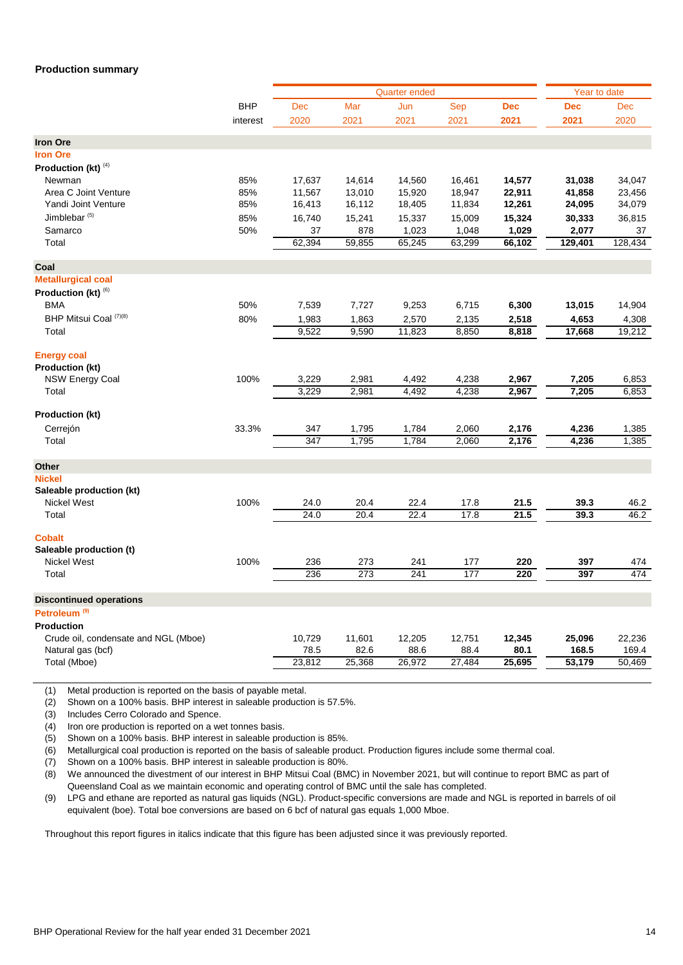#### **Production summary**

|                                      |            |              |              | <b>Quarter ended</b> |              |              | Year to date |              |  |
|--------------------------------------|------------|--------------|--------------|----------------------|--------------|--------------|--------------|--------------|--|
|                                      | <b>BHP</b> | Dec          | Mar          | Jun                  | Sep          | <b>Dec</b>   | <b>Dec</b>   | Dec          |  |
|                                      | interest   | 2020         | 2021         | 2021                 | 2021         | 2021         | 2021         | 2020         |  |
| <b>Iron Ore</b>                      |            |              |              |                      |              |              |              |              |  |
| <b>Iron Ore</b>                      |            |              |              |                      |              |              |              |              |  |
| Production (kt) (4)                  |            |              |              |                      |              |              |              |              |  |
| Newman                               | 85%        | 17,637       | 14,614       | 14,560               | 16,461       | 14,577       | 31,038       | 34,047       |  |
| Area C Joint Venture                 | 85%        | 11,567       | 13,010       | 15,920               | 18,947       | 22,911       | 41,858       | 23,456       |  |
| Yandi Joint Venture                  | 85%        | 16,413       | 16,112       | 18,405               | 11,834       | 12,261       | 24,095       | 34,079       |  |
| Jimblebar <sup>(5)</sup>             | 85%        | 16,740       | 15,241       | 15,337               | 15,009       | 15,324       | 30,333       | 36,815       |  |
| Samarco                              | 50%        | 37           | 878          | 1,023                | 1,048        | 1,029        | 2,077        | 37           |  |
| Total                                |            | 62,394       | 59,855       | 65,245               | 63,299       | 66,102       | 129,401      | 128,434      |  |
| Coal                                 |            |              |              |                      |              |              |              |              |  |
| <b>Metallurgical coal</b>            |            |              |              |                      |              |              |              |              |  |
| Production (kt) (6)                  |            |              |              |                      |              |              |              |              |  |
| <b>BMA</b>                           | 50%        | 7,539        | 7,727        | 9,253                | 6,715        | 6,300        | 13,015       | 14,904       |  |
| BHP Mitsui Coal (7)(8)               | 80%        | 1,983        | 1,863        | 2,570                | 2,135        | 2,518        | 4,653        | 4,308        |  |
| Total                                |            | 9,522        | 9,590        | 11,823               | 8,850        | 8,818        | 17,668       | 19,212       |  |
| <b>Energy coal</b>                   |            |              |              |                      |              |              |              |              |  |
| Production (kt)                      |            |              |              |                      |              |              |              |              |  |
| <b>NSW Energy Coal</b>               | 100%       | 3,229        | 2,981        | 4,492                | 4,238        | 2,967        | 7,205        | 6,853        |  |
| Total                                |            | 3,229        | 2,981        | 4,492                | 4,238        | 2,967        | 7,205        | 6,853        |  |
| <b>Production (kt)</b>               |            |              |              |                      |              |              |              |              |  |
| Cerrejón                             | 33.3%      | 347          | 1,795        | 1,784                | 2,060        | 2,176        | 4,236        | 1,385        |  |
| Total                                |            | 347          | 1,795        | 1,784                | 2,060        | 2,176        | 4,236        | 1,385        |  |
|                                      |            |              |              |                      |              |              |              |              |  |
| Other                                |            |              |              |                      |              |              |              |              |  |
| <b>Nickel</b>                        |            |              |              |                      |              |              |              |              |  |
| Saleable production (kt)             |            |              |              |                      |              |              |              |              |  |
| Nickel West<br>Total                 | 100%       | 24.0<br>24.0 | 20.4<br>20.4 | 22.4<br>22.4         | 17.8<br>17.8 | 21.5<br>21.5 | 39.3<br>39.3 | 46.2<br>46.2 |  |
|                                      |            |              |              |                      |              |              |              |              |  |
| <b>Cobalt</b>                        |            |              |              |                      |              |              |              |              |  |
| Saleable production (t)              |            |              |              |                      |              |              |              |              |  |
| Nickel West                          | 100%       | 236          | 273          | 241                  | 177          | 220          | 397          | 474          |  |
| Total                                |            | 236          | 273          | 241                  | 177          | 220          | 397          | 474          |  |
| <b>Discontinued operations</b>       |            |              |              |                      |              |              |              |              |  |
| Petroleum <sup>(9)</sup>             |            |              |              |                      |              |              |              |              |  |
| <b>Production</b>                    |            |              |              |                      |              |              |              |              |  |
| Crude oil, condensate and NGL (Mboe) |            | 10,729       | 11,601       | 12,205               | 12,751       | 12,345       | 25,096       | 22,236       |  |
| Natural gas (bcf)                    |            | 78.5         | 82.6         | 88.6                 | 88.4         | 80.1         | 168.5        | 169.4        |  |
| Total (Mboe)                         |            | 23,812       | 25,368       | 26,972               | 27,484       | 25,695       | 53,179       | 50,469       |  |

(1) Metal production is reported on the basis of payable metal.

(2) Shown on a 100% basis. BHP interest in saleable production is 57.5%.

(3) Includes Cerro Colorado and Spence.

(4) Iron ore production is reported on a wet tonnes basis.

(5) Shown on a 100% basis. BHP interest in saleable production is 85%.

(6) Metallurgical coal production is reported on the basis of saleable product. Production figures include some thermal coal.

(7) Shown on a 100% basis. BHP interest in saleable production is 80%.

(8) We announced the divestment of our interest in BHP Mitsui Coal (BMC) in November 2021, but will continue to report BMC as part of Queensland Coal as we maintain economic and operating control of BMC until the sale has completed.

(9) LPG and ethane are reported as natural gas liquids (NGL). Product-specific conversions are made and NGL is reported in barrels of oil equivalent (boe). Total boe conversions are based on 6 bcf of natural gas equals 1,000 Mboe.

Throughout this report figures in italics indicate that this figure has been adjusted since it was previously reported.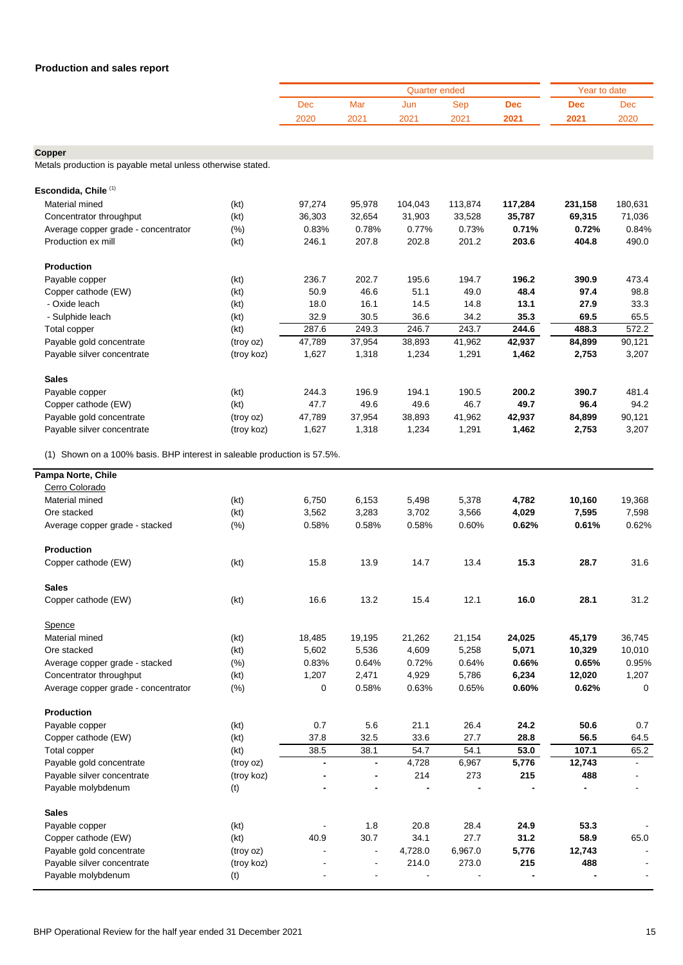|                                                                                                |            |                |                          | <b>Quarter ended</b> |            |            | Year to date |                |
|------------------------------------------------------------------------------------------------|------------|----------------|--------------------------|----------------------|------------|------------|--------------|----------------|
|                                                                                                |            | Dec            | Mar                      | Jun                  | <b>Sep</b> | <b>Dec</b> | <b>Dec</b>   | Dec            |
|                                                                                                |            |                | 2021                     | 2021                 | 2021       | 2021       | 2021         |                |
|                                                                                                |            | 2020           |                          |                      |            |            |              | 2020           |
| Copper                                                                                         |            |                |                          |                      |            |            |              |                |
| Metals production is payable metal unless otherwise stated.                                    |            |                |                          |                      |            |            |              |                |
| Escondida, Chile <sup>(1)</sup>                                                                |            |                |                          |                      |            |            |              |                |
| Material mined                                                                                 | (kt)       | 97,274         | 95,978                   | 104,043              | 113,874    | 117,284    | 231,158      | 180,631        |
| Concentrator throughput                                                                        | (kt)       | 36,303         | 32,654                   | 31,903               | 33,528     | 35,787     | 69,315       | 71,036         |
| Average copper grade - concentrator                                                            | (% )       | 0.83%          | 0.78%                    | 0.77%                | 0.73%      | 0.71%      | 0.72%        | 0.84%          |
| Production ex mill                                                                             | (kt)       | 246.1          | 207.8                    | 202.8                | 201.2      | 203.6      | 404.8        | 490.0          |
| <b>Production</b>                                                                              |            |                |                          |                      |            |            |              |                |
| Payable copper                                                                                 | (kt)       | 236.7          | 202.7                    | 195.6                | 194.7      | 196.2      | 390.9        | 473.4          |
| Copper cathode (EW)                                                                            | (kt)       | 50.9           | 46.6                     | 51.1                 | 49.0       | 48.4       | 97.4         | 98.8           |
| - Oxide leach                                                                                  | (kt)       | 18.0           | 16.1                     | 14.5                 | 14.8       | 13.1       | 27.9         | 33.3           |
| - Sulphide leach                                                                               | (kt)       | 32.9           | 30.5                     | 36.6                 | 34.2       | 35.3       | 69.5         | 65.5           |
| Total copper                                                                                   | (kt)       | 287.6          | 249.3                    | 246.7                | 243.7      | 244.6      | 488.3        | 572.2          |
| Payable gold concentrate                                                                       |            | 47,789         | 37,954                   | 38,893               |            |            | 84,899       | 90,121         |
|                                                                                                | (troy oz)  |                |                          |                      | 41,962     | 42,937     |              |                |
| Payable silver concentrate                                                                     | (troy koz) | 1,627          | 1,318                    | 1,234                | 1,291      | 1,462      | 2,753        | 3,207          |
| <b>Sales</b>                                                                                   |            |                |                          |                      |            |            |              |                |
| Payable copper                                                                                 | (kt)       | 244.3          | 196.9                    | 194.1                | 190.5      | 200.2      | 390.7        | 481.4          |
| Copper cathode (EW)                                                                            | (kt)       | 47.7           | 49.6                     | 49.6                 | 46.7       | 49.7       | 96.4         | 94.2           |
| Payable gold concentrate                                                                       | (troy oz)  | 47,789         | 37,954                   | 38,893               | 41,962     | 42,937     | 84,899       | 90,121         |
| Payable silver concentrate                                                                     | (troy koz) | 1,627          | 1,318                    | 1,234                | 1,291      | 1,462      | 2,753        | 3,207          |
| (1) Shown on a 100% basis. BHP interest in saleable production is 57.5%.<br>Pampa Norte, Chile |            |                |                          |                      |            |            |              |                |
| Cerro Colorado                                                                                 |            |                |                          |                      |            |            |              |                |
| Material mined                                                                                 | (kt)       | 6,750          | 6,153                    | 5,498                | 5,378      | 4,782      | 10,160       | 19,368         |
| Ore stacked                                                                                    | (kt)       | 3,562          | 3,283                    | 3,702                | 3,566      | 4,029      | 7,595        | 7,598          |
| Average copper grade - stacked                                                                 | (% )       | 0.58%          | 0.58%                    | 0.58%                | 0.60%      | 0.62%      | 0.61%        | 0.62%          |
| <b>Production</b>                                                                              |            |                |                          |                      |            |            |              |                |
| Copper cathode (EW)                                                                            | (kt)       | 15.8           | 13.9                     | 14.7                 | 13.4       | 15.3       | 28.7         | 31.6           |
|                                                                                                |            |                |                          |                      |            |            |              |                |
| <b>Sales</b>                                                                                   |            |                |                          |                      |            |            |              |                |
| Copper cathode (EW)                                                                            | (kt)       | 16.6           | 13.2                     | 15.4                 | 12.1       | 16.0       | 28.1         | 31.2           |
| Spence                                                                                         |            |                |                          |                      |            |            |              |                |
| Material mined                                                                                 | (kt)       | 18,485         | 19,195                   | 21,262               | 21,154     | 24,025     | 45,179       | 36,745         |
| Ore stacked                                                                                    | (kt)       | 5,602          | 5,536                    | 4,609                | 5,258      | 5,071      | 10,329       | 10,010         |
| Average copper grade - stacked                                                                 | (% )       | 0.83%          | 0.64%                    | 0.72%                | 0.64%      | 0.66%      | 0.65%        | 0.95%          |
| Concentrator throughput                                                                        | (kt)       | 1,207          | 2,471                    | 4,929                | 5,786      | 6,234      | 12,020       | 1,207          |
| Average copper grade - concentrator                                                            | (%)        | 0              | 0.58%                    | 0.63%                | 0.65%      | 0.60%      | 0.62%        | 0              |
| Production                                                                                     |            |                |                          |                      |            |            |              |                |
| Payable copper                                                                                 | (kt)       | 0.7            | 5.6                      | 21.1                 | 26.4       | 24.2       | 50.6         | 0.7            |
| Copper cathode (EW)                                                                            | (kt)       | 37.8           | 32.5                     | 33.6                 | 27.7       | 28.8       | 56.5         | 64.5           |
| Total copper                                                                                   | (kt)       | 38.5           | 38.1                     | 54.7                 | 54.1       | 53.0       | 107.1        | 65.2           |
| Payable gold concentrate                                                                       | (troy oz)  | $\blacksquare$ | $\blacksquare$           | 4,728                | 6,967      | 5,776      | 12,743       | $\blacksquare$ |
| Payable silver concentrate                                                                     | (troy koz) |                |                          | 214                  | 273        | 215        | 488          |                |
| Payable molybdenum                                                                             | (t)        |                |                          |                      |            |            |              |                |
| <b>Sales</b>                                                                                   |            |                |                          |                      |            |            |              |                |
| Payable copper                                                                                 | (kt)       | $\blacksquare$ | 1.8                      | 20.8                 | 28.4       | 24.9       | 53.3         |                |
| Copper cathode (EW)                                                                            | (kt)       | 40.9           | 30.7                     | 34.1                 | 27.7       | 31.2       | 58.9         | 65.0           |
| Payable gold concentrate                                                                       | (troy oz)  |                | $\overline{\phantom{a}}$ | 4,728.0              | 6,967.0    | 5,776      | 12,743       |                |
| Payable silver concentrate                                                                     | (troy koz) |                |                          | 214.0                | 273.0      | 215        | 488          |                |
| Payable molybdenum                                                                             | (t)        |                |                          |                      |            |            |              |                |
|                                                                                                |            |                |                          |                      |            |            |              |                |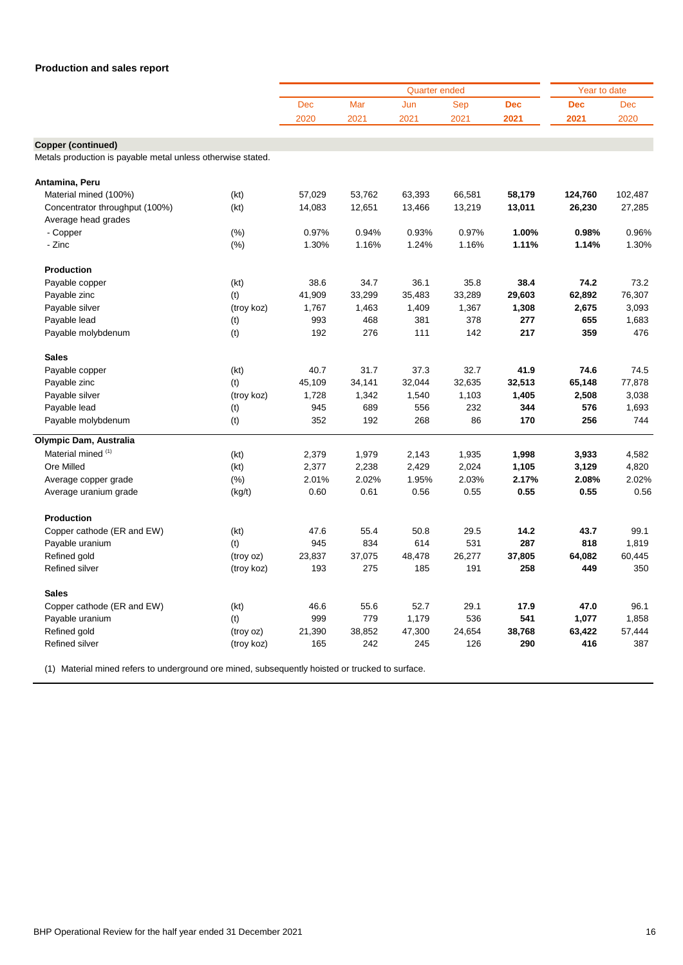|                                                             |            |        |        | <b>Quarter ended</b> |        |            | Year to date |         |  |
|-------------------------------------------------------------|------------|--------|--------|----------------------|--------|------------|--------------|---------|--|
|                                                             |            | Dec    | Mar    | Jun                  | Sep    | <b>Dec</b> | <b>Dec</b>   | Dec     |  |
|                                                             |            | 2020   | 2021   | 2021                 | 2021   | 2021       | 2021         | 2020    |  |
|                                                             |            |        |        |                      |        |            |              |         |  |
| <b>Copper (continued)</b>                                   |            |        |        |                      |        |            |              |         |  |
| Metals production is payable metal unless otherwise stated. |            |        |        |                      |        |            |              |         |  |
| Antamina, Peru                                              |            |        |        |                      |        |            |              |         |  |
| Material mined (100%)                                       | (kt)       | 57,029 | 53,762 | 63,393               | 66,581 | 58,179     | 124,760      | 102,487 |  |
| Concentrator throughput (100%)                              | (kt)       | 14,083 | 12,651 | 13,466               | 13,219 | 13,011     | 26,230       | 27,285  |  |
| Average head grades                                         |            |        |        |                      |        |            |              |         |  |
| - Copper                                                    | (%)        | 0.97%  | 0.94%  | 0.93%                | 0.97%  | 1.00%      | 0.98%        | 0.96%   |  |
| - Zinc                                                      | (% )       | 1.30%  | 1.16%  | 1.24%                | 1.16%  | 1.11%      | 1.14%        | 1.30%   |  |
| <b>Production</b>                                           |            |        |        |                      |        |            |              |         |  |
| Payable copper                                              | (kt)       | 38.6   | 34.7   | 36.1                 | 35.8   | 38.4       | 74.2         | 73.2    |  |
| Payable zinc                                                | (t)        | 41,909 | 33,299 | 35,483               | 33,289 | 29,603     | 62,892       | 76,307  |  |
| Payable silver                                              | (troy koz) | 1,767  | 1,463  | 1,409                | 1,367  | 1,308      | 2,675        | 3,093   |  |
| Payable lead                                                | (t)        | 993    | 468    | 381                  | 378    | 277        | 655          | 1,683   |  |
| Payable molybdenum                                          | (t)        | 192    | 276    | 111                  | 142    | 217        | 359          | 476     |  |
| <b>Sales</b>                                                |            |        |        |                      |        |            |              |         |  |
| Payable copper                                              | (kt)       | 40.7   | 31.7   | 37.3                 | 32.7   | 41.9       | 74.6         | 74.5    |  |
| Payable zinc                                                | (t)        | 45,109 | 34,141 | 32,044               | 32,635 | 32,513     | 65,148       | 77,878  |  |
| Payable silver                                              | (troy koz) | 1,728  | 1,342  | 1,540                | 1,103  | 1,405      | 2,508        | 3,038   |  |
| Payable lead                                                | (t)        | 945    | 689    | 556                  | 232    | 344        | 576          | 1,693   |  |
| Payable molybdenum                                          | (t)        | 352    | 192    | 268                  | 86     | 170        | 256          | 744     |  |
| Olympic Dam, Australia                                      |            |        |        |                      |        |            |              |         |  |
| Material mined (1)                                          | (kt)       | 2,379  | 1,979  | 2,143                | 1,935  | 1,998      | 3,933        | 4,582   |  |
| Ore Milled                                                  | (kt)       | 2,377  | 2,238  | 2,429                | 2,024  | 1,105      | 3,129        | 4,820   |  |
| Average copper grade                                        | (%)        | 2.01%  | 2.02%  | 1.95%                | 2.03%  | 2.17%      | 2.08%        | 2.02%   |  |
| Average uranium grade                                       | (kg/t)     | 0.60   | 0.61   | 0.56                 | 0.55   | 0.55       | 0.55         | 0.56    |  |
| <b>Production</b>                                           |            |        |        |                      |        |            |              |         |  |
| Copper cathode (ER and EW)                                  | (kt)       | 47.6   | 55.4   | 50.8                 | 29.5   | 14.2       | 43.7         | 99.1    |  |
| Payable uranium                                             | (t)        | 945    | 834    | 614                  | 531    | 287        | 818          | 1,819   |  |
| Refined gold                                                | (troy oz)  | 23,837 | 37,075 | 48,478               | 26,277 | 37,805     | 64,082       | 60,445  |  |
| <b>Refined silver</b>                                       | (troy koz) | 193    | 275    | 185                  | 191    | 258        | 449          | 350     |  |
| <b>Sales</b>                                                |            |        |        |                      |        |            |              |         |  |
| Copper cathode (ER and EW)                                  | (kt)       | 46.6   | 55.6   | 52.7                 | 29.1   | 17.9       | 47.0         | 96.1    |  |
| Payable uranium                                             | (t)        | 999    | 779    | 1,179                | 536    | 541        | 1,077        | 1,858   |  |
| Refined gold                                                | (troy oz)  | 21,390 | 38,852 | 47,300               | 24,654 | 38,768     | 63,422       | 57,444  |  |
| <b>Refined silver</b>                                       | (troy koz) | 165    | 242    | 245                  | 126    | 290        | 416          | 387     |  |
|                                                             |            |        |        |                      |        |            |              |         |  |

(1) Material mined refers to underground ore mined, subsequently hoisted or trucked to surface.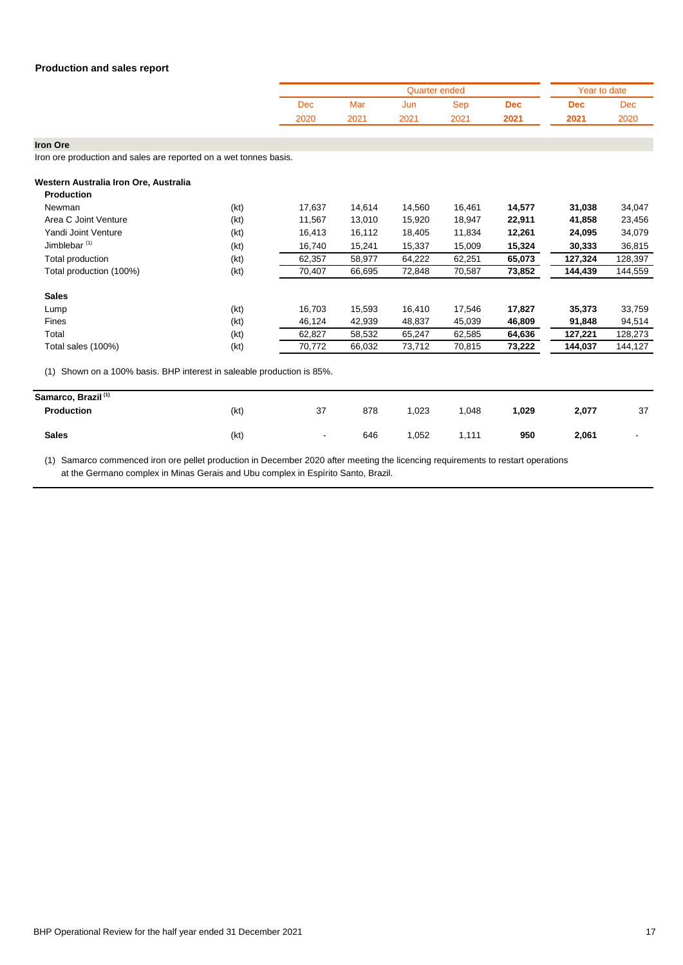|      |      |      | Quarter ended |      |            | Year to date |
|------|------|------|---------------|------|------------|--------------|
| Dec  | Mar  | Jun  | Sep           | Dec  | <b>Dec</b> | Dec          |
| 2020 | 2021 | 2021 | 2021          | 2021 | 2021       | 2020         |

**Iron Ore**

Iron ore production and sales are reported on a wet tonnes basis.

| Western Australia Iron Ore, Australia<br><b>Production</b> |      |        |        |        |        |        |         |         |
|------------------------------------------------------------|------|--------|--------|--------|--------|--------|---------|---------|
| Newman                                                     | (kt) | 17,637 | 14,614 | 14,560 | 16,461 | 14,577 | 31,038  | 34,047  |
| Area C Joint Venture                                       | (kt) | 11,567 | 13,010 | 15,920 | 18,947 | 22,911 | 41,858  | 23,456  |
| Yandi Joint Venture                                        | (kt) | 16,413 | 16,112 | 18,405 | 11,834 | 12,261 | 24,095  | 34,079  |
| Jimblebar <sup>(1)</sup>                                   | (kt) | 16,740 | 15,241 | 15,337 | 15,009 | 15,324 | 30,333  | 36,815  |
| Total production                                           | (kt) | 62,357 | 58,977 | 64,222 | 62,251 | 65,073 | 127,324 | 128,397 |
| Total production (100%)                                    | (kt) | 70,407 | 66,695 | 72,848 | 70,587 | 73,852 | 144,439 | 144,559 |
| <b>Sales</b>                                               |      |        |        |        |        |        |         |         |
| Lump                                                       | (kt) | 16,703 | 15,593 | 16,410 | 17,546 | 17,827 | 35,373  | 33,759  |
| Fines                                                      | (kt) | 46,124 | 42,939 | 48,837 | 45,039 | 46,809 | 91,848  | 94,514  |
| Total                                                      | (kt) | 62,827 | 58,532 | 65,247 | 62,585 | 64,636 | 127,221 | 128,273 |
| Total sales (100%)                                         | (kt) | 70,772 | 66,032 | 73,712 | 70,815 | 73,222 | 144,037 | 144,127 |

| Samarco, Brazil <sup>(1)</sup><br>Production | (kt) | 37 | 878 | ,023 | .048 | ,029 | 2,077 | 37 |
|----------------------------------------------|------|----|-----|------|------|------|-------|----|
| <b>Sales</b>                                 | (kt) |    | 646 | ,052 | 111. | 950  | 2,061 | -  |

(1) Samarco commenced iron ore pellet production in December 2020 after meeting the licencing requirements to restart operations at the Germano complex in Minas Gerais and Ubu complex in Espírito Santo, Brazil.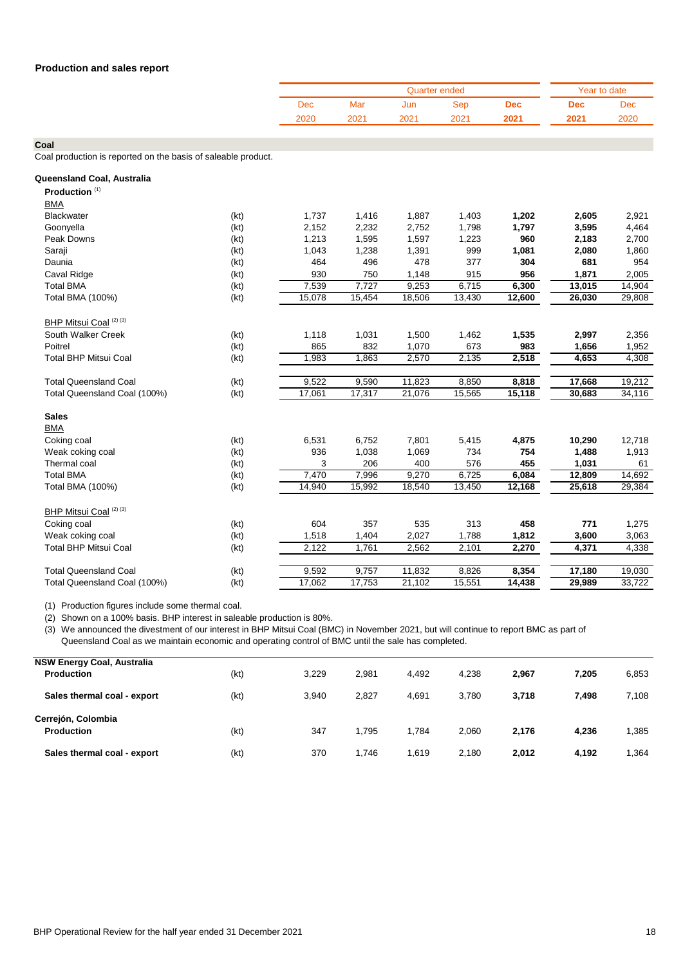|      |     | date |     |      |      |      |
|------|-----|------|-----|------|------|------|
| Dec  | Mar | Jun  | Sep | Dec  | Dec  | Dec  |
| 2020 |     | 2021 |     | 2021 | 2021 | 2020 |

**Coal**

Coal production is reported on the basis of saleable product.

| Queensland Coal, Australia        |      |        |        |        |        |        |        |        |
|-----------------------------------|------|--------|--------|--------|--------|--------|--------|--------|
| Production <sup>(1)</sup>         |      |        |        |        |        |        |        |        |
| <b>BMA</b>                        |      |        |        |        |        |        |        |        |
| <b>Blackwater</b>                 | (kt) | 1,737  | 1,416  | 1,887  | 1,403  | 1,202  | 2,605  | 2,921  |
| Goonyella                         | (kt) | 2,152  | 2,232  | 2,752  | 1,798  | 1,797  | 3,595  | 4,464  |
| Peak Downs                        | (kt) | 1,213  | 1,595  | 1,597  | 1,223  | 960    | 2,183  | 2,700  |
| Saraji                            | (kt) | 1,043  | 1,238  | 1,391  | 999    | 1,081  | 2,080  | 1,860  |
| Daunia                            | (kt) | 464    | 496    | 478    | 377    | 304    | 681    | 954    |
| Caval Ridge                       | (kt) | 930    | 750    | 1,148  | 915    | 956    | 1,871  | 2,005  |
| <b>Total BMA</b>                  | (kt) | 7,539  | 7,727  | 9,253  | 6,715  | 6,300  | 13,015 | 14,904 |
| Total BMA (100%)                  | (kt) | 15,078 | 15,454 | 18,506 | 13,430 | 12,600 | 26,030 | 29,808 |
| BHP Mitsui Coal (2) (3)           |      |        |        |        |        |        |        |        |
| South Walker Creek                | (kt) | 1,118  | 1,031  | 1,500  | 1,462  | 1,535  | 2,997  | 2,356  |
| Poitrel                           | (kt) | 865    | 832    | 1,070  | 673    | 983    | 1,656  | 1,952  |
| <b>Total BHP Mitsui Coal</b>      | (kt) | 1,983  | 1,863  | 2,570  | 2,135  | 2,518  | 4,653  | 4,308  |
| <b>Total Queensland Coal</b>      | (kt) | 9,522  | 9,590  | 11,823 | 8,850  | 8,818  | 17,668 | 19,212 |
| Total Queensland Coal (100%)      | (kt) | 17,061 | 17,317 | 21,076 | 15,565 | 15,118 | 30,683 | 34,116 |
| <b>Sales</b>                      |      |        |        |        |        |        |        |        |
| <b>BMA</b>                        |      |        |        |        |        |        |        |        |
| Coking coal                       | (kt) | 6,531  | 6,752  | 7,801  | 5,415  | 4,875  | 10,290 | 12,718 |
| Weak coking coal                  | (kt) | 936    | 1,038  | 1,069  | 734    | 754    | 1,488  | 1,913  |
| Thermal coal                      | (kt) | 3      | 206    | 400    | 576    | 455    | 1,031  | 61     |
| <b>Total BMA</b>                  | (kt) | 7,470  | 7,996  | 9,270  | 6,725  | 6,084  | 12,809 | 14,692 |
| Total BMA (100%)                  | (kt) | 14,940 | 15,992 | 18,540 | 13,450 | 12,168 | 25,618 | 29,384 |
| BHP Mitsui Coal <sup>(2)(3)</sup> |      |        |        |        |        |        |        |        |
| Coking coal                       | (kt) | 604    | 357    | 535    | 313    | 458    | 771    | 1,275  |
| Weak coking coal                  | (kt) | 1,518  | 1,404  | 2,027  | 1,788  | 1,812  | 3,600  | 3,063  |
| <b>Total BHP Mitsui Coal</b>      | (kt) | 2.122  | 1,761  | 2,562  | 2,101  | 2,270  | 4,371  | 4,338  |
| <b>Total Queensland Coal</b>      | (kt) | 9,592  | 9,757  | 11,832 | 8,826  | 8,354  | 17,180 | 19,030 |
| Total Queensland Coal (100%)      | (kt) | 17,062 | 17,753 | 21,102 | 15,551 | 14,438 | 29,989 | 33,722 |

(1) Production figures include some thermal coal.

(2) Shown on a 100% basis. BHP interest in saleable production is 80%.

(3) We announced the divestment of our interest in BHP Mitsui Coal (BMC) in November 2021, but will continue to report BMC as part of Queensland Coal as we maintain economic and operating control of BMC until the sale has completed.

| <b>NSW Energy Coal, Australia</b><br><b>Production</b> | (kt) | 3.229 | 2.981 | 4.492 | 4.238 | 2.967 | 7.205 | 6,853 |
|--------------------------------------------------------|------|-------|-------|-------|-------|-------|-------|-------|
| Sales thermal coal - export                            | (kt) | 3.940 | 2,827 | 4,691 | 3.780 | 3,718 | 7.498 | 7,108 |
| Cerrejón, Colombia<br><b>Production</b>                | (kt) | 347   | 1.795 | 1.784 | 2.060 | 2,176 | 4.236 | 1,385 |
| Sales thermal coal - export                            | (kt) | 370   | 1.746 | 1,619 | 2.180 | 2,012 | 4,192 | 1,364 |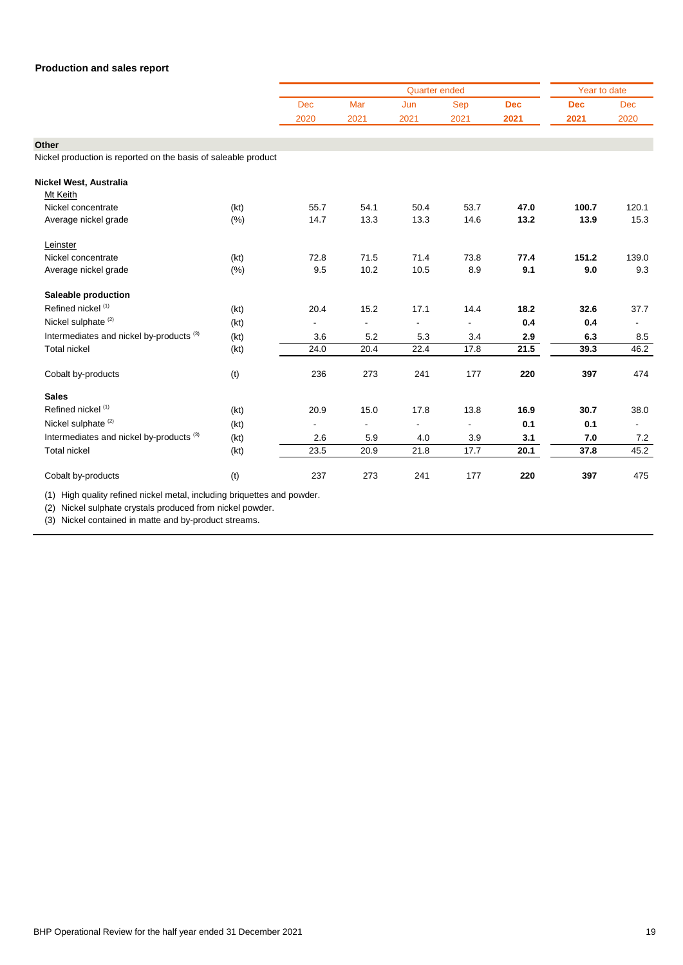|      |                      |                                                                       |                              |                |                             | Year to date |                          |
|------|----------------------|-----------------------------------------------------------------------|------------------------------|----------------|-----------------------------|--------------|--------------------------|
|      | <b>Dec</b>           | Mar                                                                   | Jun                          | <b>Sep</b>     | <b>Dec</b>                  | <b>Dec</b>   | Dec                      |
|      | 2020                 | 2021                                                                  | 2021                         | 2021           | 2021                        | 2021         | 2020                     |
|      |                      |                                                                       |                              |                |                             |              |                          |
|      |                      |                                                                       |                              |                |                             |              |                          |
|      |                      |                                                                       |                              |                |                             |              |                          |
|      |                      |                                                                       |                              |                |                             |              |                          |
|      |                      |                                                                       |                              |                |                             |              |                          |
| (kt) | 55.7                 | 54.1                                                                  | 50.4                         | 53.7           | 47.0                        | 100.7        | 120.1                    |
| (% ) | 14.7                 | 13.3                                                                  | 13.3                         | 14.6           | 13.2                        | 13.9         | 15.3                     |
|      |                      |                                                                       |                              |                |                             |              |                          |
| (kt) | 72.8                 | 71.5                                                                  | 71.4                         | 73.8           | 77.4                        | 151.2        | 139.0                    |
| (% ) | 9.5                  | 10.2                                                                  | 10.5                         | 8.9            | 9.1                         | 9.0          | 9.3                      |
|      |                      |                                                                       |                              |                |                             |              |                          |
| (kt) | 20.4                 | 15.2                                                                  | 17.1                         | 14.4           | 18.2                        | 32.6         | 37.7                     |
|      |                      |                                                                       |                              |                | 0.4                         | 0.4          | $\blacksquare$           |
|      | 3.6                  | 5.2                                                                   | 5.3                          | 3.4            | 2.9                         | 6.3          | 8.5                      |
| (kt) | 24.0                 | 20.4                                                                  | 22.4                         | 17.8           | 21.5                        | 39.3         | 46.2                     |
| (t)  | 236                  | 273                                                                   | 241                          | 177            | 220                         | 397          | 474                      |
|      |                      |                                                                       |                              |                |                             |              |                          |
| (kt) | 20.9                 | 15.0                                                                  | 17.8                         | 13.8           | 16.9                        | 30.7         | 38.0                     |
| (kt) |                      |                                                                       | $\qquad \qquad \blacksquare$ | $\blacksquare$ | 0.1                         | 0.1          | $\overline{\phantom{a}}$ |
|      | 2.6                  | 5.9                                                                   | 4.0                          | 3.9            | 3.1                         | 7.0          | 7.2                      |
| (kt) | 23.5                 | 20.9                                                                  | 21.8                         | 17.7           | 20.1                        | 37.8         | 45.2                     |
|      |                      |                                                                       |                              |                |                             |              | 475                      |
|      | (kt)<br>(kt)<br>(kt) | Nickel production is reported on the basis of saleable product<br>237 | 273                          | 241            | <b>Quarter ended</b><br>177 | 220          | (t)<br>397               |

(1) High quality refined nickel metal, including briquettes and powder.

(2) Nickel sulphate crystals produced from nickel powder.

(3) Nickel contained in matte and by-product streams.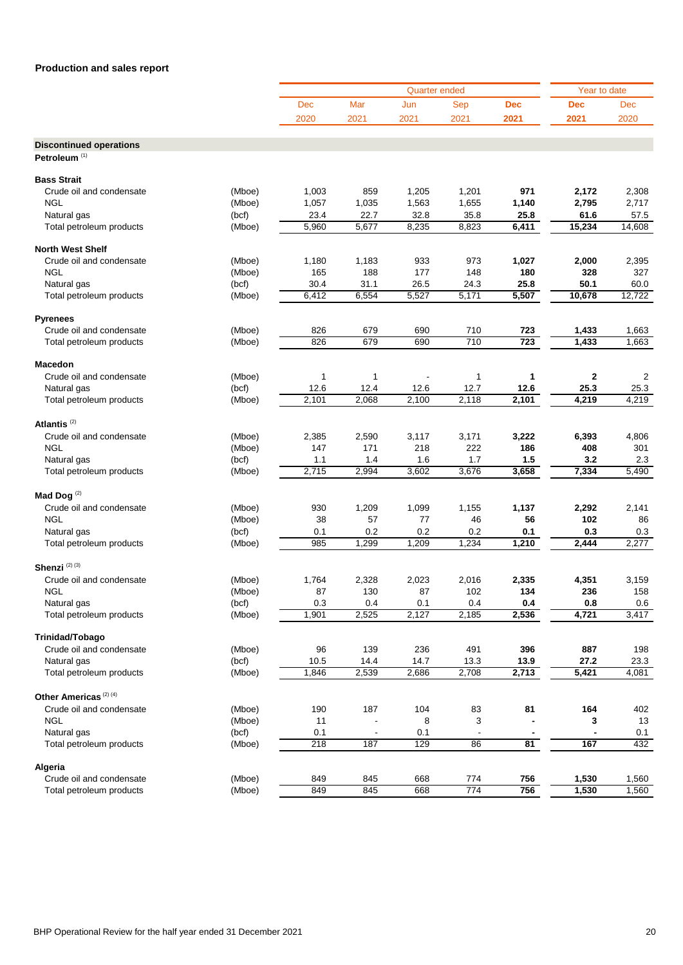|                                  |        |       |       | <b>Quarter ended</b> |            |            | Year to date |        |
|----------------------------------|--------|-------|-------|----------------------|------------|------------|--------------|--------|
|                                  |        | Dec   | Mar   | Jun                  | <b>Sep</b> | <b>Dec</b> | <b>Dec</b>   | Dec    |
|                                  |        | 2020  | 2021  | 2021                 | 2021       | 2021       | 2021         | 2020   |
| <b>Discontinued operations</b>   |        |       |       |                      |            |            |              |        |
| Petroleum <sup>(1)</sup>         |        |       |       |                      |            |            |              |        |
| <b>Bass Strait</b>               |        |       |       |                      |            |            |              |        |
| Crude oil and condensate         | (Mboe) | 1,003 | 859   | 1,205                | 1,201      | 971        | 2,172        | 2,308  |
| <b>NGL</b>                       | (Mboe) | 1,057 | 1,035 | 1,563                | 1,655      | 1,140      | 2,795        | 2,717  |
| Natural gas                      | (bcf)  | 23.4  | 22.7  | 32.8                 | 35.8       | 25.8       | 61.6         | 57.5   |
| Total petroleum products         | (Mboe) | 5,960 | 5,677 | 8,235                | 8,823      | 6,411      | 15,234       | 14,608 |
| <b>North West Shelf</b>          |        |       |       |                      |            |            |              |        |
| Crude oil and condensate         | (Mboe) | 1,180 | 1,183 | 933                  | 973        | 1,027      | 2,000        | 2,395  |
| <b>NGL</b>                       | (Mboe) | 165   | 188   | 177                  | 148        | 180        | 328          | 327    |
| Natural gas                      | (bcf)  | 30.4  | 31.1  | 26.5                 | 24.3       | 25.8       | 50.1         | 60.0   |
| Total petroleum products         | (Mboe) | 6,412 | 6,554 | 5,527                | 5,171      | 5,507      | 10,678       | 12,722 |
| <b>Pyrenees</b>                  |        |       |       |                      |            |            |              |        |
| Crude oil and condensate         | (Mboe) | 826   | 679   | 690                  | 710        | 723        | 1,433        | 1,663  |
| Total petroleum products         | (Mboe) | 826   | 679   | 690                  | 710        | 723        | 1,433        | 1,663  |
| <b>Macedon</b>                   |        |       |       |                      |            |            |              |        |
| Crude oil and condensate         | (Mboe) | 1     | 1     |                      | 1          | 1          | 2            | 2      |
| Natural gas                      | (bcf)  | 12.6  | 12.4  | 12.6                 | 12.7       | 12.6       | 25.3         | 25.3   |
| Total petroleum products         | (Mboe) | 2,101 | 2,068 | 2,100                | 2,118      | 2,101      | 4,219        | 4,219  |
| Atlantis <sup>(2)</sup>          |        |       |       |                      |            |            |              |        |
| Crude oil and condensate         | (Mboe) | 2,385 | 2,590 | 3,117                | 3,171      | 3,222      | 6,393        | 4,806  |
| <b>NGL</b>                       | (Mboe) | 147   | 171   | 218                  | 222        | 186        | 408          | 301    |
| Natural gas                      | (bcf)  | 1.1   | 1.4   | 1.6                  | 1.7        | 1.5        | 3.2          | 2.3    |
| Total petroleum products         | (Mboe) | 2,715 | 2,994 | 3,602                | 3,676      | 3,658      | 7,334        | 5,490  |
| Mad Dog $(2)$                    |        |       |       |                      |            |            |              |        |
| Crude oil and condensate         | (Mboe) | 930   | 1,209 | 1,099                | 1,155      | 1,137      | 2,292        | 2,141  |
| <b>NGL</b>                       | (Mboe) | 38    | 57    | 77                   | 46         | 56         | 102          | 86     |
| Natural gas                      | (bcf)  | 0.1   | 0.2   | 0.2                  | 0.2        | 0.1        | 0.3          | 0.3    |
| Total petroleum products         | (Mboe) | 985   | 1,299 | 1,209                | 1,234      | 1,210      | 2,444        | 2,277  |
| Shenzi <sup>(2)(3)</sup>         |        |       |       |                      |            |            |              |        |
| Crude oil and condensate         | (Mboe) | 1,764 | 2,328 | 2,023                | 2,016      | 2,335      | 4,351        | 3,159  |
| <b>NGL</b>                       | (Mboe) | 87    | 130   | 87                   | 102        | 134        | 236          | 158    |
| Natural gas                      | (bcf)  | 0.3   | 0.4   | 0.1                  | 0.4        | 0.4        | 0.8          | 0.6    |
| Total petroleum products         | (Mboe) | 1,901 | 2,525 | 2,127                | 2,185      | 2,536      | 4,721        | 3,417  |
| Trinidad/Tobago                  |        |       |       |                      |            |            |              |        |
| Crude oil and condensate         | (Mboe) | 96    | 139   | 236                  | 491        | 396        | 887          | 198    |
| Natural gas                      | (bcf)  | 10.5  | 14.4  | 14.7                 | 13.3       | 13.9       | 27.2         | 23.3   |
| Total petroleum products         | (Mboe) | 1,846 | 2,539 | 2,686                | 2,708      | 2,713      | 5,421        | 4,081  |
| Other Americas <sup>(2)(4)</sup> |        |       |       |                      |            |            |              |        |
| Crude oil and condensate         | (Mboe) | 190   | 187   | 104                  | 83         | 81         | 164          | 402    |
| <b>NGL</b>                       | (Mboe) | 11    |       | 8                    | 3          |            | 3            | 13     |
| Natural gas                      | (bcf)  | 0.1   |       | 0.1                  |            |            |              | 0.1    |
| Total petroleum products         | (Mboe) | 218   | 187   | 129                  | 86         | 81         | 167          | 432    |
| Algeria                          |        |       |       |                      |            |            |              |        |
| Crude oil and condensate         | (Mboe) | 849   | 845   | 668                  | 774        | 756        | 1,530        | 1,560  |
| Total petroleum products         | (Mboe) | 849   | 845   | 668                  | 774        | 756        | 1,530        | 1,560  |
|                                  |        |       |       |                      |            |            |              |        |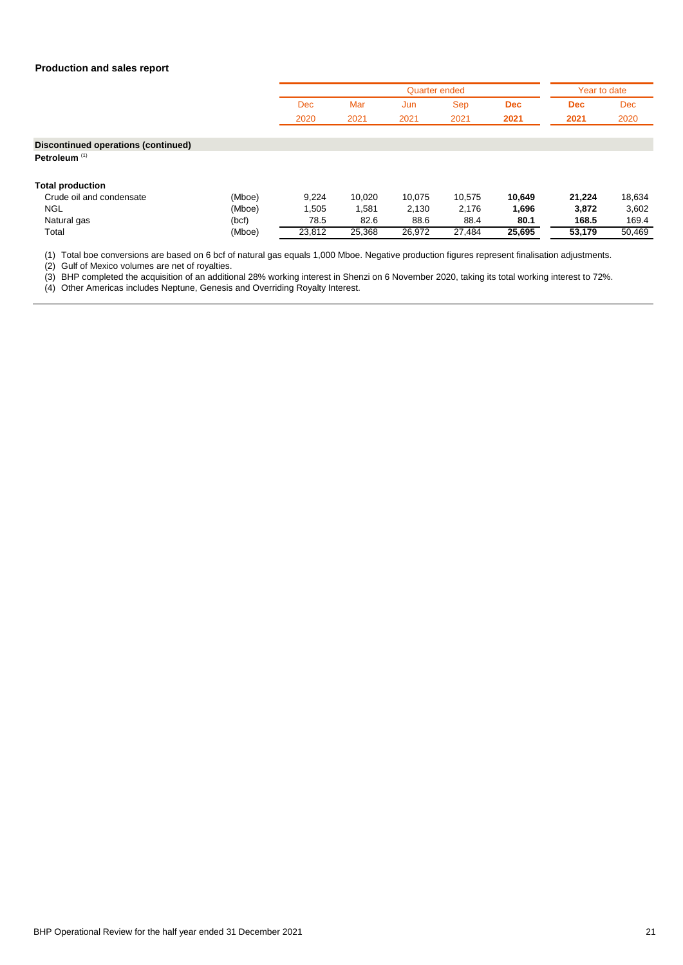|                                     |        |            |        |        | Year to date |            |            |            |
|-------------------------------------|--------|------------|--------|--------|--------------|------------|------------|------------|
|                                     |        | <b>Dec</b> | Mar    | Jun    | <b>Sep</b>   | <b>Dec</b> | <b>Dec</b> | <b>Dec</b> |
|                                     |        | 2020       | 2021   | 2021   | 2021         | 2021       | 2021       | 2020       |
| Discontinued operations (continued) |        |            |        |        |              |            |            |            |
| Petroleum <sup>(1)</sup>            |        |            |        |        |              |            |            |            |
| <b>Total production</b>             |        |            |        |        |              |            |            |            |
| Crude oil and condensate            | (Mboe) | 9,224      | 10,020 | 10.075 | 10,575       | 10.649     | 21,224     | 18,634     |
| <b>NGL</b>                          | (Mboe) | 1,505      | 1,581  | 2,130  | 2.176        | 1,696      | 3,872      | 3,602      |
| Natural gas                         | (bcf)  | 78.5       | 82.6   | 88.6   | 88.4         | 80.1       | 168.5      | 169.4      |
| Total                               | (Mboe) | 23.812     | 25.368 | 26.972 | 27.484       | 25,695     | 53.179     | 50,469     |

(1) Total boe conversions are based on 6 bcf of natural gas equals 1,000 Mboe. Negative production figures represent finalisation adjustments.

(2) Gulf of Mexico volumes are net of royalties.

(3) BHP completed the acquisition of an additional 28% working interest in Shenzi on 6 November 2020, taking its total working interest to 72%.

(4) Other Americas includes Neptune, Genesis and Overriding Royalty Interest.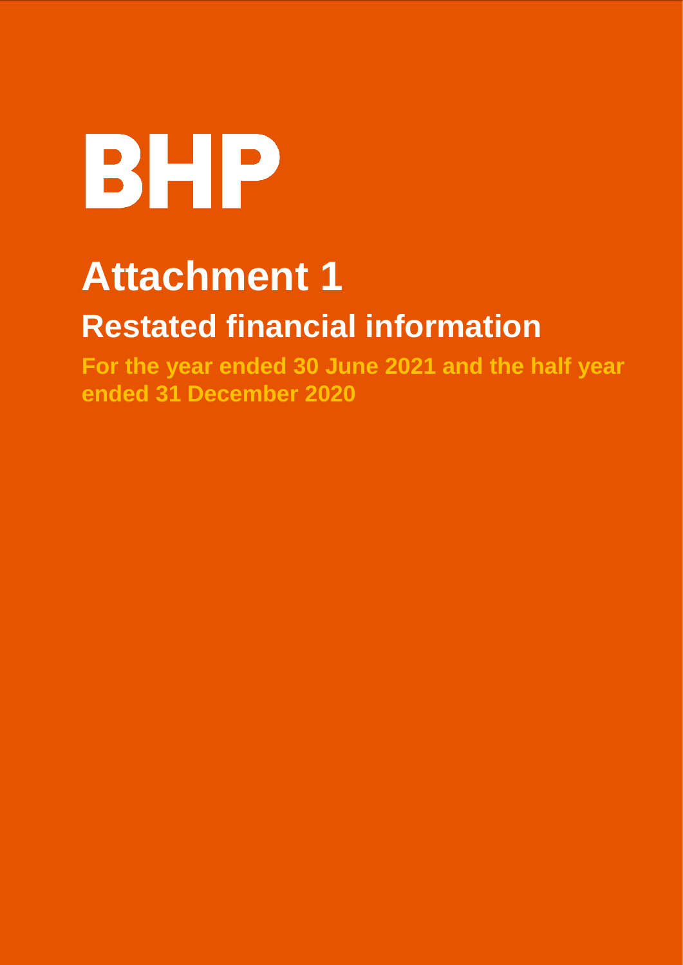

# **Attachment 1**

# **Restated financial information**

**For the year ended 30 June 2021 and the half year ended 31 December 2020**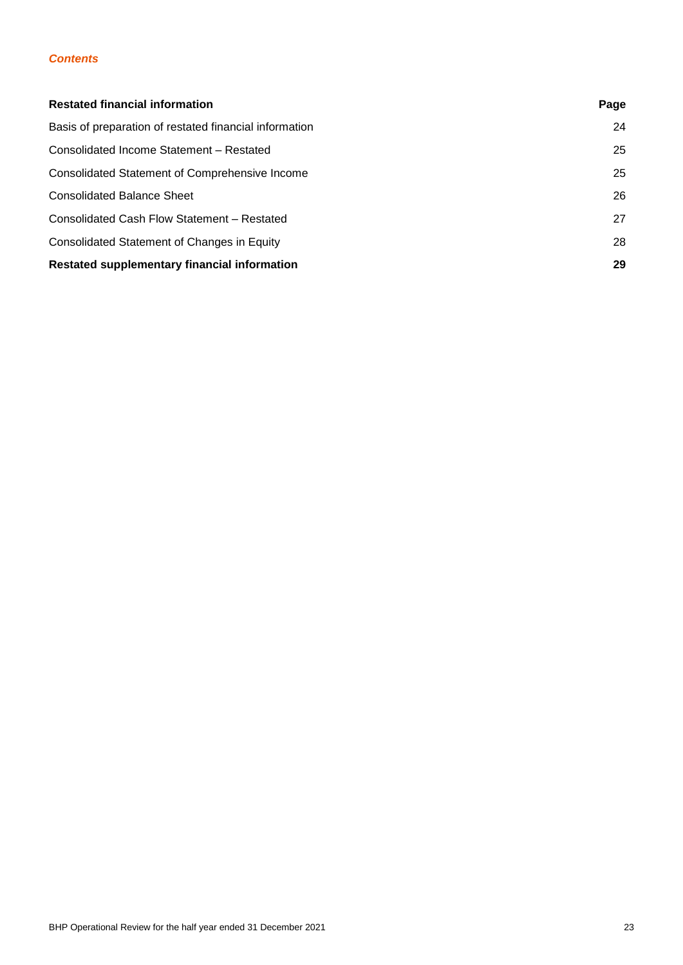# *Contents*

| <b>Restated financial information</b>                  | Page |
|--------------------------------------------------------|------|
| Basis of preparation of restated financial information | 24   |
| Consolidated Income Statement - Restated               | 25   |
| <b>Consolidated Statement of Comprehensive Income</b>  | 25   |
| <b>Consolidated Balance Sheet</b>                      | 26   |
| Consolidated Cash Flow Statement - Restated            | 27   |
| Consolidated Statement of Changes in Equity            | 28   |
| Restated supplementary financial information           | 29   |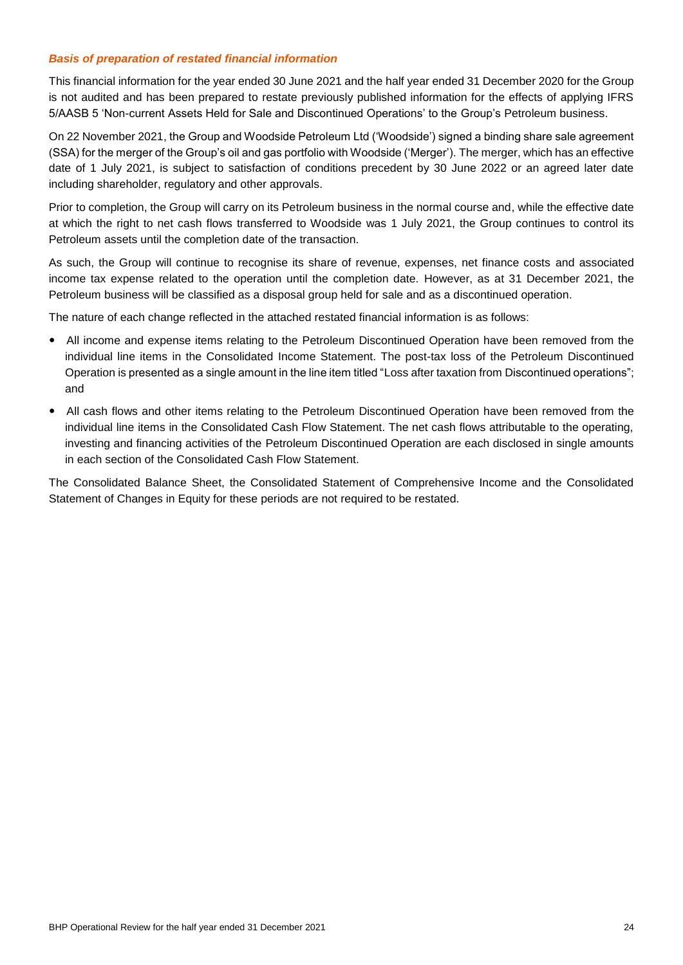#### *Basis of preparation of restated financial information*

This financial information for the year ended 30 June 2021 and the half year ended 31 December 2020 for the Group is not audited and has been prepared to restate previously published information for the effects of applying IFRS 5/AASB 5 'Non-current Assets Held for Sale and Discontinued Operations' to the Group's Petroleum business.

On 22 November 2021, the Group and Woodside Petroleum Ltd ('Woodside') signed a binding share sale agreement (SSA) for the merger of the Group's oil and gas portfolio with Woodside ('Merger'). The merger, which has an effective date of 1 July 2021, is subject to satisfaction of conditions precedent by 30 June 2022 or an agreed later date including shareholder, regulatory and other approvals.

Prior to completion, the Group will carry on its Petroleum business in the normal course and, while the effective date at which the right to net cash flows transferred to Woodside was 1 July 2021, the Group continues to control its Petroleum assets until the completion date of the transaction.

As such, the Group will continue to recognise its share of revenue, expenses, net finance costs and associated income tax expense related to the operation until the completion date. However, as at 31 December 2021, the Petroleum business will be classified as a disposal group held for sale and as a discontinued operation.

The nature of each change reflected in the attached restated financial information is as follows:

- All income and expense items relating to the Petroleum Discontinued Operation have been removed from the individual line items in the Consolidated Income Statement. The post-tax loss of the Petroleum Discontinued Operation is presented as a single amount in the line item titled "Loss after taxation from Discontinued operations"; and
- All cash flows and other items relating to the Petroleum Discontinued Operation have been removed from the individual line items in the Consolidated Cash Flow Statement. The net cash flows attributable to the operating, investing and financing activities of the Petroleum Discontinued Operation are each disclosed in single amounts in each section of the Consolidated Cash Flow Statement.

The Consolidated Balance Sheet, the Consolidated Statement of Comprehensive Income and the Consolidated Statement of Changes in Equity for these periods are not required to be restated.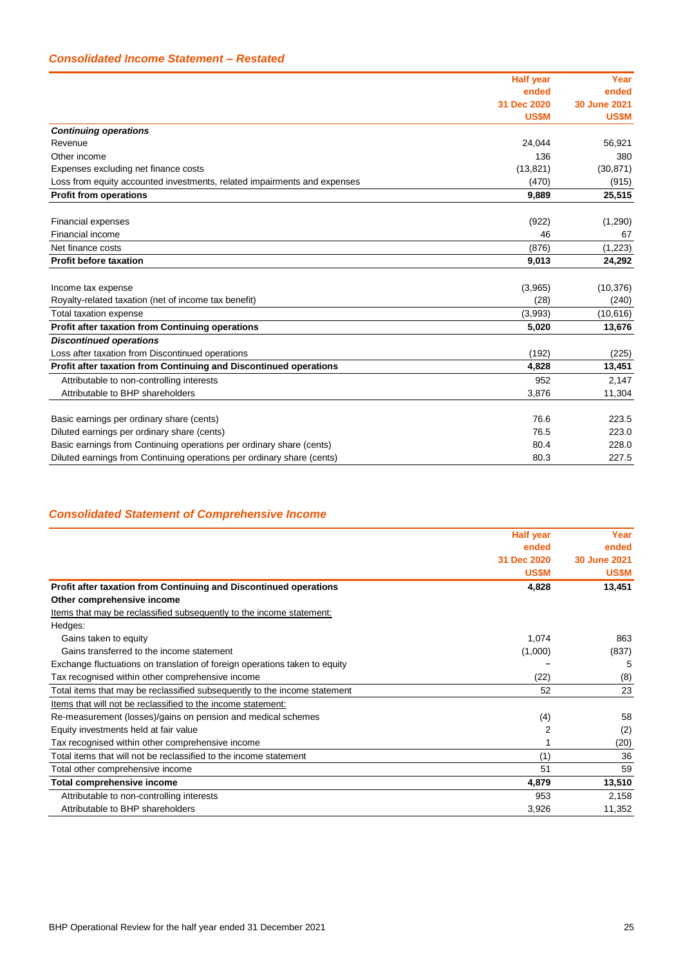# *Consolidated Income Statement – Restated*

|                                                                          | <b>Half year</b> | Year         |
|--------------------------------------------------------------------------|------------------|--------------|
|                                                                          | ended            | ended        |
|                                                                          | 31 Dec 2020      | 30 June 2021 |
|                                                                          | <b>US\$M</b>     | US\$M        |
| <b>Continuing operations</b>                                             |                  |              |
| Revenue                                                                  | 24,044           | 56,921       |
| Other income                                                             | 136              | 380          |
| Expenses excluding net finance costs                                     | (13, 821)        | (30, 871)    |
| Loss from equity accounted investments, related impairments and expenses | (470)            | (915)        |
| <b>Profit from operations</b>                                            | 9,889            | 25,515       |
|                                                                          |                  |              |
| <b>Financial expenses</b>                                                | (922)            | (1,290)      |
| <b>Financial income</b>                                                  | 46               | 67           |
| Net finance costs                                                        | (876)            | (1,223)      |
| <b>Profit before taxation</b>                                            | 9,013            | 24,292       |
|                                                                          |                  |              |
| Income tax expense                                                       | (3,965)          | (10, 376)    |
| Royalty-related taxation (net of income tax benefit)                     | (28)             | (240)        |
| Total taxation expense                                                   | (3,993)          | (10,616)     |
| <b>Profit after taxation from Continuing operations</b>                  | 5,020            | 13,676       |
| <b>Discontinued operations</b>                                           |                  |              |
| Loss after taxation from Discontinued operations                         | (192)            | (225)        |
| Profit after taxation from Continuing and Discontinued operations        | 4,828            | 13,451       |
| Attributable to non-controlling interests                                | 952              | 2,147        |
| Attributable to BHP shareholders                                         | 3,876            | 11,304       |
|                                                                          |                  |              |
| Basic earnings per ordinary share (cents)                                | 76.6             | 223.5        |
| Diluted earnings per ordinary share (cents)                              | 76.5             | 223.0        |
| Basic earnings from Continuing operations per ordinary share (cents)     | 80.4             | 228.0        |
| Diluted earnings from Continuing operations per ordinary share (cents)   | 80.3             | 227.5        |

# *Consolidated Statement of Comprehensive Income*

|                                                                            | <b>Half year</b> | Year         |
|----------------------------------------------------------------------------|------------------|--------------|
|                                                                            | ended            | ended        |
|                                                                            | 31 Dec 2020      | 30 June 2021 |
|                                                                            | <b>US\$M</b>     | US\$M        |
| Profit after taxation from Continuing and Discontinued operations          | 4,828            | 13,451       |
| Other comprehensive income                                                 |                  |              |
| Items that may be reclassified subsequently to the income statement:       |                  |              |
| Hedges:                                                                    |                  |              |
| Gains taken to equity                                                      | 1,074            | 863          |
| Gains transferred to the income statement                                  | (1,000)          | (837)        |
| Exchange fluctuations on translation of foreign operations taken to equity |                  | 5            |
| Tax recognised within other comprehensive income                           | (22)             | (8)          |
| Total items that may be reclassified subsequently to the income statement  | 52               | 23           |
| Items that will not be reclassified to the income statement:               |                  |              |
| Re-measurement (losses)/gains on pension and medical schemes               | (4)              | 58           |
| Equity investments held at fair value                                      | 2                | (2)          |
| Tax recognised within other comprehensive income                           |                  | (20)         |
| Total items that will not be reclassified to the income statement          | (1)              | 36           |
| Total other comprehensive income                                           | 51               | 59           |
| <b>Total comprehensive income</b>                                          | 4,879            | 13,510       |
| Attributable to non-controlling interests                                  | 953              | 2,158        |
| Attributable to BHP shareholders                                           | 3,926            | 11,352       |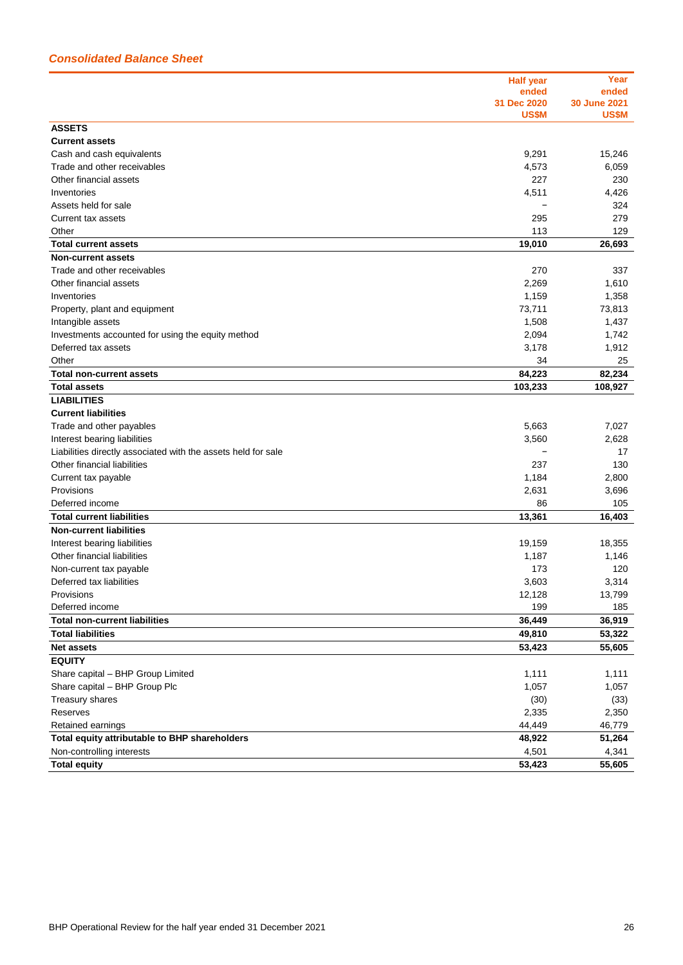# *Consolidated Balance Sheet*

|                                                               | <b>Half year</b> | Year         |
|---------------------------------------------------------------|------------------|--------------|
|                                                               | ended            | ended        |
|                                                               | 31 Dec 2020      | 30 June 2021 |
| <b>ASSETS</b>                                                 | <b>US\$M</b>     | <b>US\$M</b> |
| <b>Current assets</b>                                         |                  |              |
| Cash and cash equivalents                                     | 9,291            | 15,246       |
| Trade and other receivables                                   | 4,573            | 6,059        |
| Other financial assets                                        | 227              | 230          |
| Inventories                                                   | 4,511            | 4,426        |
| Assets held for sale                                          |                  | 324          |
| Current tax assets                                            | 295              | 279          |
| Other                                                         | 113              | 129          |
| <b>Total current assets</b>                                   | 19,010           | 26,693       |
| <b>Non-current assets</b>                                     |                  |              |
| Trade and other receivables                                   | 270              | 337          |
| Other financial assets                                        | 2,269            | 1,610        |
| Inventories                                                   | 1,159            | 1,358        |
| Property, plant and equipment                                 | 73,711           | 73,813       |
| Intangible assets                                             | 1,508            | 1,437        |
| Investments accounted for using the equity method             | 2,094            | 1,742        |
| Deferred tax assets                                           | 3,178            | 1,912        |
| Other                                                         | 34               | 25           |
| <b>Total non-current assets</b>                               | 84,223           | 82,234       |
| <b>Total assets</b>                                           | 103,233          | 108,927      |
| <b>LIABILITIES</b>                                            |                  |              |
| <b>Current liabilities</b>                                    |                  |              |
| Trade and other payables                                      | 5,663            | 7,027        |
| Interest bearing liabilities                                  | 3,560            | 2,628        |
| Liabilities directly associated with the assets held for sale |                  | 17           |
| Other financial liabilities                                   | 237              | 130          |
| Current tax payable                                           | 1,184            | 2,800        |
| Provisions                                                    | 2,631            | 3,696        |
| Deferred income                                               | 86               | 105          |
| <b>Total current liabilities</b>                              | 13,361           | 16,403       |
| <b>Non-current liabilities</b>                                |                  |              |
| Interest bearing liabilities                                  | 19,159           | 18,355       |
| Other financial liabilities                                   | 1,187            | 1,146        |
| Non-current tax payable                                       | 173              | 120          |
| Deferred tax liabilities                                      | 3,603            | 3,314        |
| Provisions                                                    | 12,128           | 13,799       |
| Deferred income                                               | 199              | 185          |
| <b>Total non-current liabilities</b>                          | 36,449           | 36,919       |
| <b>Total liabilities</b>                                      | 49,810           | 53,322       |
| <b>Net assets</b>                                             | 53,423           | 55,605       |
| <b>EQUITY</b>                                                 |                  |              |
| Share capital - BHP Group Limited                             | 1,111            | 1,111        |
| Share capital - BHP Group Plc                                 | 1,057            | 1,057        |
| Treasury shares                                               | (30)             | (33)         |
| Reserves                                                      | 2,335            | 2,350        |
| Retained earnings                                             | 44,449           | 46,779       |
| Total equity attributable to BHP shareholders                 | 48,922           | 51,264       |
| Non-controlling interests                                     | 4,501            | 4,341        |
| <b>Total equity</b>                                           | 53,423           | 55,605       |
|                                                               |                  |              |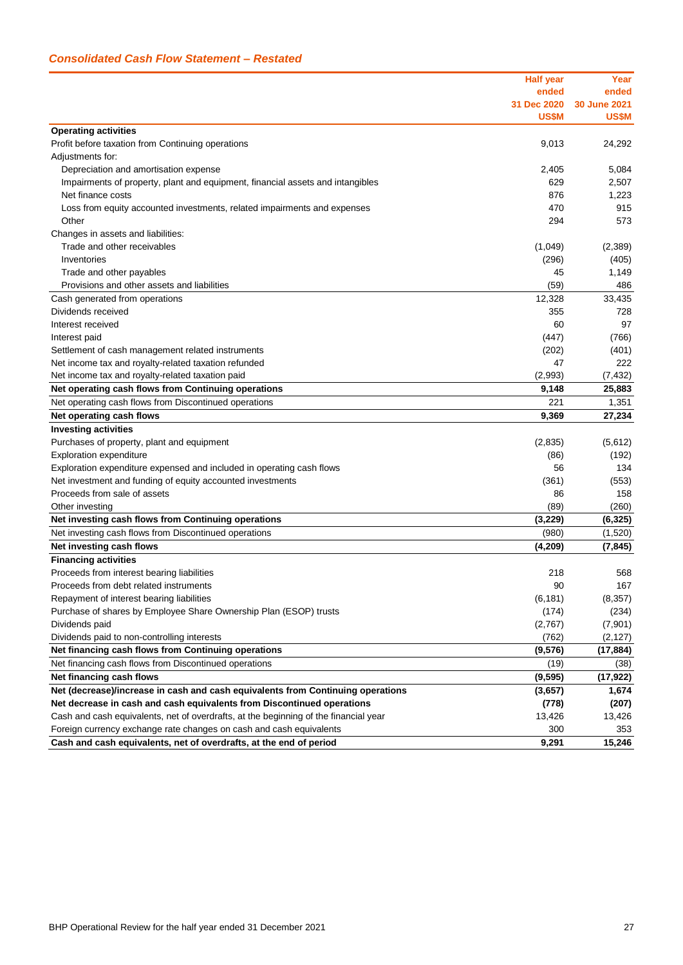# *Consolidated Cash Flow Statement – Restated*

|                                                                                      | <b>Half year</b><br>ended | Year<br>ended |
|--------------------------------------------------------------------------------------|---------------------------|---------------|
|                                                                                      | 31 Dec 2020               | 30 June 2021  |
|                                                                                      | <b>US\$M</b>              | <b>US\$M</b>  |
|                                                                                      |                           |               |
| <b>Operating activities</b>                                                          |                           |               |
| Profit before taxation from Continuing operations                                    | 9,013                     | 24,292        |
| Adjustments for:                                                                     |                           |               |
| Depreciation and amortisation expense                                                | 2,405                     | 5,084         |
| Impairments of property, plant and equipment, financial assets and intangibles       | 629                       | 2,507         |
| Net finance costs                                                                    | 876                       | 1,223         |
| Loss from equity accounted investments, related impairments and expenses             | 470                       | 915           |
| Other                                                                                | 294                       | 573           |
| Changes in assets and liabilities:                                                   |                           |               |
| Trade and other receivables                                                          | (1,049)                   | (2,389)       |
| Inventories                                                                          | (296)                     | (405)         |
| Trade and other payables                                                             | 45                        | 1,149         |
| Provisions and other assets and liabilities                                          | (59)                      | 486           |
| Cash generated from operations                                                       | 12,328                    | 33,435        |
| Dividends received                                                                   | 355                       | 728           |
| Interest received                                                                    | 60                        | 97            |
| Interest paid                                                                        | (447)                     | (766)         |
| Settlement of cash management related instruments                                    | (202)                     | (401)         |
| Net income tax and royalty-related taxation refunded                                 | 47                        | 222           |
| Net income tax and royalty-related taxation paid                                     | (2,993)                   | (7, 432)      |
| Net operating cash flows from Continuing operations                                  | 9,148                     | 25,883        |
| Net operating cash flows from Discontinued operations                                | 221                       | 1,351         |
| Net operating cash flows                                                             | 9,369                     | 27,234        |
| <b>Investing activities</b>                                                          |                           |               |
| Purchases of property, plant and equipment                                           | (2,835)                   | (5,612)       |
| <b>Exploration expenditure</b>                                                       | (86)                      | (192)         |
| Exploration expenditure expensed and included in operating cash flows                | 56                        | 134           |
| Net investment and funding of equity accounted investments                           | (361)                     | (553)         |
| Proceeds from sale of assets                                                         | 86                        | 158           |
| Other investing                                                                      | (89)                      | (260)         |
| Net investing cash flows from Continuing operations                                  | (3,229)                   | (6, 325)      |
| Net investing cash flows from Discontinued operations                                | (980)                     | (1,520)       |
| Net investing cash flows                                                             | (4,209)                   | (7,845)       |
| <b>Financing activities</b>                                                          |                           |               |
| Proceeds from interest bearing liabilities                                           | 218                       | 568           |
| Proceeds from debt related instruments                                               | 90                        | 167           |
| Repayment of interest bearing liabilities                                            | (6, 181)                  | (8, 357)      |
| Purchase of shares by Employee Share Ownership Plan (ESOP) trusts                    | (174)                     | (234)         |
| Dividends paid                                                                       | (2,767)                   | (7,901)       |
| Dividends paid to non-controlling interests                                          | (762)                     | (2, 127)      |
| Net financing cash flows from Continuing operations                                  | (9,576)                   | (17, 884)     |
| Net financing cash flows from Discontinued operations                                |                           |               |
|                                                                                      | (19)                      | (38)          |
| Net financing cash flows                                                             | (9, 595)                  | (17, 922)     |
| Net (decrease)/increase in cash and cash equivalents from Continuing operations      | (3,657)                   | 1,674         |
| Net decrease in cash and cash equivalents from Discontinued operations               | (778)                     | (207)         |
| Cash and cash equivalents, net of overdrafts, at the beginning of the financial year | 13,426                    | 13,426        |
| Foreign currency exchange rate changes on cash and cash equivalents                  | 300                       | 353           |
| Cash and cash equivalents, net of overdrafts, at the end of period                   | 9,291                     | 15,246        |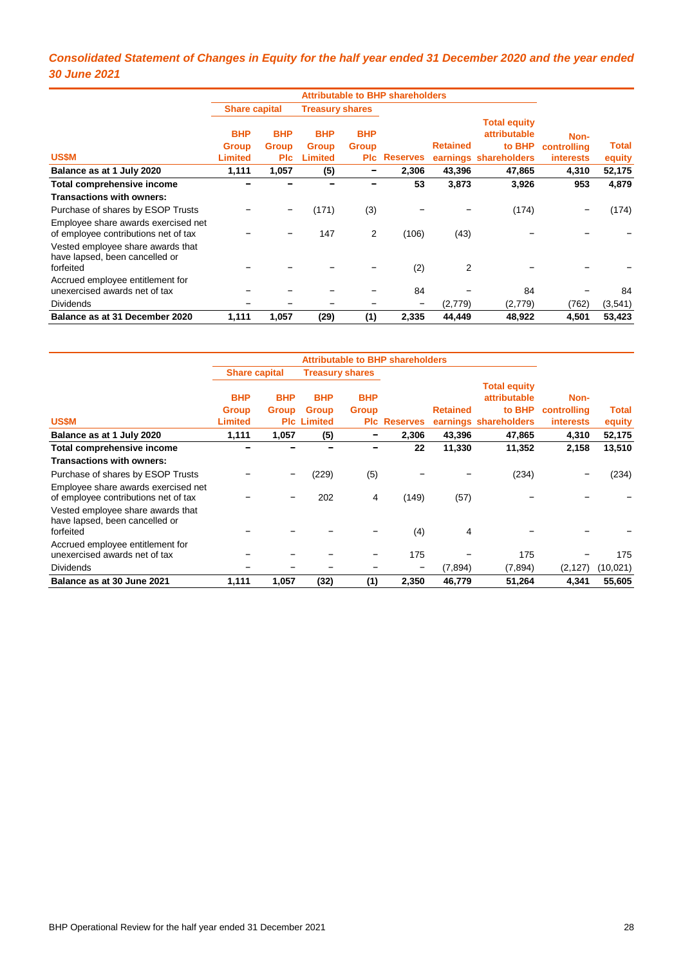# *Consolidated Statement of Changes in Equity for the half year ended 31 December 2020 and the year ended 30 June 2021*

|                                                                                  | <b>Attributable to BHP shareholders</b>      |                                          |                                              |                                    |                 |                 |                                                                        |                                         |                 |
|----------------------------------------------------------------------------------|----------------------------------------------|------------------------------------------|----------------------------------------------|------------------------------------|-----------------|-----------------|------------------------------------------------------------------------|-----------------------------------------|-----------------|
|                                                                                  | <b>Share capital</b>                         |                                          | <b>Treasury shares</b>                       |                                    |                 |                 |                                                                        |                                         |                 |
| <b>US\$M</b>                                                                     | <b>BHP</b><br><b>Group</b><br><b>Limited</b> | <b>BHP</b><br><b>Group</b><br><b>PIc</b> | <b>BHP</b><br><b>Group</b><br><b>Limited</b> | <b>BHP</b><br><b>Group</b><br>Plc: | <b>Reserves</b> | <b>Retained</b> | <b>Total equity</b><br>attributable<br>to BHP<br>earnings shareholders | Non-<br>controlling<br><b>interests</b> | Total<br>equity |
| Balance as at 1 July 2020                                                        | 1,111                                        | 1,057                                    | (5)                                          | -                                  | 2,306           | 43,396          | 47,865                                                                 | 4,310                                   | 52,175          |
| <b>Total comprehensive income</b>                                                |                                              |                                          |                                              |                                    | 53              | 3,873           | 3,926                                                                  | 953                                     | 4,879           |
| <b>Transactions with owners:</b>                                                 |                                              |                                          |                                              |                                    |                 |                 |                                                                        |                                         |                 |
| Purchase of shares by ESOP Trusts                                                |                                              |                                          | (171)                                        | (3)                                |                 |                 | (174)                                                                  |                                         | (174)           |
| Employee share awards exercised net<br>of employee contributions net of tax      |                                              |                                          | 147                                          | 2                                  | (106)           | (43)            |                                                                        |                                         |                 |
| Vested employee share awards that<br>have lapsed, been cancelled or<br>forfeited |                                              |                                          |                                              |                                    | (2)             | $\overline{2}$  |                                                                        |                                         |                 |
| Accrued employee entitlement for<br>unexercised awards net of tax                |                                              |                                          |                                              |                                    | 84              |                 | 84                                                                     |                                         | 84              |
| <b>Dividends</b>                                                                 |                                              |                                          |                                              |                                    | -               | (2,779)         | (2,779)                                                                | (762)                                   | (3,541)         |
| Balance as at 31 December 2020                                                   | 1,111                                        | 1,057                                    | (29)                                         | (1)                                | 2,335           | 44,449          | 48,922                                                                 | 4,501                                   | 53,423          |

|                                                                                                                  | <b>Attributable to BHP shareholders</b> |                            |                                                  |                            |                     |                 |                                                                        |                                         |                        |
|------------------------------------------------------------------------------------------------------------------|-----------------------------------------|----------------------------|--------------------------------------------------|----------------------------|---------------------|-----------------|------------------------------------------------------------------------|-----------------------------------------|------------------------|
|                                                                                                                  | <b>Share capital</b>                    |                            | <b>Treasury shares</b>                           |                            |                     |                 |                                                                        |                                         |                        |
| <b>US\$M</b>                                                                                                     | <b>BHP</b><br><b>Group</b><br>Limited   | <b>BHP</b><br><b>Group</b> | <b>BHP</b><br><b>Group</b><br><b>PIc Limited</b> | <b>BHP</b><br><b>Group</b> | <b>PIc Reserves</b> | <b>Retained</b> | <b>Total equity</b><br>attributable<br>to BHP<br>earnings shareholders | Non-<br>controlling<br><b>interests</b> | <b>Total</b><br>equity |
| Balance as at 1 July 2020                                                                                        | 1,111                                   | 1,057                      | (5)                                              | -                          | 2,306               | 43,396          | 47,865                                                                 | 4,310                                   | 52,175                 |
| Total comprehensive income                                                                                       |                                         |                            |                                                  |                            | 22                  | 11,330          | 11,352                                                                 | 2,158                                   | 13,510                 |
| <b>Transactions with owners:</b>                                                                                 |                                         |                            |                                                  |                            |                     |                 |                                                                        |                                         |                        |
| Purchase of shares by ESOP Trusts                                                                                |                                         |                            | (229)                                            | (5)                        |                     |                 | (234)                                                                  |                                         | (234)                  |
| Employee share awards exercised net<br>of employee contributions net of tax<br>Vested employee share awards that |                                         |                            | 202                                              | 4                          | (149)               | (57)            |                                                                        |                                         |                        |
| have lapsed, been cancelled or<br>forfeited                                                                      |                                         |                            |                                                  |                            | (4)                 | 4               |                                                                        |                                         |                        |
| Accrued employee entitlement for<br>unexercised awards net of tax                                                |                                         |                            |                                                  |                            | 175                 |                 | 175                                                                    |                                         | 175                    |
| <b>Dividends</b>                                                                                                 |                                         |                            |                                                  |                            | -                   | (7, 894)        | (7,894)                                                                | (2, 127)                                | (10,021)               |
| Balance as at 30 June 2021                                                                                       | 1,111                                   | 1,057                      | (32)                                             | (1)                        | 2,350               | 46,779          | 51,264                                                                 | 4,341                                   | 55,605                 |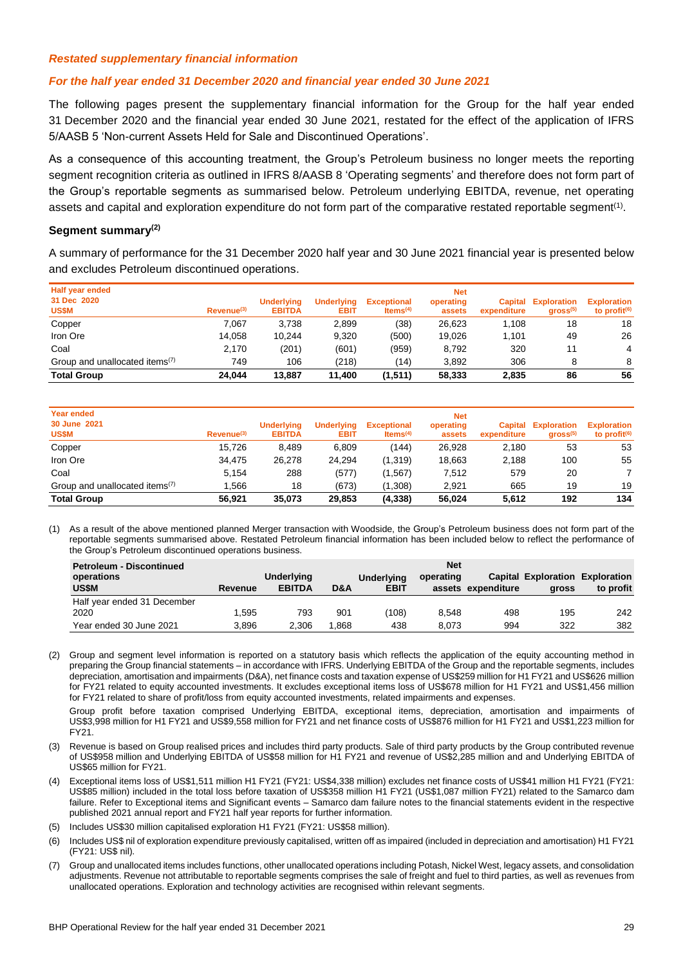#### *Restated supplementary financial information*

#### *For the half year ended 31 December 2020 and financial year ended 30 June 2021*

The following pages present the supplementary financial information for the Group for the half year ended 31 December 2020 and the financial year ended 30 June 2021, restated for the effect of the application of IFRS 5/AASB 5 'Non-current Assets Held for Sale and Discontinued Operations'.

As a consequence of this accounting treatment, the Group's Petroleum business no longer meets the reporting segment recognition criteria as outlined in IFRS 8/AASB 8 'Operating segments' and therefore does not form part of the Group's reportable segments as summarised below. Petroleum underlying EBITDA, revenue, net operating assets and capital and exploration expenditure do not form part of the comparative restated reportable segment $^{\text{\tiny{(1)}}}.$ 

#### **Segment summary(2)**

A summary of performance for the 31 December 2020 half year and 30 June 2021 financial year is presented below and excludes Petroleum discontinued operations.

| Half year ended<br>31 Dec 2020<br><b>US\$M</b> | Revenue <sup>(3)</sup> | <b>Underlying</b><br><b>EBITDA</b> | <b>Underlying</b><br><b>EBIT</b> | <b>Exceptional</b><br>Items <sup>(4)</sup> | <b>Net</b><br>operating<br>assets | Capital<br>expenditure | <b>Exploration</b><br>qross(5) | <b>Exploration</b><br>to profit $(6)$ |
|------------------------------------------------|------------------------|------------------------------------|----------------------------------|--------------------------------------------|-----------------------------------|------------------------|--------------------------------|---------------------------------------|
| Copper                                         | 7.067                  | 3.738                              | 2,899                            | (38)                                       | 26.623                            | 1.108                  | 18                             | 18                                    |
| Iron Ore                                       | 14.058                 | 10.244                             | 9,320                            | (500)                                      | 19,026                            | 1,101                  | 49                             | 26                                    |
| Coal                                           | 2,170                  | (201)                              | (601)                            | (959)                                      | 8,792                             | 320                    |                                | $\overline{4}$                        |
| Group and unallocated items <sup>(1)</sup>     | 749                    | 106                                | (218)                            | (14)                                       | 3.892                             | 306                    | 8                              | 8                                     |
| <b>Total Group</b>                             | 24.044                 | 13.887                             | 11.400                           | (1,511)                                    | 58,333                            | 2,835                  | 86                             | 56                                    |

| <b>Year ended</b><br>30 June 2021<br><b>US\$M</b> | Revenue <sup>(3)</sup> | <b>Underlying</b><br><b>EBITDA</b> | <b>Underlving</b><br><b>EBIT</b> | <b>Exceptional</b><br>Items <sup>(4)</sup> | <b>Net</b><br>operating<br>assets | Capital<br>expenditure | <b>Exploration</b><br>gross <sup>(5)</sup> | <b>Exploration</b><br>to profit $(6)$ |
|---------------------------------------------------|------------------------|------------------------------------|----------------------------------|--------------------------------------------|-----------------------------------|------------------------|--------------------------------------------|---------------------------------------|
| Copper                                            | 15.726                 | 8.489                              | 6.809                            | (144)                                      | 26,928                            | 2.180                  | 53                                         | 53                                    |
| Iron Ore                                          | 34.475                 | 26.278                             | 24.294                           | (1,319)                                    | 18,663                            | 2.188                  | 100                                        | 55                                    |
| Coal                                              | 5.154                  | 288                                | (577)                            | (1,567)                                    | 7.512                             | 579                    | 20                                         |                                       |
| Group and unallocated items <sup>(7)</sup>        | .566                   | 18                                 | (673)                            | (1,308)                                    | 2.921                             | 665                    | 19                                         | 19                                    |
| <b>Total Group</b>                                | 56.921                 | 35,073                             | 29,853                           | (4,338)                                    | 56.024                            | 5.612                  | 192                                        | 134                                   |

(1) As a result of the above mentioned planned Merger transaction with Woodside, the Group's Petroleum business does not form part of the reportable segments summarised above. Restated Petroleum financial information has been included below to reflect the performance of the Group's Petroleum discontinued operations business.

| <b>Petroleum - Discontinued</b><br>operations |         | Underlying    |      | <b>Underlying</b> | <b>Net</b><br>operating |                    |       | <b>Capital Exploration Exploration</b> |
|-----------------------------------------------|---------|---------------|------|-------------------|-------------------------|--------------------|-------|----------------------------------------|
| <b>US\$M</b>                                  | Revenue | <b>EBITDA</b> | D&A  | <b>EBIT</b>       |                         | assets expenditure | aross | to profit                              |
| Half year ended 31 December                   |         |               |      |                   |                         |                    |       |                                        |
| 2020                                          | .595    | 793           | 901  | (108)             | 8.548                   | 498                | 195   | 242                                    |
| Year ended 30 June 2021                       | 3.896   | 2.306         | .868 | 438               | 8.073                   | 994                | 322   | 382                                    |

(2) Group and segment level information is reported on a statutory basis which reflects the application of the equity accounting method in preparing the Group financial statements – in accordance with IFRS. Underlying EBITDA of the Group and the reportable segments, includes depreciation, amortisation and impairments (D&A), net finance costs and taxation expense of US\$259 million for H1 FY21 and US\$626 million for FY21 related to equity accounted investments. It excludes exceptional items loss of US\$678 million for H1 FY21 and US\$1,456 million for FY21 related to share of profit/loss from equity accounted investments, related impairments and expenses.

Group profit before taxation comprised Underlying EBITDA, exceptional items, depreciation, amortisation and impairments of US\$3,998 million for H1 FY21 and US\$9,558 million for FY21 and net finance costs of US\$876 million for H1 FY21 and US\$1,223 million for FY21.

- (3) Revenue is based on Group realised prices and includes third party products. Sale of third party products by the Group contributed revenue of US\$958 million and Underlying EBITDA of US\$58 million for H1 FY21 and revenue of US\$2,285 million and and Underlying EBITDA of US\$65 million for FY21.
- (4) Exceptional items loss of US\$1,511 million H1 FY21 (FY21: US\$4,338 million) excludes net finance costs of US\$41 million H1 FY21 (FY21: US\$85 million) included in the total loss before taxation of US\$358 million H1 FY21 (US\$1,087 million FY21) related to the Samarco dam failure. Refer to Exceptional items and Significant events – Samarco dam failure notes to the financial statements evident in the respective published 2021 annual report and FY21 half year reports for further information.
- (5) Includes US\$30 million capitalised exploration H1 FY21 (FY21: US\$58 million).
- (6) Includes US\$ nil of exploration expenditure previously capitalised, written off as impaired (included in depreciation and amortisation) H1 FY21 (FY21: US\$ nil).
- (7) Group and unallocated items includes functions, other unallocated operations including Potash, Nickel West, legacy assets, and consolidation adjustments. Revenue not attributable to reportable segments comprises the sale of freight and fuel to third parties, as well as revenues from unallocated operations. Exploration and technology activities are recognised within relevant segments.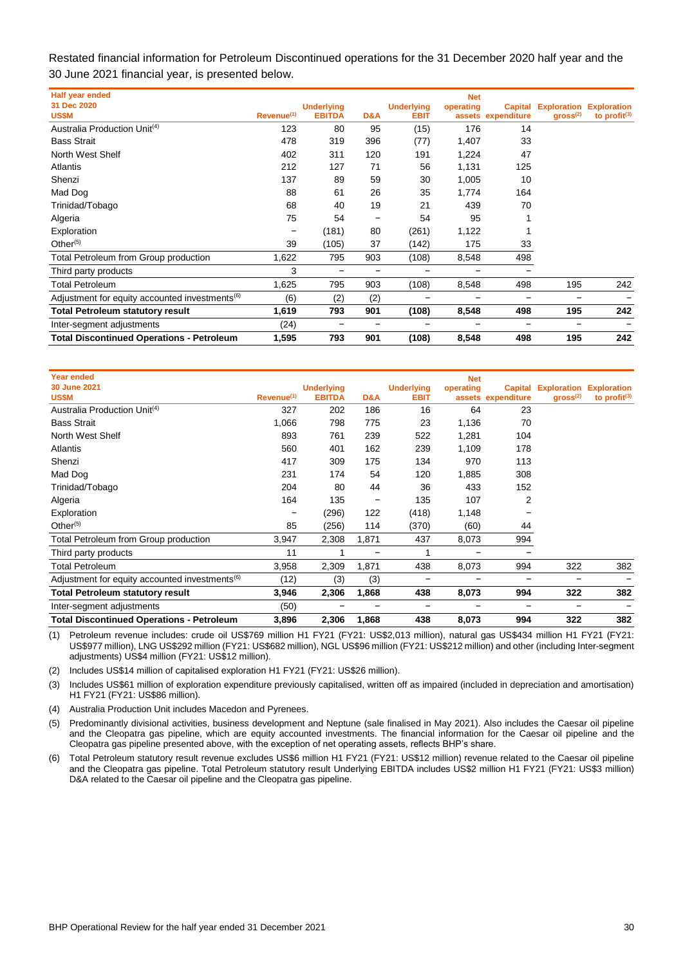Restated financial information for Petroleum Discontinued operations for the 31 December 2020 half year and the 30 June 2021 financial year, is presented below.

| Half year ended                                            |                        |                   |     |                   | <b>Net</b> |                          |                            |                    |
|------------------------------------------------------------|------------------------|-------------------|-----|-------------------|------------|--------------------------|----------------------------|--------------------|
| 31 Dec 2020                                                |                        | <b>Underlying</b> |     | <b>Underlying</b> | operating  |                          | <b>Capital Exploration</b> | <b>Exploration</b> |
| <b>US\$M</b>                                               | Revenue <sup>(1)</sup> | <b>EBITDA</b>     | D&A | <b>EBIT</b>       |            | assets expenditure       | qross <sup>(2)</sup>       | to profit $(3)$    |
| Australia Production Unit <sup>(4)</sup>                   | 123                    | 80                | 95  | (15)              | 176        | 14                       |                            |                    |
| <b>Bass Strait</b>                                         | 478                    | 319               | 396 | (77)              | 1,407      | 33                       |                            |                    |
| North West Shelf                                           | 402                    | 311               | 120 | 191               | 1,224      | 47                       |                            |                    |
| Atlantis                                                   | 212                    | 127               | 71  | 56                | 1,131      | 125                      |                            |                    |
| Shenzi                                                     | 137                    | 89                | 59  | 30                | 1,005      | 10                       |                            |                    |
| Mad Dog                                                    | 88                     | 61                | 26  | 35                | 1,774      | 164                      |                            |                    |
| Trinidad/Tobago                                            | 68                     | 40                | 19  | 21                | 439        | 70                       |                            |                    |
| Algeria                                                    | 75                     | 54                | -   | 54                | 95         |                          |                            |                    |
| Exploration                                                | $\qquad \qquad$        | (181)             | 80  | (261)             | 1,122      |                          |                            |                    |
| Other $(5)$                                                | 39                     | (105)             | 37  | (142)             | 175        | 33                       |                            |                    |
| Total Petroleum from Group production                      | 1,622                  | 795               | 903 | (108)             | 8,548      | 498                      |                            |                    |
| Third party products                                       | 3                      | -                 |     |                   |            |                          |                            |                    |
| <b>Total Petroleum</b>                                     | 1,625                  | 795               | 903 | (108)             | 8,548      | 498                      | 195                        | 242                |
| Adjustment for equity accounted investments <sup>(6)</sup> | (6)                    | (2)               | (2) |                   |            | $\overline{\phantom{0}}$ | $\overline{\phantom{0}}$   |                    |
| <b>Total Petroleum statutory result</b>                    | 1,619                  | 793               | 901 | (108)             | 8,548      | 498                      | 195                        | 242                |
| Inter-segment adjustments                                  | (24)                   | -                 |     | $\qquad \qquad$   |            | $\overline{\phantom{0}}$ | $\qquad \qquad$            |                    |
| <b>Total Discontinued Operations - Petroleum</b>           | 1,595                  | 793               | 901 | (108)             | 8,548      | 498                      | 195                        | 242                |

| <b>Year ended</b><br>30 June 2021<br><b>US\$M</b>          | Revenue <sup>(1)</sup> | <b>Underlying</b><br><b>EBITDA</b> | D&A   | <b>Underlying</b><br><b>EBIT</b> | <b>Net</b><br>operating | assets expenditure | <b>Capital Exploration</b><br>qross <sup>(2)</sup> | <b>Exploration</b><br>to profit $(3)$ |
|------------------------------------------------------------|------------------------|------------------------------------|-------|----------------------------------|-------------------------|--------------------|----------------------------------------------------|---------------------------------------|
| Australia Production Unit <sup>(4)</sup>                   | 327                    | 202                                | 186   | 16                               | 64                      | 23                 |                                                    |                                       |
| <b>Bass Strait</b>                                         | 1,066                  | 798                                | 775   | 23                               | 1,136                   | 70                 |                                                    |                                       |
| North West Shelf                                           | 893                    | 761                                | 239   | 522                              | 1,281                   | 104                |                                                    |                                       |
| <b>Atlantis</b>                                            | 560                    | 401                                | 162   | 239                              | 1,109                   | 178                |                                                    |                                       |
| Shenzi                                                     | 417                    | 309                                | 175   | 134                              | 970                     | 113                |                                                    |                                       |
| Mad Dog                                                    | 231                    | 174                                | 54    | 120                              | 1,885                   | 308                |                                                    |                                       |
| Trinidad/Tobago                                            | 204                    | 80                                 | 44    | 36                               | 433                     | 152                |                                                    |                                       |
| Algeria                                                    | 164                    | 135                                | -     | 135                              | 107                     | 2                  |                                                    |                                       |
| Exploration                                                | -                      | (296)                              | 122   | (418)                            | 1,148                   |                    |                                                    |                                       |
| Other $(5)$                                                | 85                     | (256)                              | 114   | (370)                            | (60)                    | 44                 |                                                    |                                       |
| Total Petroleum from Group production                      | 3,947                  | 2,308                              | 1,871 | 437                              | 8,073                   | 994                |                                                    |                                       |
| Third party products                                       | 11                     |                                    |       | 1                                |                         |                    |                                                    |                                       |
| <b>Total Petroleum</b>                                     | 3,958                  | 2,309                              | 1,871 | 438                              | 8,073                   | 994                | 322                                                | 382                                   |
| Adjustment for equity accounted investments <sup>(6)</sup> | (12)                   | (3)                                | (3)   |                                  |                         |                    |                                                    |                                       |
| <b>Total Petroleum statutory result</b>                    | 3,946                  | 2,306                              | 1,868 | 438                              | 8,073                   | 994                | 322                                                | 382                                   |
| Inter-segment adjustments                                  | (50)                   |                                    |       |                                  |                         |                    |                                                    |                                       |
| <b>Total Discontinued Operations - Petroleum</b>           | 3,896                  | 2,306                              | 1,868 | 438                              | 8,073                   | 994                | 322                                                | 382                                   |

(1) Petroleum revenue includes: crude oil US\$769 million H1 FY21 (FY21: US\$2,013 million), natural gas US\$434 million H1 FY21 (FY21: US\$977 million), LNG US\$292 million (FY21: US\$682 million), NGL US\$96 million (FY21: US\$212 million) and other (including Inter-segment adjustments) US\$4 million (FY21: US\$12 million).

(2) Includes US\$14 million of capitalised exploration H1 FY21 (FY21: US\$26 million).

(3) Includes US\$61 million of exploration expenditure previously capitalised, written off as impaired (included in depreciation and amortisation) H1 FY21 (FY21: US\$86 million).

(4) Australia Production Unit includes Macedon and Pyrenees.

(5) Predominantly divisional activities, business development and Neptune (sale finalised in May 2021). Also includes the Caesar oil pipeline and the Cleopatra gas pipeline, which are equity accounted investments. The financial information for the Caesar oil pipeline and the Cleopatra gas pipeline presented above, with the exception of net operating assets, reflects BHP's share.

(6) Total Petroleum statutory result revenue excludes US\$6 million H1 FY21 (FY21: US\$12 million) revenue related to the Caesar oil pipeline and the Cleopatra gas pipeline. Total Petroleum statutory result Underlying EBITDA includes US\$2 million H1 FY21 (FY21: US\$3 million) D&A related to the Caesar oil pipeline and the Cleopatra gas pipeline.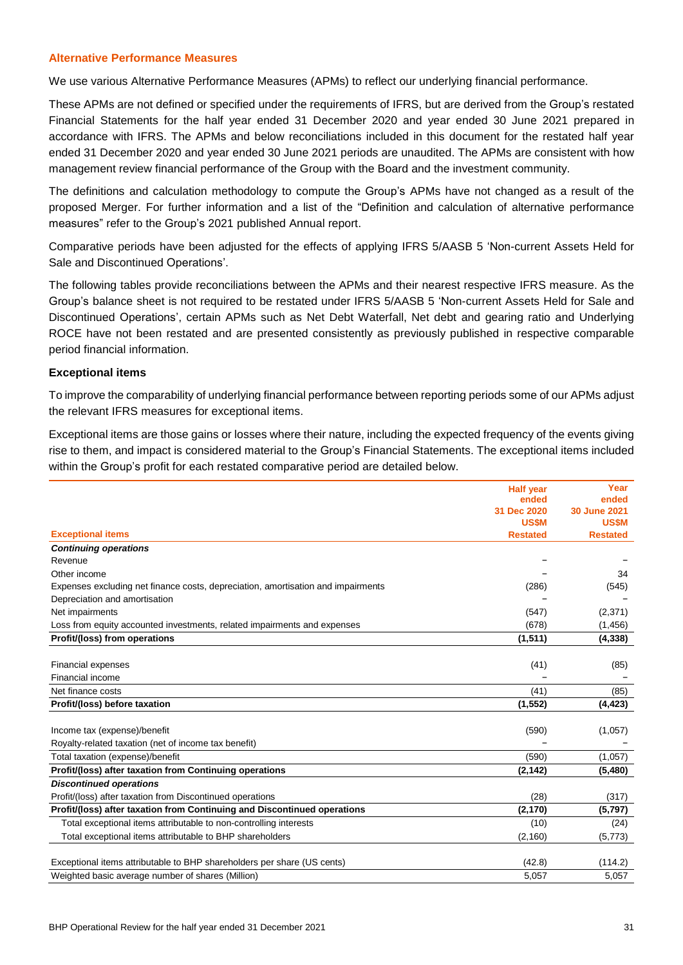#### **Alternative Performance Measures**

We use various Alternative Performance Measures (APMs) to reflect our underlying financial performance.

These APMs are not defined or specified under the requirements of IFRS, but are derived from the Group's restated Financial Statements for the half year ended 31 December 2020 and year ended 30 June 2021 prepared in accordance with IFRS. The APMs and below reconciliations included in this document for the restated half year ended 31 December 2020 and year ended 30 June 2021 periods are unaudited. The APMs are consistent with how management review financial performance of the Group with the Board and the investment community.

The definitions and calculation methodology to compute the Group's APMs have not changed as a result of the proposed Merger. For further information and a list of the "Definition and calculation of alternative performance measures" refer to the Group's 2021 published Annual report.

Comparative periods have been adjusted for the effects of applying IFRS 5/AASB 5 'Non-current Assets Held for Sale and Discontinued Operations'.

The following tables provide reconciliations between the APMs and their nearest respective IFRS measure. As the Group's balance sheet is not required to be restated under IFRS 5/AASB 5 'Non-current Assets Held for Sale and Discontinued Operations', certain APMs such as Net Debt Waterfall, Net debt and gearing ratio and Underlying ROCE have not been restated and are presented consistently as previously published in respective comparable period financial information.

#### **Exceptional items**

To improve the comparability of underlying financial performance between reporting periods some of our APMs adjust the relevant IFRS measures for exceptional items.

Exceptional items are those gains or losses where their nature, including the expected frequency of the events giving rise to them, and impact is considered material to the Group's Financial Statements. The exceptional items included within the Group's profit for each restated comparative period are detailed below.

|                                                                                  | <b>Half year</b> | Year            |
|----------------------------------------------------------------------------------|------------------|-----------------|
|                                                                                  | ended            | ended           |
|                                                                                  | 31 Dec 2020      | 30 June 2021    |
|                                                                                  | US\$M            | <b>US\$M</b>    |
| <b>Exceptional items</b>                                                         | <b>Restated</b>  | <b>Restated</b> |
| <b>Continuing operations</b>                                                     |                  |                 |
| Revenue                                                                          |                  |                 |
| Other income                                                                     |                  | 34              |
| Expenses excluding net finance costs, depreciation, amortisation and impairments | (286)            | (545)           |
| Depreciation and amortisation                                                    |                  |                 |
| Net impairments                                                                  | (547)            | (2,371)         |
| Loss from equity accounted investments, related impairments and expenses         | (678)            | (1, 456)        |
| Profit/(loss) from operations                                                    | (1, 511)         | (4, 338)        |
|                                                                                  |                  |                 |
| <b>Financial expenses</b>                                                        | (41)             | (85)            |
| Financial income                                                                 |                  |                 |
| Net finance costs                                                                | (41)             | (85)            |
| Profit/(loss) before taxation                                                    | (1, 552)         | (4, 423)        |
|                                                                                  |                  |                 |
| Income tax (expense)/benefit                                                     | (590)            | (1,057)         |
| Royalty-related taxation (net of income tax benefit)                             |                  |                 |
| Total taxation (expense)/benefit                                                 | (590)            | (1,057)         |
| Profit/(loss) after taxation from Continuing operations                          | (2, 142)         | (5,480)         |
| <b>Discontinued operations</b>                                                   |                  |                 |
| Profit/(loss) after taxation from Discontinued operations                        | (28)             | (317)           |
| Profit/(loss) after taxation from Continuing and Discontinued operations         | (2, 170)         | (5,797)         |
| Total exceptional items attributable to non-controlling interests                | (10)             | (24)            |
| Total exceptional items attributable to BHP shareholders                         | (2, 160)         | (5, 773)        |
| Exceptional items attributable to BHP shareholders per share (US cents)          | (42.8)           | (114.2)         |
| Weighted basic average number of shares (Million)                                | 5,057            | 5,057           |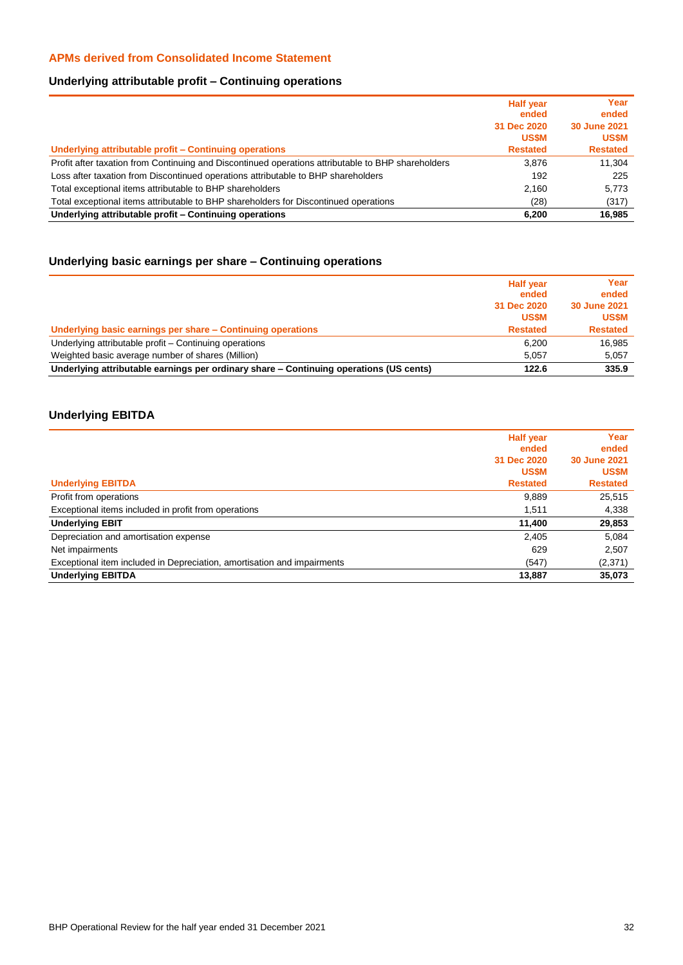# **APMs derived from Consolidated Income Statement**

# **Underlying attributable profit – Continuing operations**

|                                                                                                    | <b>Half year</b> | Year            |
|----------------------------------------------------------------------------------------------------|------------------|-----------------|
|                                                                                                    | ended            | ended           |
|                                                                                                    | 31 Dec 2020      | 30 June 2021    |
|                                                                                                    | <b>US\$M</b>     | <b>US\$M</b>    |
| Underlying attributable profit – Continuing operations                                             | <b>Restated</b>  | <b>Restated</b> |
| Profit after taxation from Continuing and Discontinued operations attributable to BHP shareholders | 3.876            | 11.304          |
| Loss after taxation from Discontinued operations attributable to BHP shareholders                  | 192              | 225             |
| Total exceptional items attributable to BHP shareholders                                           | 2.160            | 5.773           |
| Total exceptional items attributable to BHP shareholders for Discontinued operations               | (28)             | (317)           |
| Underlying attributable profit – Continuing operations                                             | 6.200            | 16.985          |

# **Underlying basic earnings per share – Continuing operations**

|                                                                                        | <b>Half year</b> | Year            |
|----------------------------------------------------------------------------------------|------------------|-----------------|
|                                                                                        | ended            | ended           |
|                                                                                        | 31 Dec 2020      | 30 June 2021    |
|                                                                                        | <b>US\$M</b>     | <b>US\$M</b>    |
| Underlying basic earnings per share - Continuing operations                            | <b>Restated</b>  | <b>Restated</b> |
| Underlying attributable profit - Continuing operations                                 | 6.200            | 16.985          |
| Weighted basic average number of shares (Million)                                      | 5.057            | 5.057           |
| Underlying attributable earnings per ordinary share – Continuing operations (US cents) | 122.6            | 335.9           |

# **Underlying EBITDA**

|                                                                         | <b>Half year</b> | Year            |
|-------------------------------------------------------------------------|------------------|-----------------|
|                                                                         | ended            | ended           |
|                                                                         | 31 Dec 2020      | 30 June 2021    |
|                                                                         | <b>US\$M</b>     | <b>US\$M</b>    |
| <b>Underlying EBITDA</b>                                                | <b>Restated</b>  | <b>Restated</b> |
| Profit from operations                                                  | 9,889            | 25,515          |
| Exceptional items included in profit from operations                    | 1,511            | 4,338           |
| <b>Underlying EBIT</b>                                                  | 11,400           | 29,853          |
| Depreciation and amortisation expense                                   | 2.405            | 5,084           |
| Net impairments                                                         | 629              | 2,507           |
| Exceptional item included in Depreciation, amortisation and impairments | (547)            | (2,371)         |
| <b>Underlying EBITDA</b>                                                | 13,887           | 35,073          |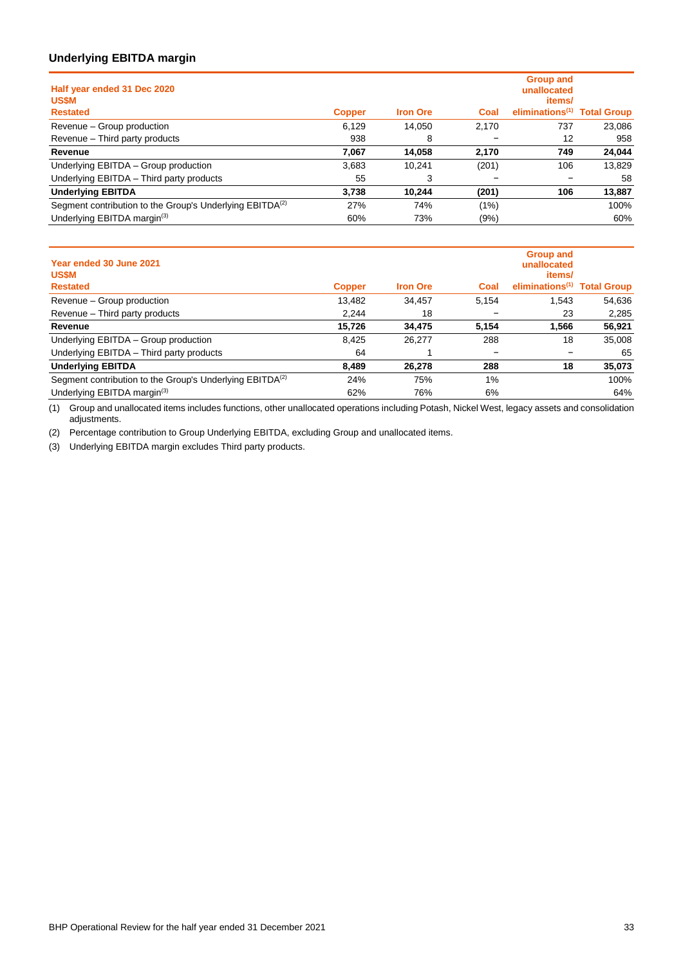# **Underlying EBITDA margin**

| Half year ended 31 Dec 2020<br><b>US\$M</b><br><b>Restated</b>       | <b>Copper</b> | <b>Iron Ore</b> | Coal  | <b>Group and</b><br>unallocated<br>items/<br>eliminations <sup>(1)</sup> Total Group |        |
|----------------------------------------------------------------------|---------------|-----------------|-------|--------------------------------------------------------------------------------------|--------|
| Revenue - Group production                                           | 6,129         | 14,050          | 2,170 | 737                                                                                  | 23,086 |
| Revenue – Third party products                                       | 938           | 8               |       | 12                                                                                   | 958    |
| Revenue                                                              | 7,067         | 14,058          | 2.170 | 749                                                                                  | 24,044 |
| Underlying EBITDA - Group production                                 | 3,683         | 10.241          | (201) | 106                                                                                  | 13,829 |
| Underlying EBITDA - Third party products                             | 55            | 3               |       | $\overline{\phantom{m}}$                                                             | 58     |
| <b>Underlying EBITDA</b>                                             | 3,738         | 10.244          | (201) | 106                                                                                  | 13,887 |
| Segment contribution to the Group's Underlying EBITDA <sup>(2)</sup> | 27%           | 74%             | (1%)  |                                                                                      | 100%   |
| Underlying EBITDA margin <sup>(3)</sup>                              | 60%           | 73%             | (9%)  |                                                                                      | 60%    |

| Year ended 30 June 2021<br><b>US\$M</b><br><b>Restated</b>           | <b>Copper</b> | <b>Iron Ore</b> | Coal                     | <b>Group and</b><br>unallocated<br>items/<br>eliminations <sup>(1)</sup> Total Group |        |
|----------------------------------------------------------------------|---------------|-----------------|--------------------------|--------------------------------------------------------------------------------------|--------|
| Revenue - Group production                                           | 13.482        | 34,457          | 5,154                    | 1.543                                                                                | 54,636 |
| Revenue – Third party products                                       | 2.244         | 18              |                          | 23                                                                                   | 2,285  |
| Revenue                                                              | 15,726        | 34,475          | 5.154                    | 1,566                                                                                | 56,921 |
| Underlying EBITDA - Group production                                 | 8.425         | 26.277          | 288                      | 18                                                                                   | 35,008 |
| Underlying EBITDA - Third party products                             | 64            |                 | $\overline{\phantom{0}}$ |                                                                                      | 65     |
| <b>Underlying EBITDA</b>                                             | 8,489         | 26.278          | 288                      | 18                                                                                   | 35,073 |
| Segment contribution to the Group's Underlying EBITDA <sup>(2)</sup> | 24%           | 75%             | 1%                       |                                                                                      | 100%   |
| Underlying EBITDA margin(3)                                          | 62%           | 76%             | 6%                       |                                                                                      | 64%    |

(1) Group and unallocated items includes functions, other unallocated operations including Potash, Nickel West, legacy assets and consolidation adjustments.

(2) Percentage contribution to Group Underlying EBITDA, excluding Group and unallocated items.

(3) Underlying EBITDA margin excludes Third party products.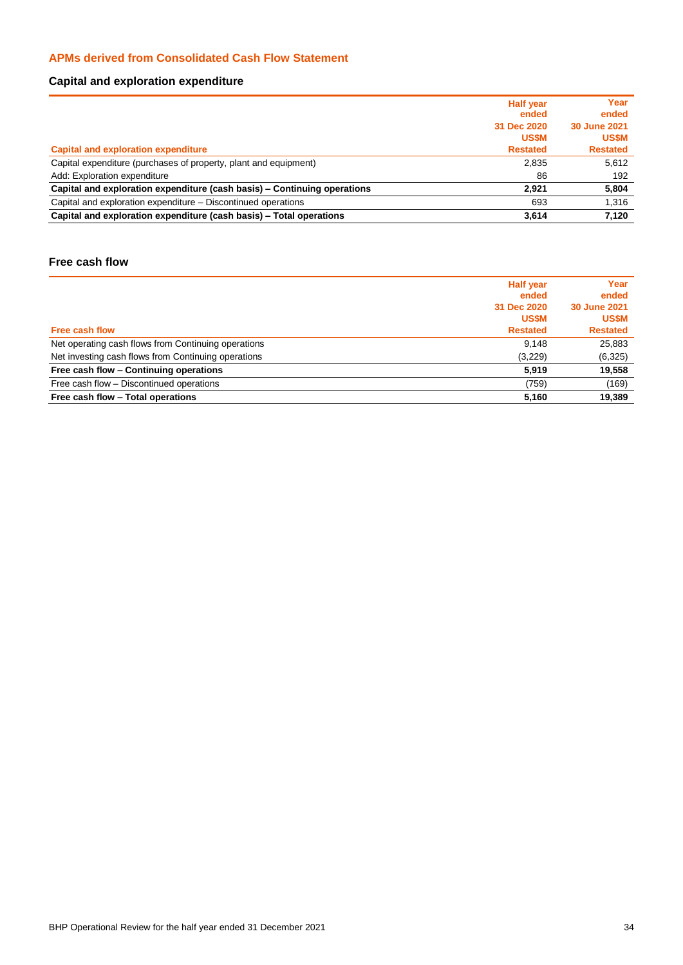# **APMs derived from Consolidated Cash Flow Statement**

#### **Capital and exploration expenditure**

|                                                                          | <b>Half year</b><br>ended<br>31 Dec 2020<br><b>US\$M</b> | Year<br>ended<br>30 June 2021<br><b>US\$M</b> |
|--------------------------------------------------------------------------|----------------------------------------------------------|-----------------------------------------------|
| <b>Capital and exploration expenditure</b>                               | <b>Restated</b>                                          | <b>Restated</b>                               |
| Capital expenditure (purchases of property, plant and equipment)         | 2.835                                                    | 5.612                                         |
| Add: Exploration expenditure                                             | 86                                                       | 192                                           |
| Capital and exploration expenditure (cash basis) – Continuing operations | 2.921                                                    | 5.804                                         |
| Capital and exploration expenditure – Discontinued operations            | 693                                                      | 1.316                                         |
| Capital and exploration expenditure (cash basis) – Total operations      | 3.614                                                    | 7.120                                         |

# **Free cash flow**

| <b>Half year</b>                                               | Year            |
|----------------------------------------------------------------|-----------------|
| ended                                                          | ended           |
| 31 Dec 2020                                                    | 30 June 2021    |
| <b>US\$M</b>                                                   | <b>US\$M</b>    |
| <b>Restated</b><br>Free cash flow                              | <b>Restated</b> |
| Net operating cash flows from Continuing operations<br>9.148   | 25,883          |
| Net investing cash flows from Continuing operations<br>(3,229) | (6, 325)        |
| Free cash flow - Continuing operations<br>5.919                | 19,558          |
| Free cash flow - Discontinued operations<br>(759)              | (169)           |
| Free cash flow - Total operations<br>5,160                     | 19,389          |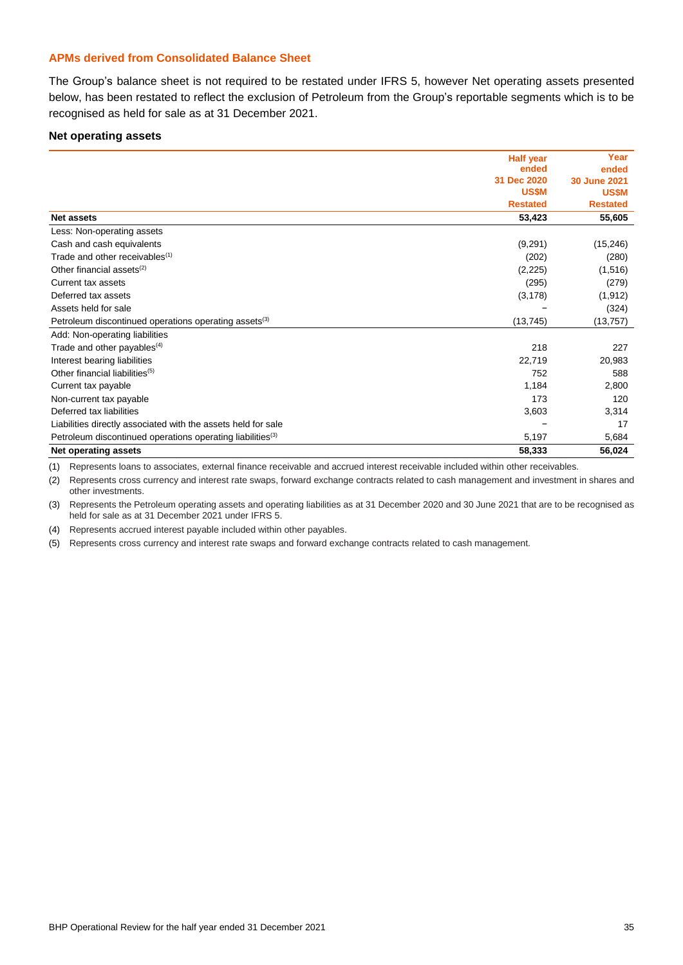#### **APMs derived from Consolidated Balance Sheet**

The Group's balance sheet is not required to be restated under IFRS 5, however Net operating assets presented below, has been restated to reflect the exclusion of Petroleum from the Group's reportable segments which is to be recognised as held for sale as at 31 December 2021.

#### **Net operating assets**

|                                                                        | <b>Half year</b> | Year            |
|------------------------------------------------------------------------|------------------|-----------------|
|                                                                        | ended            | ended           |
|                                                                        | 31 Dec 2020      | 30 June 2021    |
|                                                                        | <b>US\$M</b>     | <b>US\$M</b>    |
|                                                                        | <b>Restated</b>  | <b>Restated</b> |
| <b>Net assets</b>                                                      | 53,423           | 55,605          |
| Less: Non-operating assets                                             |                  |                 |
| Cash and cash equivalents                                              | (9,291)          | (15, 246)       |
| Trade and other receivables <sup>(1)</sup>                             | (202)            | (280)           |
| Other financial assets $(2)$                                           | (2,225)          | (1,516)         |
| Current tax assets                                                     | (295)            | (279)           |
| Deferred tax assets                                                    | (3, 178)         | (1, 912)        |
| Assets held for sale                                                   |                  | (324)           |
| Petroleum discontinued operations operating assets <sup>(3)</sup>      | (13, 745)        | (13, 757)       |
| Add: Non-operating liabilities                                         |                  |                 |
| Trade and other payables $(4)$                                         | 218              | 227             |
| Interest bearing liabilities                                           | 22,719           | 20,983          |
| Other financial liabilities <sup>(5)</sup>                             | 752              | 588             |
| Current tax payable                                                    | 1,184            | 2,800           |
| Non-current tax payable                                                | 173              | 120             |
| Deferred tax liabilities                                               | 3,603            | 3,314           |
| Liabilities directly associated with the assets held for sale          |                  | 17              |
| Petroleum discontinued operations operating liabilities <sup>(3)</sup> | 5,197            | 5,684           |
| Net operating assets                                                   | 58,333           | 56,024          |

(1) Represents loans to associates, external finance receivable and accrued interest receivable included within other receivables.

(2) Represents cross currency and interest rate swaps, forward exchange contracts related to cash management and investment in shares and other investments.

(3) Represents the Petroleum operating assets and operating liabilities as at 31 December 2020 and 30 June 2021 that are to be recognised as held for sale as at 31 December 2021 under IFRS 5.

(4) Represents accrued interest payable included within other payables.

(5) Represents cross currency and interest rate swaps and forward exchange contracts related to cash management.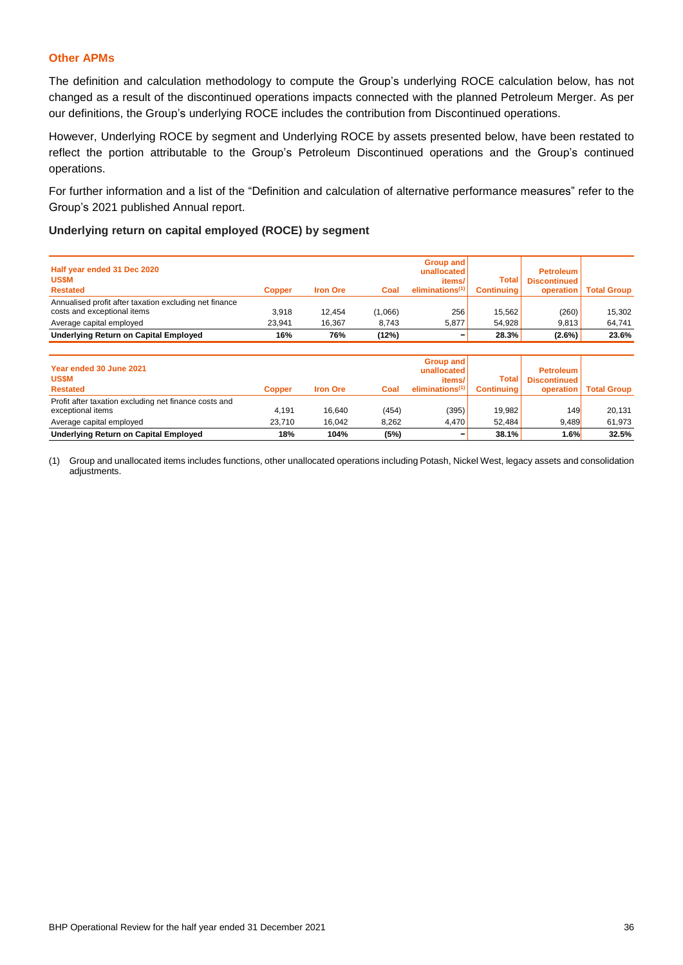#### **Other APMs**

The definition and calculation methodology to compute the Group's underlying ROCE calculation below, has not changed as a result of the discontinued operations impacts connected with the planned Petroleum Merger. As per our definitions, the Group's underlying ROCE includes the contribution from Discontinued operations.

However, Underlying ROCE by segment and Underlying ROCE by assets presented below, have been restated to reflect the portion attributable to the Group's Petroleum Discontinued operations and the Group's continued operations.

For further information and a list of the "Definition and calculation of alternative performance measures" refer to the Group's 2021 published Annual report.

#### **Underlying return on capital employed (ROCE) by segment**

| Half year ended 31 Dec 2020<br><b>USSM</b><br><b>Restated</b>                         | <b>Copper</b> | <b>Iron Ore</b> | Coal    | <b>Group and</b><br>unallocated<br>items/<br>eliminations <sup>(1)</sup> | Total<br><b>Continuing</b> | <b>Petroleum</b><br><b>Discontinued</b><br>operation | <b>Total Group</b> |
|---------------------------------------------------------------------------------------|---------------|-----------------|---------|--------------------------------------------------------------------------|----------------------------|------------------------------------------------------|--------------------|
| Annualised profit after taxation excluding net finance<br>costs and exceptional items | 3,918         | 12,454          | (1,066) | 256                                                                      | 15,562                     | (260)                                                | 15,302             |
| Average capital employed                                                              | 23,941        | 16,367          | 8,743   | 5,877                                                                    | 54,928                     | 9,813                                                | 64,741             |
| <b>Underlying Return on Capital Employed</b>                                          | 16%           | 76%             | (12%)   | ۰                                                                        | 28.3%                      | $(2.6\%)$                                            | 23.6%              |
| Year ended 30 June 2021<br><b>US\$M</b><br><b>Restated</b>                            | <b>Copper</b> | <b>Iron Ore</b> | Coal    | <b>Group and</b><br>unallocated<br>items/<br>eliminations <sup>(1)</sup> | Total<br><b>Continuing</b> | <b>Petroleum</b><br><b>Discontinued</b><br>operation | <b>Total Group</b> |
| Profit after taxation excluding net finance costs and<br>exceptional items            | 4,191         | 16,640          | (454)   | (395)                                                                    | 19,982                     | 149                                                  | 20,131             |
| Average capital employed                                                              | 23.710        | 16,042          | 8,262   | 4,470                                                                    | 52,484                     | 9,489                                                | 61,973             |
| Underlying Return on Capital Employed                                                 | 18%           | 104%            | (5%)    | ۰                                                                        | 38.1%                      | 1.6%                                                 | 32.5%              |

(1) Group and unallocated items includes functions, other unallocated operations including Potash, Nickel West, legacy assets and consolidation adjustments.